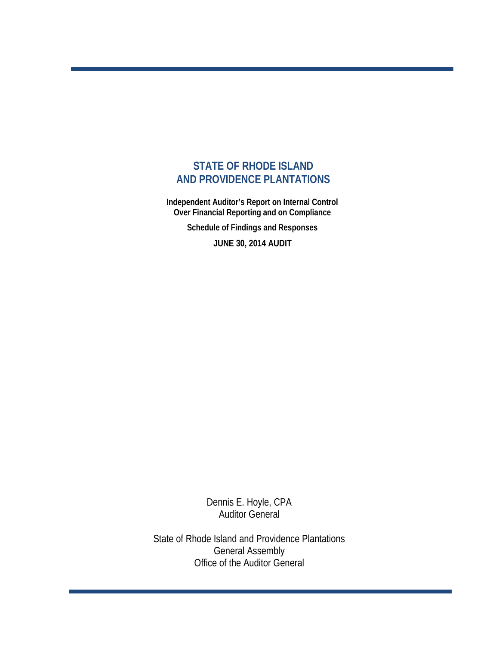# **STATE OF RHODE ISLAND AND PROVIDENCE PLANTATIONS**

 **Independent Auditor's Report on Internal Control Over Financial Reporting and on Compliance** 

 **Schedule of Findings and Responses**

 **JUNE 30, 2014 AUDIT**

Dennis E. Hoyle, CPA Auditor General

State of Rhode Island and Providence Plantations General Assembly Office of the Auditor General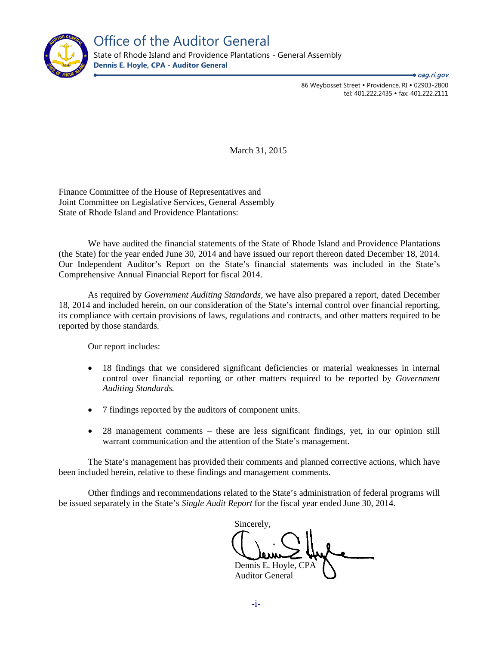

86 Weybosset Street · Providence, RI · 02903-2800 tel: 401.222.2435 · fax: 401.222.2111 ● *oag.ri.gov* 

March 31, 2015

Finance Committee of the House of Representatives and Joint Committee on Legislative Services, General Assembly State of Rhode Island and Providence Plantations:

We have audited the financial statements of the State of Rhode Island and Providence Plantations (the State) for the year ended June 30, 2014 and have issued our report thereon dated December 18, 2014. Our Independent Auditor's Report on the State's financial statements was included in the State's Comprehensive Annual Financial Report for fiscal 2014.

As required by *Government Auditing Standards,* we have also prepared a report, dated December 18, 2014 and included herein, on our consideration of the State's internal control over financial reporting, its compliance with certain provisions of laws, regulations and contracts, and other matters required to be reported by those standards.

Our report includes:

- 18 findings that we considered significant deficiencies or material weaknesses in internal control over financial reporting or other matters required to be reported by *Government Auditing Standards.*
- 7 findings reported by the auditors of component units.
- 28 management comments these are less significant findings, yet, in our opinion still warrant communication and the attention of the State's management.

The State's management has provided their comments and planned corrective actions, which have been included herein, relative to these findings and management comments.

Other findings and recommendations related to the State's administration of federal programs will be issued separately in the State's *Single Audit Report* for the fiscal year ended June 30, 2014*.*

Sincerely, Dennis E. Hoyle, CPA Auditor General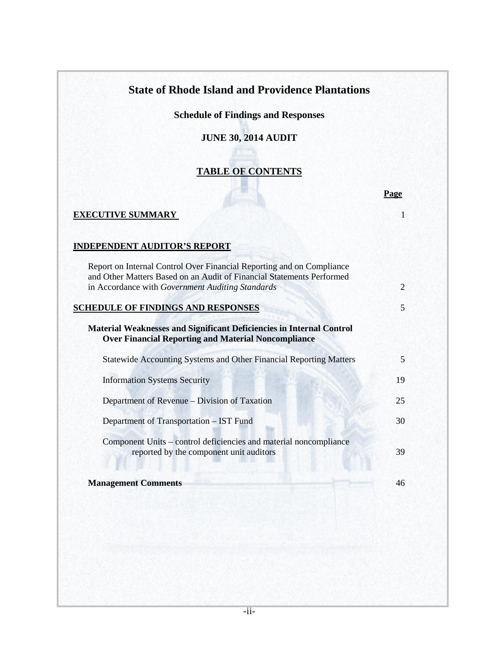# **State of Rhode Island and Providence Plantations**

**Schedule of Findings and Responses**

# **JUNE 30, 2014 AUDIT**

# **TABLE OF CONTENTS**

|                                                                                                                                                                                                    | Page           |
|----------------------------------------------------------------------------------------------------------------------------------------------------------------------------------------------------|----------------|
| <b>EXECUTIVE SUMMARY</b>                                                                                                                                                                           |                |
| <b>INDEPENDENT AUDITOR'S REPORT</b>                                                                                                                                                                |                |
| Report on Internal Control Over Financial Reporting and on Compliance<br>and Other Matters Based on an Audit of Financial Statements Performed<br>in Accordance with Government Auditing Standards | $\overline{2}$ |
| <b>SCHEDULE OF FINDINGS AND RESPONSES</b>                                                                                                                                                          | 5              |
| <b>Material Weaknesses and Significant Deficiencies in Internal Control</b><br><b>Over Financial Reporting and Material Noncompliance</b>                                                          |                |
| Statewide Accounting Systems and Other Financial Reporting Matters                                                                                                                                 | 5              |
| <b>Information Systems Security</b>                                                                                                                                                                | 19             |
| Department of Revenue – Division of Taxation                                                                                                                                                       | 25             |
| Department of Transportation - IST Fund                                                                                                                                                            | 30             |
| Component Units – control deficiencies and material noncompliance<br>reported by the component unit auditors                                                                                       | 39             |
| <b>Management Comments</b>                                                                                                                                                                         | 46             |
|                                                                                                                                                                                                    |                |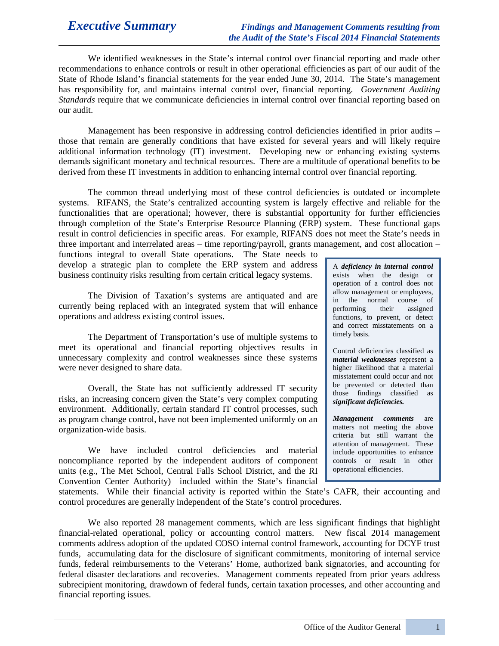We identified weaknesses in the State's internal control over financial reporting and made other recommendations to enhance controls or result in other operational efficiencies as part of our audit of the State of Rhode Island's financial statements for the year ended June 30, 2014. The State's management has responsibility for, and maintains internal control over, financial reporting. *Government Auditing Standards* require that we communicate deficiencies in internal control over financial reporting based on our audit.

Management has been responsive in addressing control deficiencies identified in prior audits – those that remain are generally conditions that have existed for several years and will likely require additional information technology (IT) investment. Developing new or enhancing existing systems demands significant monetary and technical resources. There are a multitude of operational benefits to be derived from these IT investments in addition to enhancing internal control over financial reporting.

The common thread underlying most of these control deficiencies is outdated or incomplete systems. RIFANS, the State's centralized accounting system is largely effective and reliable for the functionalities that are operational; however, there is substantial opportunity for further efficiencies through completion of the State's Enterprise Resource Planning (ERP) system. These functional gaps result in control deficiencies in specific areas. For example, RIFANS does not meet the State's needs in three important and interrelated areas – time reporting/payroll, grants management, and cost allocation –

functions integral to overall State operations. The State needs to develop a strategic plan to complete the ERP system and address business continuity risks resulting from certain critical legacy systems.

The Division of Taxation's systems are antiquated and are currently being replaced with an integrated system that will enhance operations and address existing control issues.

The Department of Transportation's use of multiple systems to meet its operational and financial reporting objectives results in unnecessary complexity and control weaknesses since these systems were never designed to share data.

Overall, the State has not sufficiently addressed IT security risks, an increasing concern given the State's very complex computing environment. Additionally, certain standard IT control processes, such as program change control, have not been implemented uniformly on an organization-wide basis.

We have included control deficiencies and material noncompliance reported by the independent auditors of component units (e.g., The Met School, Central Falls School District, and the RI Convention Center Authority) included within the State's financial A *deficiency in internal control* exists when the design or operation of a control does not allow management or employees, in the normal course of performing their assigned functions, to prevent, or detect and correct misstatements on a timely basis.

Control deficiencies classified as *material weaknesses* represent a higher likelihood that a material misstatement could occur and not be prevented or detected than those findings classified as *significant deficiencies.*

*Management comments* are matters not meeting the above criteria but still warrant the attention of management. These include opportunities to enhance controls or result in other operational efficiencies.

statements. While their financial activity is reported within the State's CAFR, their accounting and control procedures are generally independent of the State's control procedures.

We also reported 28 management comments, which are less significant findings that highlight financial-related operational, policy or accounting control matters. New fiscal 2014 management comments address adoption of the updated COSO internal control framework, accounting for DCYF trust funds, accumulating data for the disclosure of significant commitments, monitoring of internal service funds, federal reimbursements to the Veterans' Home, authorized bank signatories, and accounting for federal disaster declarations and recoveries. Management comments repeated from prior years address subrecipient monitoring, drawdown of federal funds, certain taxation processes, and other accounting and financial reporting issues.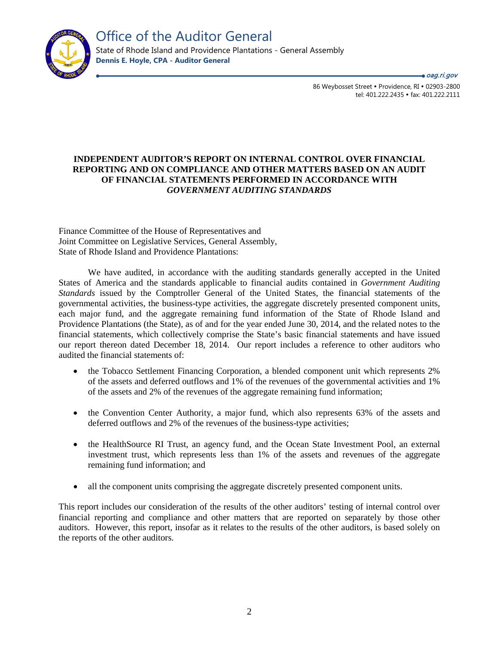

oag.ri.gov

86 Weybosset Street · Providence, RI · 02903-2800 tel: 401.222.2435 · fax: 401.222.2111

# **INDEPENDENT AUDITOR'S REPORT ON INTERNAL CONTROL OVER FINANCIAL REPORTING AND ON COMPLIANCE AND OTHER MATTERS BASED ON AN AUDIT OF FINANCIAL STATEMENTS PERFORMED IN ACCORDANCE WITH**  *GOVERNMENT AUDITING STANDARDS*

Finance Committee of the House of Representatives and Joint Committee on Legislative Services, General Assembly, State of Rhode Island and Providence Plantations:

We have audited, in accordance with the auditing standards generally accepted in the United States of America and the standards applicable to financial audits contained in *Government Auditing Standards* issued by the Comptroller General of the United States, the financial statements of the governmental activities, the business-type activities, the aggregate discretely presented component units, each major fund, and the aggregate remaining fund information of the State of Rhode Island and Providence Plantations (the State), as of and for the year ended June 30, 2014, and the related notes to the financial statements, which collectively comprise the State's basic financial statements and have issued our report thereon dated December 18, 2014. Our report includes a reference to other auditors who audited the financial statements of:

- the Tobacco Settlement Financing Corporation, a blended component unit which represents 2% of the assets and deferred outflows and 1% of the revenues of the governmental activities and 1% of the assets and 2% of the revenues of the aggregate remaining fund information;
- the Convention Center Authority, a major fund, which also represents 63% of the assets and deferred outflows and 2% of the revenues of the business-type activities;
- the HealthSource RI Trust, an agency fund, and the Ocean State Investment Pool, an external investment trust, which represents less than 1% of the assets and revenues of the aggregate remaining fund information; and
- all the component units comprising the aggregate discretely presented component units.

This report includes our consideration of the results of the other auditors' testing of internal control over financial reporting and compliance and other matters that are reported on separately by those other auditors. However, this report, insofar as it relates to the results of the other auditors, is based solely on the reports of the other auditors.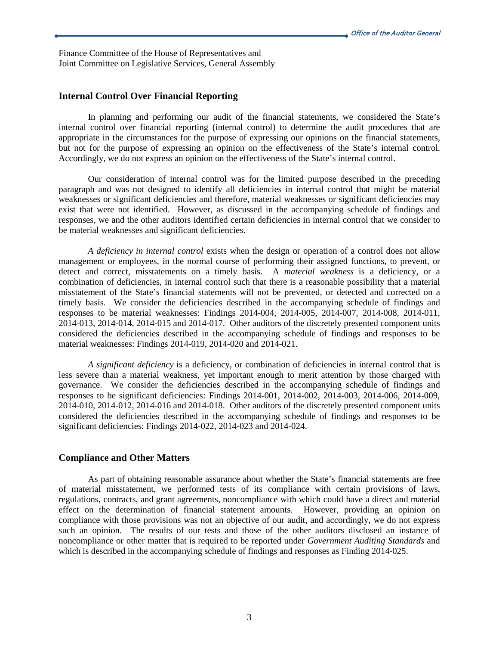Finance Committee of the House of Representatives and Joint Committee on Legislative Services, General Assembly

# **Internal Control Over Financial Reporting**

In planning and performing our audit of the financial statements, we considered the State's internal control over financial reporting (internal control) to determine the audit procedures that are appropriate in the circumstances for the purpose of expressing our opinions on the financial statements, but not for the purpose of expressing an opinion on the effectiveness of the State's internal control. Accordingly, we do not express an opinion on the effectiveness of the State's internal control.

Our consideration of internal control was for the limited purpose described in the preceding paragraph and was not designed to identify all deficiencies in internal control that might be material weaknesses or significant deficiencies and therefore, material weaknesses or significant deficiencies may exist that were not identified. However, as discussed in the accompanying schedule of findings and responses, we and the other auditors identified certain deficiencies in internal control that we consider to be material weaknesses and significant deficiencies.

*A deficiency in internal control* exists when the design or operation of a control does not allow management or employees, in the normal course of performing their assigned functions, to prevent, or detect and correct, misstatements on a timely basis. A *material weakness* is a deficiency, or a combination of deficiencies, in internal control such that there is a reasonable possibility that a material misstatement of the State's financial statements will not be prevented, or detected and corrected on a timely basis. We consider the deficiencies described in the accompanying schedule of findings and responses to be material weaknesses: Findings 2014-004, 2014-005, 2014-007, 2014-008, 2014-011, 2014-013, 2014-014, 2014-015 and 2014-017. Other auditors of the discretely presented component units considered the deficiencies described in the accompanying schedule of findings and responses to be material weaknesses: Findings 2014-019, 2014-020 and 2014-021.

*A significant deficiency* is a deficiency, or combination of deficiencies in internal control that is less severe than a material weakness, yet important enough to merit attention by those charged with governance. We consider the deficiencies described in the accompanying schedule of findings and responses to be significant deficiencies: Findings 2014-001, 2014-002, 2014-003, 2014-006, 2014-009, 2014-010, 2014-012, 2014-016 and 2014-018. Other auditors of the discretely presented component units considered the deficiencies described in the accompanying schedule of findings and responses to be significant deficiencies: Findings 2014-022, 2014-023 and 2014-024.

# **Compliance and Other Matters**

As part of obtaining reasonable assurance about whether the State's financial statements are free of material misstatement, we performed tests of its compliance with certain provisions of laws, regulations, contracts, and grant agreements, noncompliance with which could have a direct and material effect on the determination of financial statement amounts. However, providing an opinion on compliance with those provisions was not an objective of our audit, and accordingly, we do not express such an opinion. The results of our tests and those of the other auditors disclosed an instance of noncompliance or other matter that is required to be reported under *Government Auditing Standards* and which is described in the accompanying schedule of findings and responses as Finding 2014-025.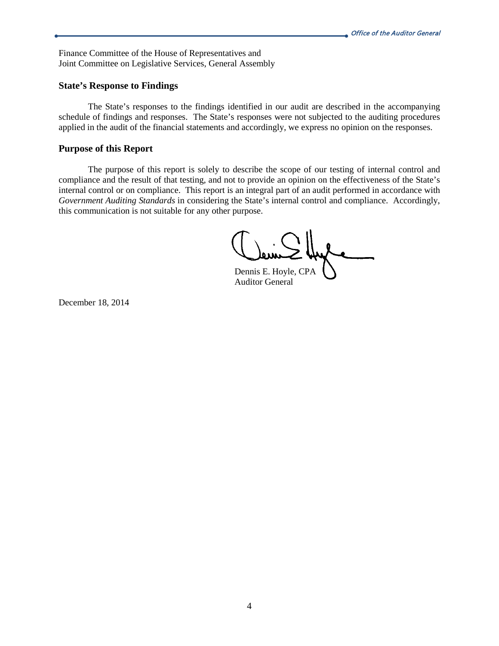Finance Committee of the House of Representatives and Joint Committee on Legislative Services, General Assembly

## **State's Response to Findings**

The State's responses to the findings identified in our audit are described in the accompanying schedule of findings and responses. The State's responses were not subjected to the auditing procedures applied in the audit of the financial statements and accordingly, we express no opinion on the responses.

# **Purpose of this Report**

The purpose of this report is solely to describe the scope of our testing of internal control and compliance and the result of that testing, and not to provide an opinion on the effectiveness of the State's internal control or on compliance. This report is an integral part of an audit performed in accordance with *Government Auditing Standards* in considering the State's internal control and compliance. Accordingly, this communication is not suitable for any other purpose.

Dennis E. Hoyle, CPA

Auditor General

December 18, 2014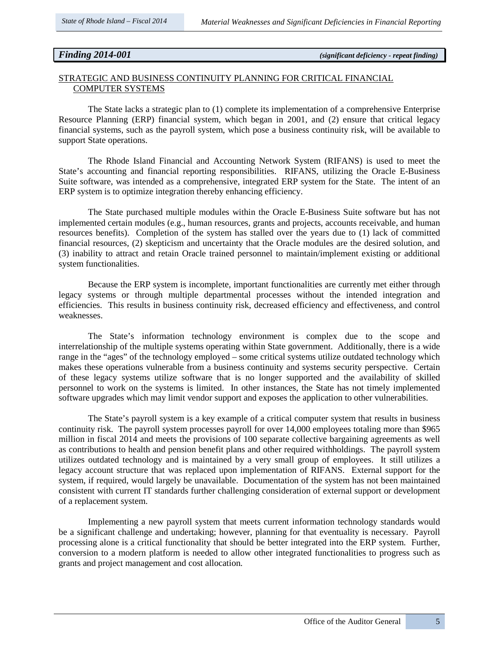*Finding 2014-001 (significant deficiency - repeat finding)*

# STRATEGIC AND BUSINESS CONTINUITY PLANNING FOR CRITICAL FINANCIAL COMPUTER SYSTEMS

The State lacks a strategic plan to (1) complete its implementation of a comprehensive Enterprise Resource Planning (ERP) financial system, which began in 2001, and (2) ensure that critical legacy financial systems, such as the payroll system, which pose a business continuity risk, will be available to support State operations.

The Rhode Island Financial and Accounting Network System (RIFANS) is used to meet the State's accounting and financial reporting responsibilities. RIFANS, utilizing the Oracle E-Business Suite software, was intended as a comprehensive, integrated ERP system for the State. The intent of an ERP system is to optimize integration thereby enhancing efficiency.

The State purchased multiple modules within the Oracle E-Business Suite software but has not implemented certain modules (e.g., human resources, grants and projects, accounts receivable, and human resources benefits). Completion of the system has stalled over the years due to (1) lack of committed financial resources, (2) skepticism and uncertainty that the Oracle modules are the desired solution, and (3) inability to attract and retain Oracle trained personnel to maintain/implement existing or additional system functionalities.

Because the ERP system is incomplete, important functionalities are currently met either through legacy systems or through multiple departmental processes without the intended integration and efficiencies. This results in business continuity risk, decreased efficiency and effectiveness, and control weaknesses.

The State's information technology environment is complex due to the scope and interrelationship of the multiple systems operating within State government. Additionally, there is a wide range in the "ages" of the technology employed – some critical systems utilize outdated technology which makes these operations vulnerable from a business continuity and systems security perspective. Certain of these legacy systems utilize software that is no longer supported and the availability of skilled personnel to work on the systems is limited. In other instances, the State has not timely implemented software upgrades which may limit vendor support and exposes the application to other vulnerabilities.

The State's payroll system is a key example of a critical computer system that results in business continuity risk. The payroll system processes payroll for over 14,000 employees totaling more than \$965 million in fiscal 2014 and meets the provisions of 100 separate collective bargaining agreements as well as contributions to health and pension benefit plans and other required withholdings. The payroll system utilizes outdated technology and is maintained by a very small group of employees. It still utilizes a legacy account structure that was replaced upon implementation of RIFANS. External support for the system, if required, would largely be unavailable. Documentation of the system has not been maintained consistent with current IT standards further challenging consideration of external support or development of a replacement system.

Implementing a new payroll system that meets current information technology standards would be a significant challenge and undertaking; however, planning for that eventuality is necessary. Payroll processing alone is a critical functionality that should be better integrated into the ERP system. Further, conversion to a modern platform is needed to allow other integrated functionalities to progress such as grants and project management and cost allocation.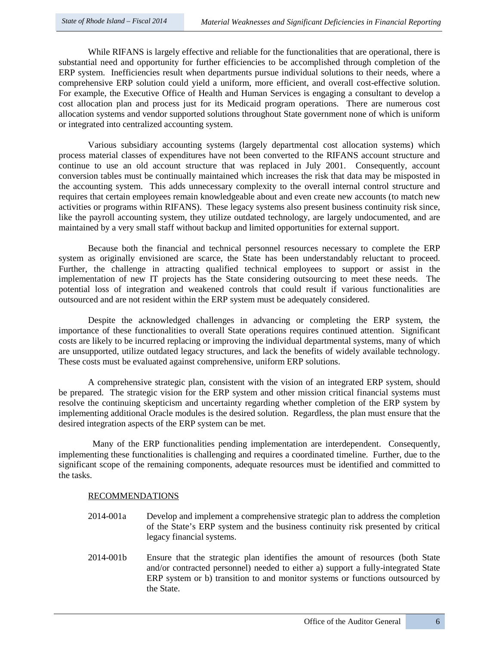While RIFANS is largely effective and reliable for the functionalities that are operational, there is substantial need and opportunity for further efficiencies to be accomplished through completion of the ERP system. Inefficiencies result when departments pursue individual solutions to their needs, where a comprehensive ERP solution could yield a uniform, more efficient, and overall cost-effective solution. For example, the Executive Office of Health and Human Services is engaging a consultant to develop a cost allocation plan and process just for its Medicaid program operations. There are numerous cost allocation systems and vendor supported solutions throughout State government none of which is uniform or integrated into centralized accounting system.

Various subsidiary accounting systems (largely departmental cost allocation systems) which process material classes of expenditures have not been converted to the RIFANS account structure and continue to use an old account structure that was replaced in July 2001. Consequently, account conversion tables must be continually maintained which increases the risk that data may be misposted in the accounting system. This adds unnecessary complexity to the overall internal control structure and requires that certain employees remain knowledgeable about and even create new accounts (to match new activities or programs within RIFANS). These legacy systems also present business continuity risk since, like the payroll accounting system, they utilize outdated technology, are largely undocumented, and are maintained by a very small staff without backup and limited opportunities for external support.

Because both the financial and technical personnel resources necessary to complete the ERP system as originally envisioned are scarce, the State has been understandably reluctant to proceed. Further, the challenge in attracting qualified technical employees to support or assist in the implementation of new IT projects has the State considering outsourcing to meet these needs. The potential loss of integration and weakened controls that could result if various functionalities are outsourced and are not resident within the ERP system must be adequately considered.

Despite the acknowledged challenges in advancing or completing the ERP system, the importance of these functionalities to overall State operations requires continued attention. Significant costs are likely to be incurred replacing or improving the individual departmental systems, many of which are unsupported, utilize outdated legacy structures, and lack the benefits of widely available technology. These costs must be evaluated against comprehensive, uniform ERP solutions.

A comprehensive strategic plan, consistent with the vision of an integrated ERP system, should be prepared. The strategic vision for the ERP system and other mission critical financial systems must resolve the continuing skepticism and uncertainty regarding whether completion of the ERP system by implementing additional Oracle modules is the desired solution. Regardless, the plan must ensure that the desired integration aspects of the ERP system can be met.

 Many of the ERP functionalities pending implementation are interdependent. Consequently, implementing these functionalities is challenging and requires a coordinated timeline. Further, due to the significant scope of the remaining components, adequate resources must be identified and committed to the tasks.

### RECOMMENDATIONS

- 2014-001a Develop and implement a comprehensive strategic plan to address the completion of the State's ERP system and the business continuity risk presented by critical legacy financial systems.
- 2014-001b Ensure that the strategic plan identifies the amount of resources (both State and/or contracted personnel) needed to either a) support a fully-integrated State ERP system or b) transition to and monitor systems or functions outsourced by the State.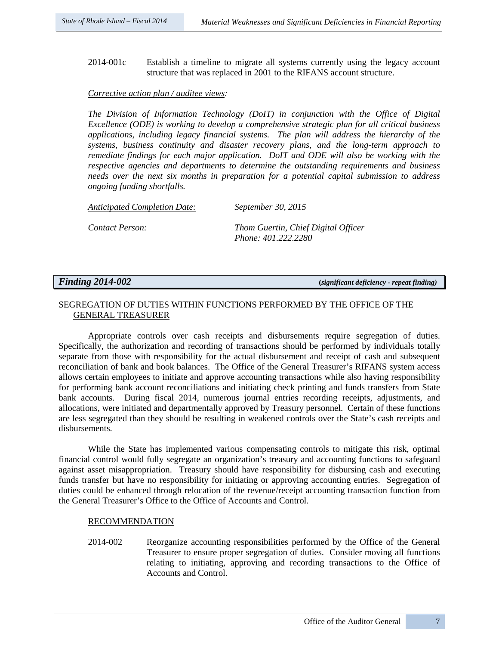2014-001c Establish a timeline to migrate all systems currently using the legacy account structure that was replaced in 2001 to the RIFANS account structure.

## *Corrective action plan / auditee views:*

*The Division of Information Technology (DoIT) in conjunction with the Office of Digital Excellence (ODE) is working to develop a comprehensive strategic plan for all critical business applications, including legacy financial systems. The plan will address the hierarchy of the systems, business continuity and disaster recovery plans, and the long-term approach to remediate findings for each major application. DoIT and ODE will also be working with the respective agencies and departments to determine the outstanding requirements and business needs over the next six months in preparation for a potential capital submission to address ongoing funding shortfalls.*

*Anticipated Completion Date: September 30, 2015*

*Contact Person: Thom Guertin, Chief Digital Officer Phone: 401.222.2280*

*Finding 2014-002* **(***significant deficiency - repeat finding)*

# SEGREGATION OF DUTIES WITHIN FUNCTIONS PERFORMED BY THE OFFICE OF THE GENERAL TREASURER

Appropriate controls over cash receipts and disbursements require segregation of duties. Specifically, the authorization and recording of transactions should be performed by individuals totally separate from those with responsibility for the actual disbursement and receipt of cash and subsequent reconciliation of bank and book balances. The Office of the General Treasurer's RIFANS system access allows certain employees to initiate and approve accounting transactions while also having responsibility for performing bank account reconciliations and initiating check printing and funds transfers from State bank accounts. During fiscal 2014, numerous journal entries recording receipts, adjustments, and allocations, were initiated and departmentally approved by Treasury personnel. Certain of these functions are less segregated than they should be resulting in weakened controls over the State's cash receipts and disbursements.

While the State has implemented various compensating controls to mitigate this risk, optimal financial control would fully segregate an organization's treasury and accounting functions to safeguard against asset misappropriation. Treasury should have responsibility for disbursing cash and executing funds transfer but have no responsibility for initiating or approving accounting entries. Segregation of duties could be enhanced through relocation of the revenue/receipt accounting transaction function from the General Treasurer's Office to the Office of Accounts and Control.

# RECOMMENDATION

2014-002 Reorganize accounting responsibilities performed by the Office of the General Treasurer to ensure proper segregation of duties. Consider moving all functions relating to initiating, approving and recording transactions to the Office of Accounts and Control.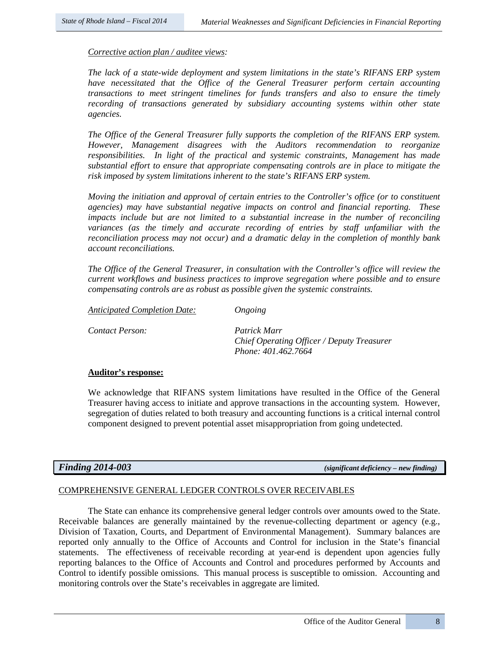#### *Corrective action plan / auditee views:*

*The lack of a state-wide deployment and system limitations in the state's RIFANS ERP system have necessitated that the Office of the General Treasurer perform certain accounting transactions to meet stringent timelines for funds transfers and also to ensure the timely recording of transactions generated by subsidiary accounting systems within other state agencies.*

*The Office of the General Treasurer fully supports the completion of the RIFANS ERP system. However, Management disagrees with the Auditors recommendation to reorganize responsibilities. In light of the practical and systemic constraints, Management has made substantial effort to ensure that appropriate compensating controls are in place to mitigate the risk imposed by system limitations inherent to the state's RIFANS ERP system.* 

*Moving the initiation and approval of certain entries to the Controller's office (or to constituent agencies) may have substantial negative impacts on control and financial reporting. These impacts include but are not limited to a substantial increase in the number of reconciling variances (as the timely and accurate recording of entries by staff unfamiliar with the reconciliation process may not occur) and a dramatic delay in the completion of monthly bank account reconciliations.*

*The Office of the General Treasurer, in consultation with the Controller's office will review the current workflows and business practices to improve segregation where possible and to ensure compensating controls are as robust as possible given the systemic constraints.*

*Anticipated Completion Date: Ongoing*

*Contact Person: Patrick Marr* 

*Chief Operating Officer / Deputy Treasurer Phone: 401.462.7664* 

### **Auditor's response:**

We acknowledge that RIFANS system limitations have resulted in the Office of the General Treasurer having access to initiate and approve transactions in the accounting system. However, segregation of duties related to both treasury and accounting functions is a critical internal control component designed to prevent potential asset misappropriation from going undetected.

*Finding 2014-003 (significant deficiency – new finding)* 

#### COMPREHENSIVE GENERAL LEDGER CONTROLS OVER RECEIVABLES

The State can enhance its comprehensive general ledger controls over amounts owed to the State. Receivable balances are generally maintained by the revenue-collecting department or agency (e.g., Division of Taxation, Courts, and Department of Environmental Management). Summary balances are reported only annually to the Office of Accounts and Control for inclusion in the State's financial statements. The effectiveness of receivable recording at year-end is dependent upon agencies fully reporting balances to the Office of Accounts and Control and procedures performed by Accounts and Control to identify possible omissions. This manual process is susceptible to omission. Accounting and monitoring controls over the State's receivables in aggregate are limited.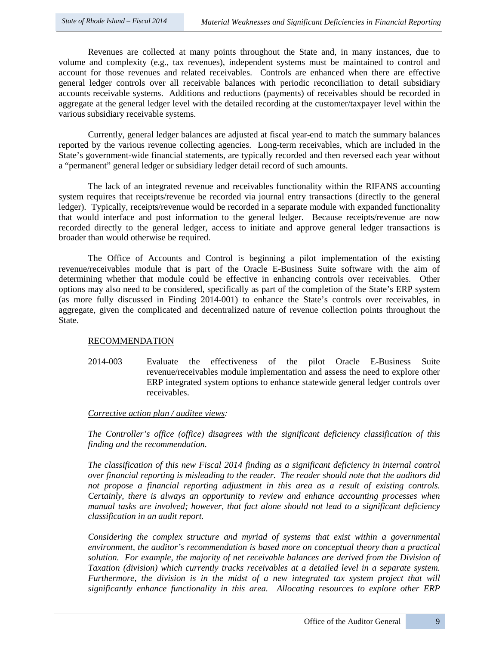Revenues are collected at many points throughout the State and, in many instances, due to volume and complexity (e.g., tax revenues), independent systems must be maintained to control and account for those revenues and related receivables. Controls are enhanced when there are effective general ledger controls over all receivable balances with periodic reconciliation to detail subsidiary accounts receivable systems. Additions and reductions (payments) of receivables should be recorded in aggregate at the general ledger level with the detailed recording at the customer/taxpayer level within the various subsidiary receivable systems.

Currently, general ledger balances are adjusted at fiscal year-end to match the summary balances reported by the various revenue collecting agencies. Long-term receivables, which are included in the State's government-wide financial statements, are typically recorded and then reversed each year without a "permanent" general ledger or subsidiary ledger detail record of such amounts.

The lack of an integrated revenue and receivables functionality within the RIFANS accounting system requires that receipts/revenue be recorded via journal entry transactions (directly to the general ledger). Typically, receipts/revenue would be recorded in a separate module with expanded functionality that would interface and post information to the general ledger. Because receipts/revenue are now recorded directly to the general ledger, access to initiate and approve general ledger transactions is broader than would otherwise be required.

The Office of Accounts and Control is beginning a pilot implementation of the existing revenue/receivables module that is part of the Oracle E-Business Suite software with the aim of determining whether that module could be effective in enhancing controls over receivables. Other options may also need to be considered, specifically as part of the completion of the State's ERP system (as more fully discussed in Finding 2014-001) to enhance the State's controls over receivables, in aggregate, given the complicated and decentralized nature of revenue collection points throughout the State.

# RECOMMENDATION

2014-003 Evaluate the effectiveness of the pilot Oracle E-Business Suite revenue/receivables module implementation and assess the need to explore other ERP integrated system options to enhance statewide general ledger controls over receivables.

### *Corrective action plan / auditee views:*

*The Controller's office (office) disagrees with the significant deficiency classification of this finding and the recommendation.* 

*The classification of this new Fiscal 2014 finding as a significant deficiency in internal control over financial reporting is misleading to the reader. The reader should note that the auditors did not propose a financial reporting adjustment in this area as a result of existing controls. Certainly, there is always an opportunity to review and enhance accounting processes when manual tasks are involved; however, that fact alone should not lead to a significant deficiency classification in an audit report.*

*Considering the complex structure and myriad of systems that exist within a governmental environment, the auditor's recommendation is based more on conceptual theory than a practical solution. For example, the majority of net receivable balances are derived from the Division of Taxation (division) which currently tracks receivables at a detailed level in a separate system. Furthermore, the division is in the midst of a new integrated tax system project that will significantly enhance functionality in this area. Allocating resources to explore other ERP*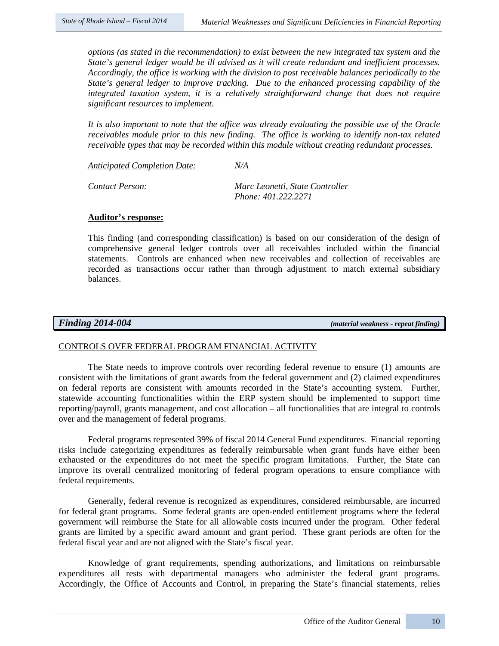*options (as stated in the recommendation) to exist between the new integrated tax system and the State's general ledger would be ill advised as it will create redundant and inefficient processes. Accordingly, the office is working with the division to post receivable balances periodically to the State's general ledger to improve tracking. Due to the enhanced processing capability of the integrated taxation system, it is a relatively straightforward change that does not require significant resources to implement.* 

*It is also important to note that the office was already evaluating the possible use of the Oracle receivables module prior to this new finding. The office is working to identify non-tax related receivable types that may be recorded within this module without creating redundant processes.* 

*Anticipated Completion Date: N/A Contact Person: Marc Leonetti, State Controller*

 *Phone: 401.222.2271*

# **Auditor's response:**

This finding (and corresponding classification) is based on our consideration of the design of comprehensive general ledger controls over all receivables included within the financial statements. Controls are enhanced when new receivables and collection of receivables are recorded as transactions occur rather than through adjustment to match external subsidiary balances.

*Finding 2014-004 (material weakness - repeat finding)*

# CONTROLS OVER FEDERAL PROGRAM FINANCIAL ACTIVITY

The State needs to improve controls over recording federal revenue to ensure (1) amounts are consistent with the limitations of grant awards from the federal government and (2) claimed expenditures on federal reports are consistent with amounts recorded in the State's accounting system. Further, statewide accounting functionalities within the ERP system should be implemented to support time reporting/payroll, grants management, and cost allocation – all functionalities that are integral to controls over and the management of federal programs.

Federal programs represented 39% of fiscal 2014 General Fund expenditures. Financial reporting risks include categorizing expenditures as federally reimbursable when grant funds have either been exhausted or the expenditures do not meet the specific program limitations. Further, the State can improve its overall centralized monitoring of federal program operations to ensure compliance with federal requirements.

Generally, federal revenue is recognized as expenditures, considered reimbursable, are incurred for federal grant programs. Some federal grants are open-ended entitlement programs where the federal government will reimburse the State for all allowable costs incurred under the program. Other federal grants are limited by a specific award amount and grant period. These grant periods are often for the federal fiscal year and are not aligned with the State's fiscal year.

Knowledge of grant requirements, spending authorizations, and limitations on reimbursable expenditures all rests with departmental managers who administer the federal grant programs. Accordingly, the Office of Accounts and Control, in preparing the State's financial statements, relies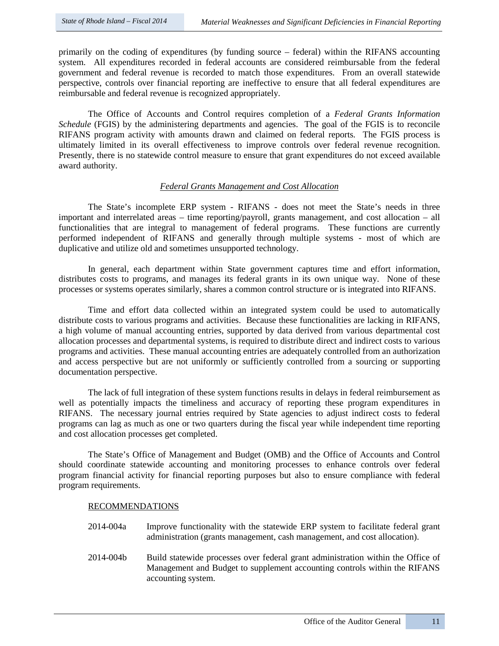primarily on the coding of expenditures (by funding source – federal) within the RIFANS accounting system. All expenditures recorded in federal accounts are considered reimbursable from the federal government and federal revenue is recorded to match those expenditures. From an overall statewide perspective, controls over financial reporting are ineffective to ensure that all federal expenditures are reimbursable and federal revenue is recognized appropriately.

The Office of Accounts and Control requires completion of a *Federal Grants Information Schedule* (FGIS) by the administering departments and agencies. The goal of the FGIS is to reconcile RIFANS program activity with amounts drawn and claimed on federal reports. The FGIS process is ultimately limited in its overall effectiveness to improve controls over federal revenue recognition. Presently, there is no statewide control measure to ensure that grant expenditures do not exceed available award authority.

# *Federal Grants Management and Cost Allocation*

The State's incomplete ERP system - RIFANS - does not meet the State's needs in three important and interrelated areas – time reporting/payroll, grants management, and cost allocation – all functionalities that are integral to management of federal programs. These functions are currently performed independent of RIFANS and generally through multiple systems - most of which are duplicative and utilize old and sometimes unsupported technology.

In general, each department within State government captures time and effort information, distributes costs to programs, and manages its federal grants in its own unique way. None of these processes or systems operates similarly, shares a common control structure or is integrated into RIFANS.

Time and effort data collected within an integrated system could be used to automatically distribute costs to various programs and activities. Because these functionalities are lacking in RIFANS, a high volume of manual accounting entries, supported by data derived from various departmental cost allocation processes and departmental systems, is required to distribute direct and indirect costs to various programs and activities. These manual accounting entries are adequately controlled from an authorization and access perspective but are not uniformly or sufficiently controlled from a sourcing or supporting documentation perspective.

The lack of full integration of these system functions results in delays in federal reimbursement as well as potentially impacts the timeliness and accuracy of reporting these program expenditures in RIFANS. The necessary journal entries required by State agencies to adjust indirect costs to federal programs can lag as much as one or two quarters during the fiscal year while independent time reporting and cost allocation processes get completed.

The State's Office of Management and Budget (OMB) and the Office of Accounts and Control should coordinate statewide accounting and monitoring processes to enhance controls over federal program financial activity for financial reporting purposes but also to ensure compliance with federal program requirements.

### RECOMMENDATIONS

- 2014-004a Improve functionality with the statewide ERP system to facilitate federal grant administration (grants management, cash management, and cost allocation).
- 2014-004b Build statewide processes over federal grant administration within the Office of Management and Budget to supplement accounting controls within the RIFANS accounting system.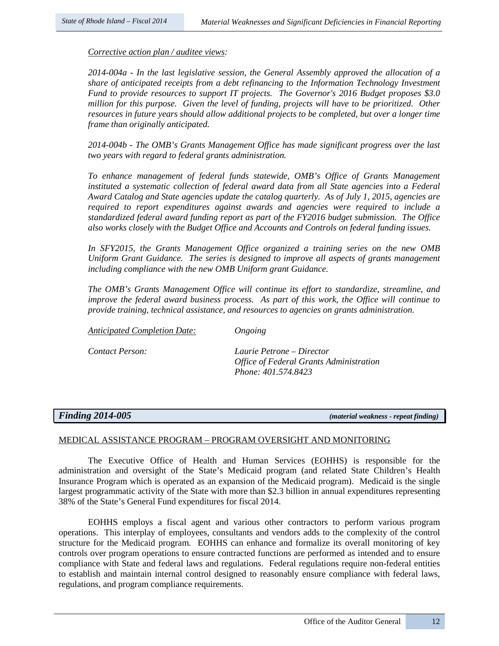*Corrective action plan / auditee views:* 

*2014-004a - In the last legislative session, the General Assembly approved the allocation of a share of anticipated receipts from a debt refinancing to the Information Technology Investment Fund to provide resources to support IT projects. The Governor's 2016 Budget proposes \$3.0 million for this purpose. Given the level of funding, projects will have to be prioritized. Other resources in future years should allow additional projects to be completed, but over a longer time frame than originally anticipated.* 

*2014-004b - The OMB's Grants Management Office has made significant progress over the last two years with regard to federal grants administration.* 

*To enhance management of federal funds statewide, OMB's Office of Grants Management instituted a systematic collection of federal award data from all State agencies into a Federal Award Catalog and State agencies update the catalog quarterly. As of July 1, 2015, agencies are required to report expenditures against awards and agencies were required to include a standardized federal award funding report as part of the FY2016 budget submission. The Office also works closely with the Budget Office and Accounts and Controls on federal funding issues.* 

*In SFY2015, the Grants Management Office organized a training series on the new OMB Uniform Grant Guidance. The series is designed to improve all aspects of grants management including compliance with the new OMB Uniform grant Guidance.* 

*The OMB's Grants Management Office will continue its effort to standardize, streamline, and improve the federal award business process. As part of this work, the Office will continue to provide training, technical assistance, and resources to agencies on grants administration.*

*Anticipated Completion Date: Ongoing* 

*Contact Person: Laurie Petrone – Director Office of Federal Grants Administration Phone: 401.574.8423*

*Finding 2014-005 (material weakness - repeat finding)* 

# MEDICAL ASSISTANCE PROGRAM – PROGRAM OVERSIGHT AND MONITORING

The Executive Office of Health and Human Services (EOHHS) is responsible for the administration and oversight of the State's Medicaid program (and related State Children's Health Insurance Program which is operated as an expansion of the Medicaid program). Medicaid is the single largest programmatic activity of the State with more than \$2.3 billion in annual expenditures representing 38% of the State's General Fund expenditures for fiscal 2014.

EOHHS employs a fiscal agent and various other contractors to perform various program operations. This interplay of employees, consultants and vendors adds to the complexity of the control structure for the Medicaid program. EOHHS can enhance and formalize its overall monitoring of key controls over program operations to ensure contracted functions are performed as intended and to ensure compliance with State and federal laws and regulations. Federal regulations require non-federal entities to establish and maintain internal control designed to reasonably ensure compliance with federal laws, regulations, and program compliance requirements.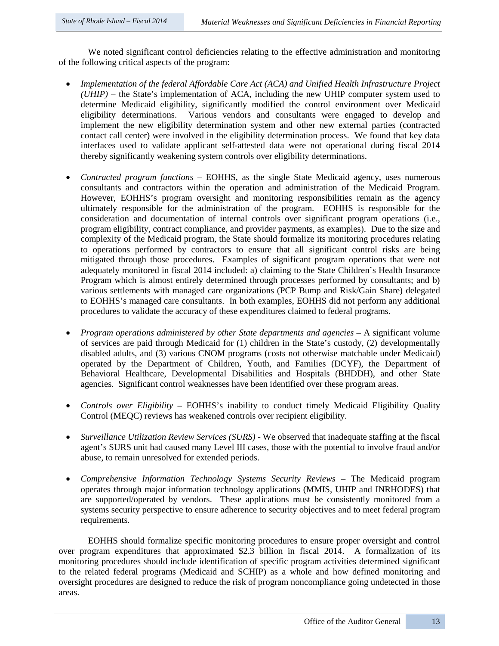We noted significant control deficiencies relating to the effective administration and monitoring of the following critical aspects of the program:

- *Implementation of the federal Affordable Care Act (ACA) and Unified Health Infrastructure Project (UHIP) –* the State's implementation of ACA, including the new UHIP computer system used to determine Medicaid eligibility, significantly modified the control environment over Medicaid eligibility determinations. Various vendors and consultants were engaged to develop and implement the new eligibility determination system and other new external parties (contracted contact call center) were involved in the eligibility determination process. We found that key data interfaces used to validate applicant self-attested data were not operational during fiscal 2014 thereby significantly weakening system controls over eligibility determinations.
- *Contracted program functions –* EOHHS, as the single State Medicaid agency, uses numerous consultants and contractors within the operation and administration of the Medicaid Program. However, EOHHS's program oversight and monitoring responsibilities remain as the agency ultimately responsible for the administration of the program. EOHHS is responsible for the consideration and documentation of internal controls over significant program operations (i.e., program eligibility, contract compliance, and provider payments, as examples). Due to the size and complexity of the Medicaid program, the State should formalize its monitoring procedures relating to operations performed by contractors to ensure that all significant control risks are being mitigated through those procedures. Examples of significant program operations that were not adequately monitored in fiscal 2014 included: a) claiming to the State Children's Health Insurance Program which is almost entirely determined through processes performed by consultants; and b) various settlements with managed care organizations (PCP Bump and Risk/Gain Share) delegated to EOHHS's managed care consultants. In both examples, EOHHS did not perform any additional procedures to validate the accuracy of these expenditures claimed to federal programs.
- *Program operations administered by other State departments and agencies* A significant volume of services are paid through Medicaid for (1) children in the State's custody, (2) developmentally disabled adults, and (3) various CNOM programs (costs not otherwise matchable under Medicaid) operated by the Department of Children, Youth, and Families (DCYF), the Department of Behavioral Healthcare, Developmental Disabilities and Hospitals (BHDDH), and other State agencies. Significant control weaknesses have been identified over these program areas.
- *Controls over Eligibility –* EOHHS's inability to conduct timely Medicaid Eligibility Quality Control (MEQC) reviews has weakened controls over recipient eligibility.
- *Surveillance Utilization Review Services (SURS)* We observed that inadequate staffing at the fiscal agent's SURS unit had caused many Level III cases, those with the potential to involve fraud and/or abuse, to remain unresolved for extended periods.
- *Comprehensive Information Technology Systems Security Reviews –* The Medicaid program operates through major information technology applications (MMIS, UHIP and INRHODES) that are supported/operated by vendors. These applications must be consistently monitored from a systems security perspective to ensure adherence to security objectives and to meet federal program requirements.

 EOHHS should formalize specific monitoring procedures to ensure proper oversight and control over program expenditures that approximated \$2.3 billion in fiscal 2014. A formalization of its monitoring procedures should include identification of specific program activities determined significant to the related federal programs (Medicaid and SCHIP) as a whole and how defined monitoring and oversight procedures are designed to reduce the risk of program noncompliance going undetected in those areas.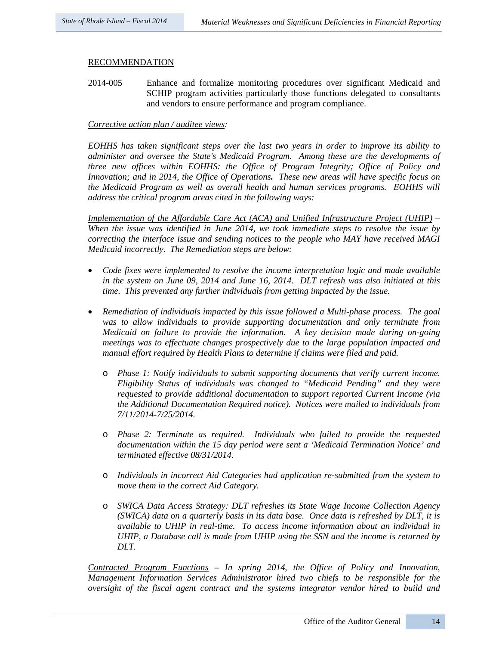## RECOMMENDATION

2014-005 Enhance and formalize monitoring procedures over significant Medicaid and SCHIP program activities particularly those functions delegated to consultants and vendors to ensure performance and program compliance.

### *Corrective action plan / auditee views:*

*EOHHS has taken significant steps over the last two years in order to improve its ability to administer and oversee the State's Medicaid Program. Among these are the developments of three new offices within EOHHS: the Office of Program Integrity; Office of Policy and Innovation; and in 2014, the Office of Operations. These new areas will have specific focus on the Medicaid Program as well as overall health and human services programs. EOHHS will address the critical program areas cited in the following ways:*

*Implementation of the Affordable Care Act (ACA) and Unified Infrastructure Project (UHIP) – When the issue was identified in June 2014, we took immediate steps to resolve the issue by correcting the interface issue and sending notices to the people who MAY have received MAGI Medicaid incorrectly. The Remediation steps are below:*

- *Code fixes were implemented to resolve the income interpretation logic and made available in the system on June 09, 2014 and June 16, 2014. DLT refresh was also initiated at this time. This prevented any further individuals from getting impacted by the issue.*
- *Remediation of individuals impacted by this issue followed a Multi-phase process. The goal was to allow individuals to provide supporting documentation and only terminate from Medicaid on failure to provide the information. A key decision made during on-going meetings was to effectuate changes prospectively due to the large population impacted and manual effort required by Health Plans to determine if claims were filed and paid.*
	- o *Phase 1: Notify individuals to submit supporting documents that verify current income. Eligibility Status of individuals was changed to "Medicaid Pending" and they were requested to provide additional documentation to support reported Current Income (via the Additional Documentation Required notice). Notices were mailed to individuals from 7/11/2014-7/25/2014.*
	- o *Phase 2: Terminate as required. Individuals who failed to provide the requested documentation within the 15 day period were sent a 'Medicaid Termination Notice' and terminated effective 08/31/2014.*
	- o *Individuals in incorrect Aid Categories had application re-submitted from the system to move them in the correct Aid Category.*
	- o *SWICA Data Access Strategy: DLT refreshes its State Wage Income Collection Agency (SWICA) data on a quarterly basis in its data base. Once data is refreshed by DLT, it is available to UHIP in real-time. To access income information about an individual in UHIP, a Database call is made from UHIP using the SSN and the income is returned by DLT.*

*Contracted Program Functions – In spring 2014, the Office of Policy and Innovation, Management Information Services Administrator hired two chiefs to be responsible for the oversight of the fiscal agent contract and the systems integrator vendor hired to build and*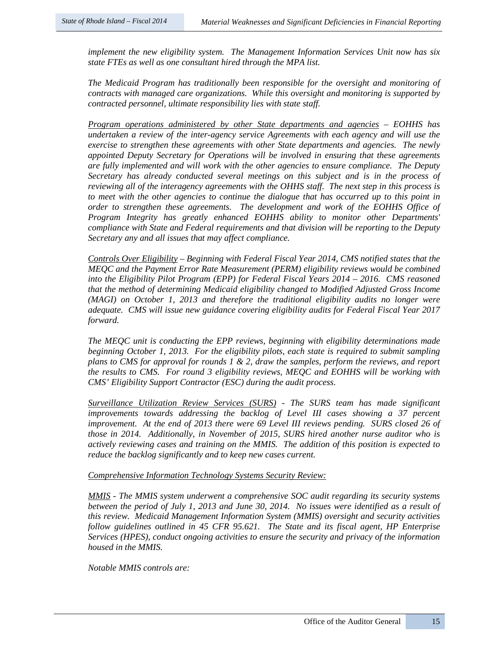*implement the new eligibility system. The Management Information Services Unit now has six state FTEs as well as one consultant hired through the MPA list.*

*The Medicaid Program has traditionally been responsible for the oversight and monitoring of contracts with managed care organizations. While this oversight and monitoring is supported by contracted personnel, ultimate responsibility lies with state staff.* 

*Program operations administered by other State departments and agencies – EOHHS has undertaken a review of the inter-agency service Agreements with each agency and will use the exercise to strengthen these agreements with other State departments and agencies. The newly appointed Deputy Secretary for Operations will be involved in ensuring that these agreements are fully implemented and will work with the other agencies to ensure compliance. The Deputy Secretary has already conducted several meetings on this subject and is in the process of reviewing all of the interagency agreements with the OHHS staff. The next step in this process is to meet with the other agencies to continue the dialogue that has occurred up to this point in order to strengthen these agreements. The development and work of the EOHHS Office of Program Integrity has greatly enhanced EOHHS ability to monitor other Departments' compliance with State and Federal requirements and that division will be reporting to the Deputy Secretary any and all issues that may affect compliance.*

*Controls Over Eligibility – Beginning with Federal Fiscal Year 2014, CMS notified states that the MEQC and the Payment Error Rate Measurement (PERM) eligibility reviews would be combined into the Eligibility Pilot Program (EPP) for Federal Fiscal Years 2014 – 2016. CMS reasoned that the method of determining Medicaid eligibility changed to Modified Adjusted Gross Income (MAGI) on October 1, 2013 and therefore the traditional eligibility audits no longer were adequate. CMS will issue new guidance covering eligibility audits for Federal Fiscal Year 2017 forward.*

*The MEQC unit is conducting the EPP reviews, beginning with eligibility determinations made beginning October 1, 2013. For the eligibility pilots, each state is required to submit sampling plans to CMS for approval for rounds 1 & 2, draw the samples, perform the reviews, and report the results to CMS. For round 3 eligibility reviews, MEQC and EOHHS will be working with CMS' Eligibility Support Contractor (ESC) during the audit process.*

*Surveillance Utilization Review Services (SURS) - The SURS team has made significant improvements towards addressing the backlog of Level III cases showing a 37 percent improvement.* At the end of 2013 there were 69 Level III reviews pending. SURS closed 26 of *those in 2014. Additionally, in November of 2015, SURS hired another nurse auditor who is actively reviewing cases and training on the MMIS. The addition of this position is expected to reduce the backlog significantly and to keep new cases current.*

*Comprehensive Information Technology Systems Security Review:*

*MMIS - The MMIS system underwent a comprehensive SOC audit regarding its security systems between the period of July 1, 2013 and June 30, 2014. No issues were identified as a result of this review. Medicaid Management Information System (MMIS) oversight and security activities follow guidelines outlined in 45 CFR 95.621. The State and its fiscal agent, HP Enterprise Services (HPES), conduct ongoing activities to ensure the security and privacy of the information housed in the MMIS.* 

*Notable MMIS controls are:*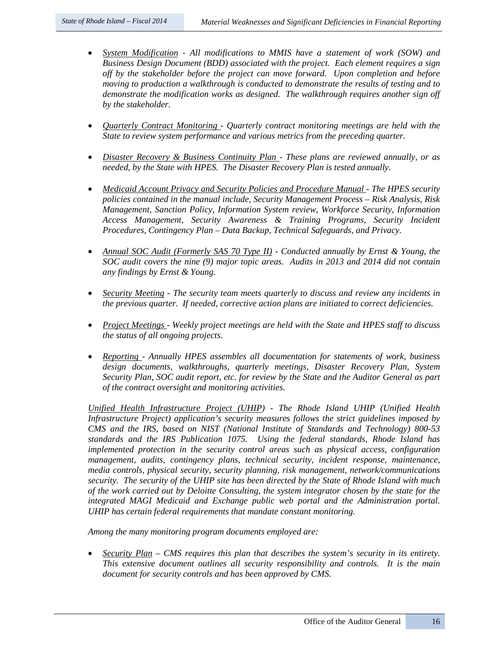- *System Modification - All modifications to MMIS have a statement of work (SOW) and Business Design Document (BDD) associated with the project. Each element requires a sign off by the stakeholder before the project can move forward. Upon completion and before moving to production a walkthrough is conducted to demonstrate the results of testing and to demonstrate the modification works as designed. The walkthrough requires another sign off by the stakeholder.*
- *Quarterly Contract Monitoring - Quarterly contract monitoring meetings are held with the State to review system performance and various metrics from the preceding quarter.*
- *Disaster Recovery & Business Continuity Plan - These plans are reviewed annually, or as needed, by the State with HPES. The Disaster Recovery Plan is tested annually.*
- *Medicaid Account Privacy and Security Policies and Procedure Manual - The HPES security policies contained in the manual include, Security Management Process – Risk Analysis, Risk Management, Sanction Policy, Information System review, Workforce Security, Information Access Management, Security Awareness & Training Programs, Security Incident Procedures, Contingency Plan – Data Backup, Technical Safeguards, and Privacy.*
- *Annual SOC Audit (Formerly SAS 70 Type II) - Conducted annually by Ernst & Young, the SOC audit covers the nine (9) major topic areas. Audits in 2013 and 2014 did not contain any findings by Ernst & Young.*
- *Security Meeting - The security team meets quarterly to discuss and review any incidents in the previous quarter. If needed, corrective action plans are initiated to correct deficiencies.*
- *Project Meetings - Weekly project meetings are held with the State and HPES staff to discuss the status of all ongoing projects.*
- *Reporting - Annually HPES assembles all documentation for statements of work, business design documents, walkthroughs, quarterly meetings, Disaster Recovery Plan, System Security Plan, SOC audit report, etc. for review by the State and the Auditor General as part of the contract oversight and monitoring activities.*

*Unified Health Infrastructure Project (UHIP) - The Rhode Island UHIP (Unified Health Infrastructure Project) application's security measures follows the strict guidelines imposed by CMS and the IRS, based on NIST (National Institute of Standards and Technology) 800-53 standards and the IRS Publication 1075. Using the federal standards, Rhode Island has implemented protection in the security control areas such as physical access, configuration management, audits, contingency plans, technical security, incident response, maintenance, media controls, physical security, security planning, risk management, network/communications security. The security of the UHIP site has been directed by the State of Rhode Island with much of the work carried out by Deloitte Consulting, the system integrator chosen by the state for the integrated MAGI Medicaid and Exchange public web portal and the Administration portal. UHIP has certain federal requirements that mandate constant monitoring.* 

*Among the many monitoring program documents employed are:* 

• *Security Plan – CMS requires this plan that describes the system's security in its entirety. This extensive document outlines all security responsibility and controls. It is the main document for security controls and has been approved by CMS.*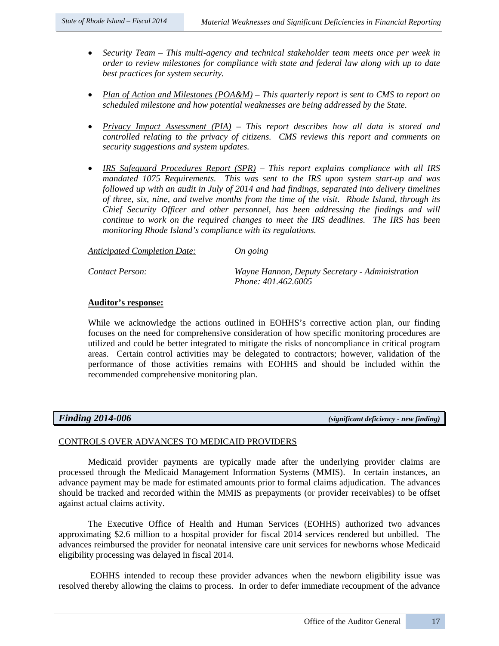- *Security Team – This multi-agency and technical stakeholder team meets once per week in order to review milestones for compliance with state and federal law along with up to date best practices for system security.*
- *Plan of Action and Milestones (POA&M) – This quarterly report is sent to CMS to report on scheduled milestone and how potential weaknesses are being addressed by the State.*
- *Privacy Impact Assessment (PIA) – This report describes how all data is stored and controlled relating to the privacy of citizens. CMS reviews this report and comments on security suggestions and system updates.*
- *IRS Safeguard Procedures Report (SPR) – This report explains compliance with all IRS mandated 1075 Requirements. This was sent to the IRS upon system start-up and was followed up with an audit in July of 2014 and had findings, separated into delivery timelines of three, six, nine, and twelve months from the time of the visit. Rhode Island, through its Chief Security Officer and other personnel, has been addressing the findings and will continue to work on the required changes to meet the IRS deadlines. The IRS has been monitoring Rhode Island's compliance with its regulations.*

| Anticipated Completion Date: | On going                                                               |
|------------------------------|------------------------------------------------------------------------|
| Contact Person:              | Wayne Hannon, Deputy Secretary - Administration<br>Phone: 401.462.6005 |

# **Auditor's response:**

While we acknowledge the actions outlined in EOHHS's corrective action plan, our finding focuses on the need for comprehensive consideration of how specific monitoring procedures are utilized and could be better integrated to mitigate the risks of noncompliance in critical program areas. Certain control activities may be delegated to contractors; however, validation of the performance of those activities remains with EOHHS and should be included within the recommended comprehensive monitoring plan.

*Finding 2014-006 (significant deficiency - new finding)*

# CONTROLS OVER ADVANCES TO MEDICAID PROVIDERS

Medicaid provider payments are typically made after the underlying provider claims are processed through the Medicaid Management Information Systems (MMIS). In certain instances, an advance payment may be made for estimated amounts prior to formal claims adjudication. The advances should be tracked and recorded within the MMIS as prepayments (or provider receivables) to be offset against actual claims activity.

The Executive Office of Health and Human Services (EOHHS) authorized two advances approximating \$2.6 million to a hospital provider for fiscal 2014 services rendered but unbilled. The advances reimbursed the provider for neonatal intensive care unit services for newborns whose Medicaid eligibility processing was delayed in fiscal 2014.

EOHHS intended to recoup these provider advances when the newborn eligibility issue was resolved thereby allowing the claims to process. In order to defer immediate recoupment of the advance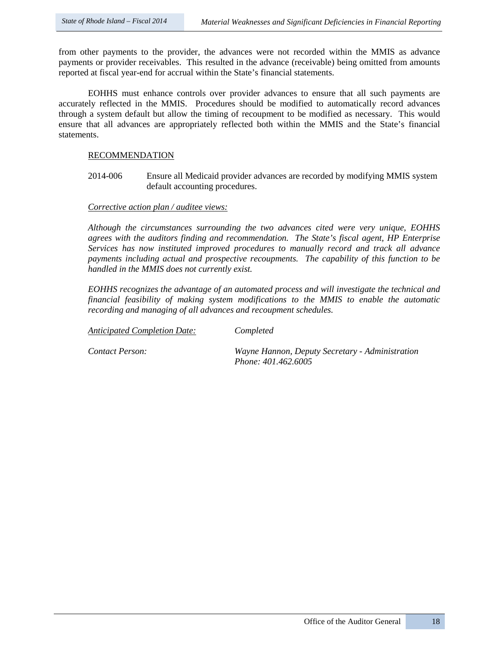from other payments to the provider, the advances were not recorded within the MMIS as advance payments or provider receivables. This resulted in the advance (receivable) being omitted from amounts reported at fiscal year-end for accrual within the State's financial statements.

EOHHS must enhance controls over provider advances to ensure that all such payments are accurately reflected in the MMIS. Procedures should be modified to automatically record advances through a system default but allow the timing of recoupment to be modified as necessary. This would ensure that all advances are appropriately reflected both within the MMIS and the State's financial statements.

## RECOMMENDATION

2014-006 Ensure all Medicaid provider advances are recorded by modifying MMIS system default accounting procedures.

### *Corrective action plan / auditee views:*

*Although the circumstances surrounding the two advances cited were very unique, EOHHS agrees with the auditors finding and recommendation. The State's fiscal agent, HP Enterprise Services has now instituted improved procedures to manually record and track all advance payments including actual and prospective recoupments. The capability of this function to be handled in the MMIS does not currently exist.* 

*EOHHS recognizes the advantage of an automated process and will investigate the technical and financial feasibility of making system modifications to the MMIS to enable the automatic recording and managing of all advances and recoupment schedules.* 

*Anticipated Completion Date: Completed*

*Contact Person: Wayne Hannon, Deputy Secretary - Administration Phone: 401.462.6005*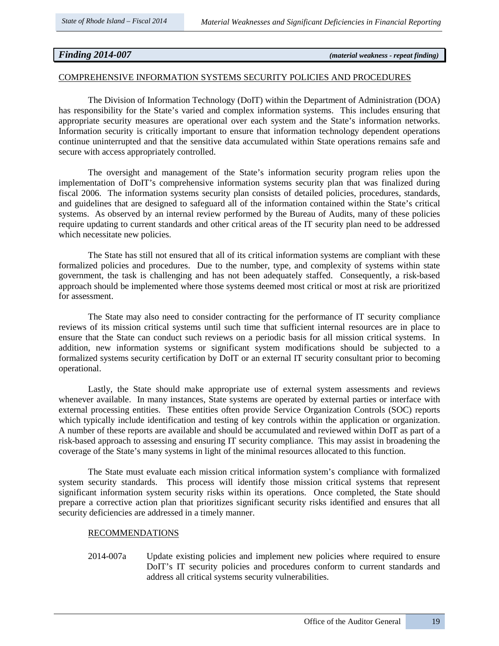*Finding 2014-007 (material weakness - repeat finding)*

#### COMPREHENSIVE INFORMATION SYSTEMS SECURITY POLICIES AND PROCEDURES

The Division of Information Technology (DoIT) within the Department of Administration (DOA) has responsibility for the State's varied and complex information systems. This includes ensuring that appropriate security measures are operational over each system and the State's information networks. Information security is critically important to ensure that information technology dependent operations continue uninterrupted and that the sensitive data accumulated within State operations remains safe and secure with access appropriately controlled.

The oversight and management of the State's information security program relies upon the implementation of DoIT's comprehensive information systems security plan that was finalized during fiscal 2006. The information systems security plan consists of detailed policies, procedures, standards, and guidelines that are designed to safeguard all of the information contained within the State's critical systems. As observed by an internal review performed by the Bureau of Audits, many of these policies require updating to current standards and other critical areas of the IT security plan need to be addressed which necessitate new policies.

The State has still not ensured that all of its critical information systems are compliant with these formalized policies and procedures. Due to the number, type, and complexity of systems within state government, the task is challenging and has not been adequately staffed. Consequently, a risk-based approach should be implemented where those systems deemed most critical or most at risk are prioritized for assessment.

The State may also need to consider contracting for the performance of IT security compliance reviews of its mission critical systems until such time that sufficient internal resources are in place to ensure that the State can conduct such reviews on a periodic basis for all mission critical systems. In addition, new information systems or significant system modifications should be subjected to a formalized systems security certification by DoIT or an external IT security consultant prior to becoming operational.

Lastly, the State should make appropriate use of external system assessments and reviews whenever available. In many instances, State systems are operated by external parties or interface with external processing entities. These entities often provide Service Organization Controls (SOC) reports which typically include identification and testing of key controls within the application or organization. A number of these reports are available and should be accumulated and reviewed within DoIT as part of a risk-based approach to assessing and ensuring IT security compliance. This may assist in broadening the coverage of the State's many systems in light of the minimal resources allocated to this function.

The State must evaluate each mission critical information system's compliance with formalized system security standards. This process will identify those mission critical systems that represent significant information system security risks within its operations. Once completed, the State should prepare a corrective action plan that prioritizes significant security risks identified and ensures that all security deficiencies are addressed in a timely manner.

#### RECOMMENDATIONS

2014-007a Update existing policies and implement new policies where required to ensure DoIT's IT security policies and procedures conform to current standards and address all critical systems security vulnerabilities.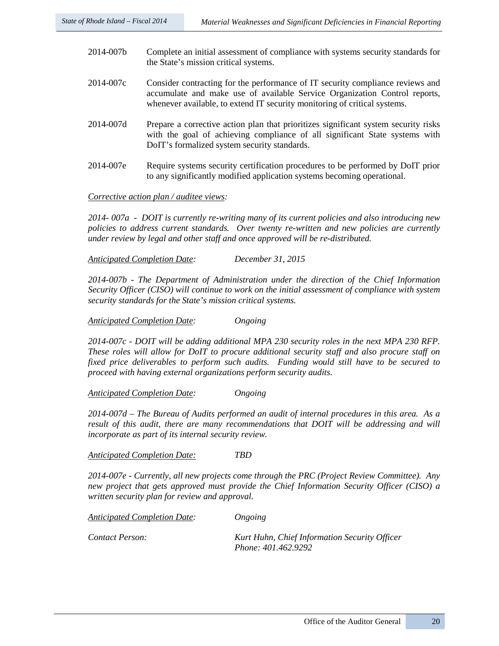- 2014-007b Complete an initial assessment of compliance with systems security standards for the State's mission critical systems.
- 2014-007c Consider contracting for the performance of IT security compliance reviews and accumulate and make use of available Service Organization Control reports, whenever available, to extend IT security monitoring of critical systems.
- 2014-007d Prepare a corrective action plan that prioritizes significant system security risks with the goal of achieving compliance of all significant State systems with DoIT's formalized system security standards.
- 2014-007e Require systems security certification procedures to be performed by DoIT prior to any significantly modified application systems becoming operational.

### *Corrective action plan / auditee views:*

*2014- 007a - DOIT is currently re-writing many of its current policies and also introducing new policies to address current standards. Over twenty re-written and new policies are currently under review by legal and other staff and once approved will be re-distributed.* 

*Anticipated Completion Date: December 31, 2015*

*2014-007b - The Department of Administration under the direction of the Chief Information Security Officer (CISO) will continue to work on the initial assessment of compliance with system security standards for the State's mission critical systems.* 

*Anticipated Completion Date: Ongoing*

*2014-007c - DOIT will be adding additional MPA 230 security roles in the next MPA 230 RFP. These roles will allow for DoIT to procure additional security staff and also procure staff on fixed price deliverables to perform such audits. Funding would still have to be secured to proceed with having external organizations perform security audits.*

*Anticipated Completion Date: Ongoing*

*2014-007d – The Bureau of Audits performed an audit of internal procedures in this area. As a*  result of this audit, there are many recommendations that DOIT will be addressing and will *incorporate as part of its internal security review.* 

*Anticipated Completion Date: TBD*

*2014-007e - Currently, all new projects come through the PRC (Project Review Committee). Any new project that gets approved must provide the Chief Information Security Officer (CISO) a written security plan for review and approval.* 

*Anticipated Completion Date: Ongoing*

*Contact Person: Kurt Huhn, Chief Information Security Officer Phone: 401.462.9292*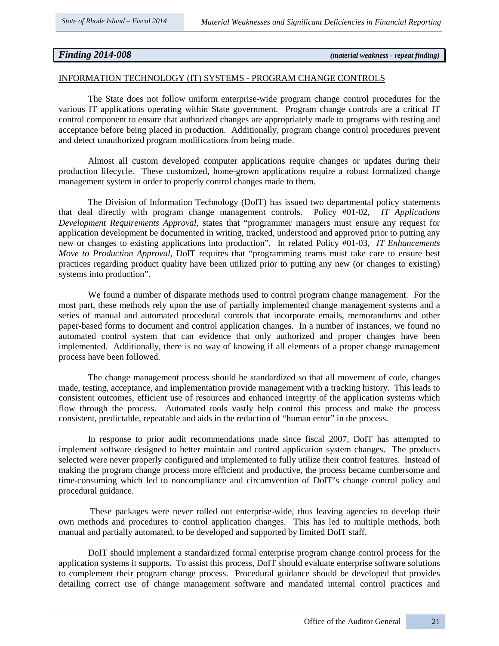*Finding 2014-008 (material weakness - repeat finding)* 

#### INFORMATION TECHNOLOGY (IT) SYSTEMS - PROGRAM CHANGE CONTROLS

The State does not follow uniform enterprise-wide program change control procedures for the various IT applications operating within State government. Program change controls are a critical IT control component to ensure that authorized changes are appropriately made to programs with testing and acceptance before being placed in production. Additionally, program change control procedures prevent and detect unauthorized program modifications from being made.

Almost all custom developed computer applications require changes or updates during their production lifecycle. These customized, home-grown applications require a robust formalized change management system in order to properly control changes made to them.

The Division of Information Technology (DoIT) has issued two departmental policy statements that deal directly with program change management controls. Policy #01-02, *IT Applications Development Requirements Approval*, states that "programmer managers must ensure any request for application development be documented in writing, tracked, understood and approved prior to putting any new or changes to existing applications into production". In related Policy #01-03, *IT Enhancements Move to Production Approval*, DoIT requires that "programming teams must take care to ensure best practices regarding product quality have been utilized prior to putting any new (or changes to existing) systems into production".

We found a number of disparate methods used to control program change management. For the most part, these methods rely upon the use of partially implemented change management systems and a series of manual and automated procedural controls that incorporate emails, memorandums and other paper-based forms to document and control application changes. In a number of instances, we found no automated control system that can evidence that only authorized and proper changes have been implemented. Additionally, there is no way of knowing if all elements of a proper change management process have been followed.

The change management process should be standardized so that all movement of code, changes made, testing, acceptance, and implementation provide management with a tracking history. This leads to consistent outcomes, efficient use of resources and enhanced integrity of the application systems which flow through the process. Automated tools vastly help control this process and make the process consistent, predictable, repeatable and aids in the reduction of "human error" in the process.

In response to prior audit recommendations made since fiscal 2007, DoIT has attempted to implement software designed to better maintain and control application system changes. The products selected were never properly configured and implemented to fully utilize their control features. Instead of making the program change process more efficient and productive, the process became cumbersome and time-consuming which led to noncompliance and circumvention of DoIT's change control policy and procedural guidance.

These packages were never rolled out enterprise-wide, thus leaving agencies to develop their own methods and procedures to control application changes. This has led to multiple methods, both manual and partially automated, to be developed and supported by limited DoIT staff.

DoIT should implement a standardized formal enterprise program change control process for the application systems it supports. To assist this process, DoIT should evaluate enterprise software solutions to complement their program change process. Procedural guidance should be developed that provides detailing correct use of change management software and mandated internal control practices and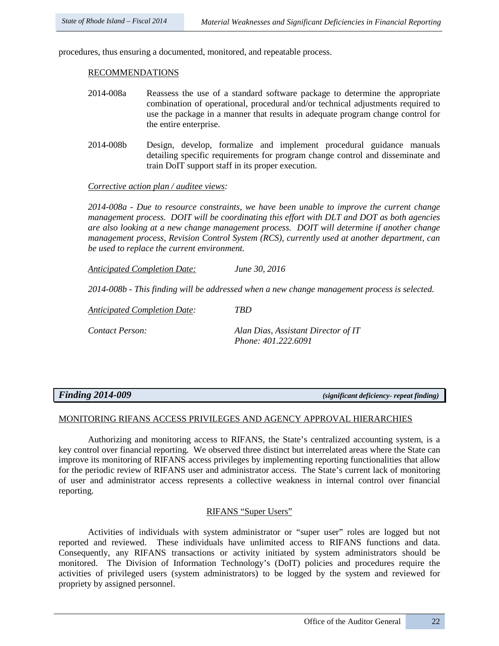procedures, thus ensuring a documented, monitored, and repeatable process.

#### RECOMMENDATIONS

- 2014-008a Reassess the use of a standard software package to determine the appropriate combination of operational, procedural and/or technical adjustments required to use the package in a manner that results in adequate program change control for the entire enterprise.
- 2014-008b Design, develop, formalize and implement procedural guidance manuals detailing specific requirements for program change control and disseminate and train DoIT support staff in its proper execution.

### *Corrective action plan / auditee views:*

*2014-008a - Due to resource constraints, we have been unable to improve the current change management process. DOIT will be coordinating this effort with DLT and DOT as both agencies are also looking at a new change management process. DOIT will determine if another change management process, Revision Control System (RCS), currently used at another department, can be used to replace the current environment.* 

*Anticipated Completion Date: June 30, 2016*

*2014-008b - This finding will be addressed when a new change management process is selected.*

*Anticipated Completion Date: TBD*

*Contact Person: Alan Dias, Assistant Director of IT Phone: 401.222.6091*

*Finding 2014-009 (significant deficiency- repeat finding)*

### MONITORING RIFANS ACCESS PRIVILEGES AND AGENCY APPROVAL HIERARCHIES

Authorizing and monitoring access to RIFANS, the State's centralized accounting system, is a key control over financial reporting. We observed three distinct but interrelated areas where the State can improve its monitoring of RIFANS access privileges by implementing reporting functionalities that allow for the periodic review of RIFANS user and administrator access. The State's current lack of monitoring of user and administrator access represents a collective weakness in internal control over financial reporting.

## RIFANS "Super Users"

Activities of individuals with system administrator or "super user" roles are logged but not reported and reviewed. These individuals have unlimited access to RIFANS functions and data. Consequently, any RIFANS transactions or activity initiated by system administrators should be monitored. The Division of Information Technology's (DoIT) policies and procedures require the activities of privileged users (system administrators) to be logged by the system and reviewed for propriety by assigned personnel.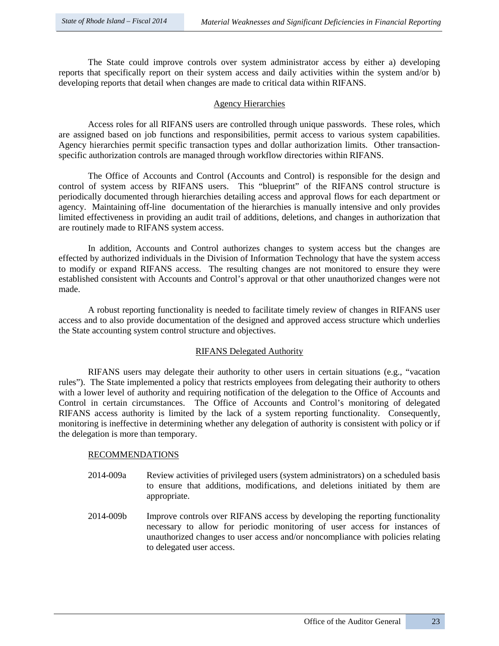The State could improve controls over system administrator access by either a) developing reports that specifically report on their system access and daily activities within the system and/or b) developing reports that detail when changes are made to critical data within RIFANS.

# Agency Hierarchies

Access roles for all RIFANS users are controlled through unique passwords. These roles, which are assigned based on job functions and responsibilities, permit access to various system capabilities. Agency hierarchies permit specific transaction types and dollar authorization limits. Other transactionspecific authorization controls are managed through workflow directories within RIFANS.

The Office of Accounts and Control (Accounts and Control) is responsible for the design and control of system access by RIFANS users. This "blueprint" of the RIFANS control structure is periodically documented through hierarchies detailing access and approval flows for each department or agency. Maintaining off-line documentation of the hierarchies is manually intensive and only provides limited effectiveness in providing an audit trail of additions, deletions, and changes in authorization that are routinely made to RIFANS system access.

In addition, Accounts and Control authorizes changes to system access but the changes are effected by authorized individuals in the Division of Information Technology that have the system access to modify or expand RIFANS access. The resulting changes are not monitored to ensure they were established consistent with Accounts and Control's approval or that other unauthorized changes were not made.

A robust reporting functionality is needed to facilitate timely review of changes in RIFANS user access and to also provide documentation of the designed and approved access structure which underlies the State accounting system control structure and objectives.

# RIFANS Delegated Authority

RIFANS users may delegate their authority to other users in certain situations (e.g., "vacation rules"). The State implemented a policy that restricts employees from delegating their authority to others with a lower level of authority and requiring notification of the delegation to the Office of Accounts and Control in certain circumstances. The Office of Accounts and Control's monitoring of delegated RIFANS access authority is limited by the lack of a system reporting functionality. Consequently, monitoring is ineffective in determining whether any delegation of authority is consistent with policy or if the delegation is more than temporary.

### RECOMMENDATIONS

- 2014-009a Review activities of privileged users (system administrators) on a scheduled basis to ensure that additions, modifications, and deletions initiated by them are appropriate.
- 2014-009b Improve controls over RIFANS access by developing the reporting functionality necessary to allow for periodic monitoring of user access for instances of unauthorized changes to user access and/or noncompliance with policies relating to delegated user access.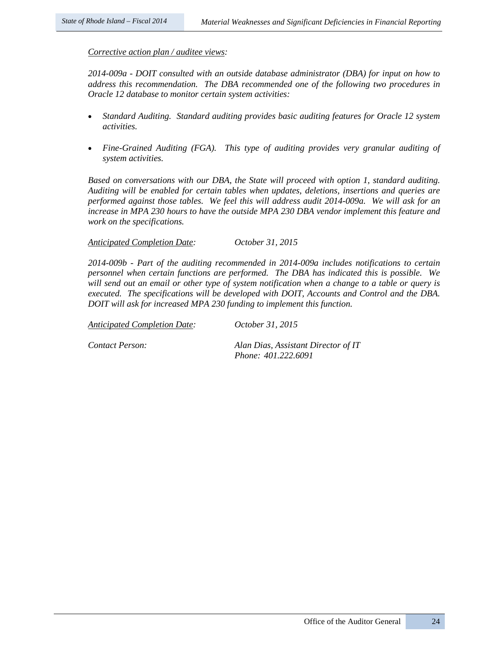## *Corrective action plan / auditee views:*

*2014-009a - DOIT consulted with an outside database administrator (DBA) for input on how to address this recommendation. The DBA recommended one of the following two procedures in Oracle 12 database to monitor certain system activities:*

- *Standard Auditing. Standard auditing provides basic auditing features for Oracle 12 system activities.*
- *Fine-Grained Auditing (FGA). This type of auditing provides very granular auditing of system activities.*

*Based on conversations with our DBA, the State will proceed with option 1, standard auditing. Auditing will be enabled for certain tables when updates, deletions, insertions and queries are performed against those tables. We feel this will address audit 2014-009a. We will ask for an increase in MPA 230 hours to have the outside MPA 230 DBA vendor implement this feature and work on the specifications.*

*Anticipated Completion Date: October 31, 2015*

*2014-009b - Part of the auditing recommended in 2014-009a includes notifications to certain personnel when certain functions are performed. The DBA has indicated this is possible. We will send out an email or other type of system notification when a change to a table or query is executed. The specifications will be developed with DOIT, Accounts and Control and the DBA. DOIT will ask for increased MPA 230 funding to implement this function.*

*Anticipated Completion Date: October 31, 2015*

*Contact Person: Alan Dias, Assistant Director of IT Phone: 401.222.6091*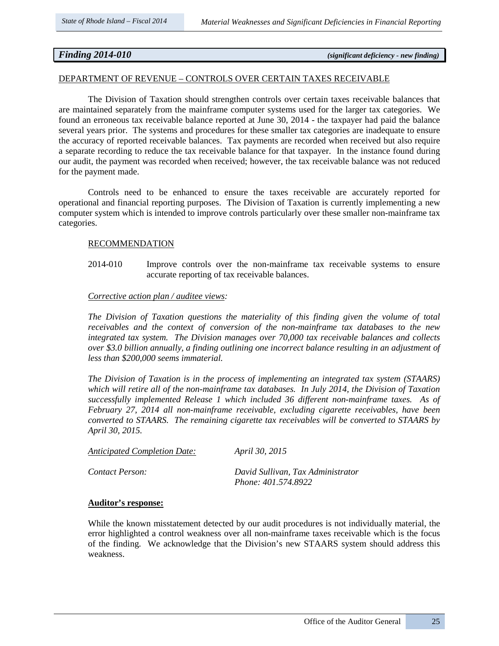# *Finding 2014-010 (significant deficiency - new finding)*

#### DEPARTMENT OF REVENUE – CONTROLS OVER CERTAIN TAXES RECEIVABLE

The Division of Taxation should strengthen controls over certain taxes receivable balances that are maintained separately from the mainframe computer systems used for the larger tax categories. We found an erroneous tax receivable balance reported at June 30, 2014 - the taxpayer had paid the balance several years prior. The systems and procedures for these smaller tax categories are inadequate to ensure the accuracy of reported receivable balances. Tax payments are recorded when received but also require a separate recording to reduce the tax receivable balance for that taxpayer. In the instance found during our audit, the payment was recorded when received; however, the tax receivable balance was not reduced for the payment made.

Controls need to be enhanced to ensure the taxes receivable are accurately reported for operational and financial reporting purposes. The Division of Taxation is currently implementing a new computer system which is intended to improve controls particularly over these smaller non-mainframe tax categories.

#### RECOMMENDATION

2014-010 Improve controls over the non-mainframe tax receivable systems to ensure accurate reporting of tax receivable balances.

#### *Corrective action plan / auditee views:*

*The Division of Taxation questions the materiality of this finding given the volume of total receivables and the context of conversion of the non-mainframe tax databases to the new integrated tax system. The Division manages over 70,000 tax receivable balances and collects over \$3.0 billion annually, a finding outlining one incorrect balance resulting in an adjustment of less than \$200,000 seems immaterial.* 

*The Division of Taxation is in the process of implementing an integrated tax system (STAARS) which will retire all of the non-mainframe tax databases. In July 2014, the Division of Taxation successfully implemented Release 1 which included 36 different non-mainframe taxes. As of February 27, 2014 all non-mainframe receivable, excluding cigarette receivables, have been converted to STAARS. The remaining cigarette tax receivables will be converted to STAARS by April 30, 2015.*

| <b>Anticipated Completion Date:</b> | <i>April 30, 2015</i>             |
|-------------------------------------|-----------------------------------|
| Contact Person:                     | David Sullivan, Tax Administrator |
|                                     | Phone: 401.574.8922               |

#### **Auditor's response:**

While the known misstatement detected by our audit procedures is not individually material, the error highlighted a control weakness over all non-mainframe taxes receivable which is the focus of the finding. We acknowledge that the Division's new STAARS system should address this weakness.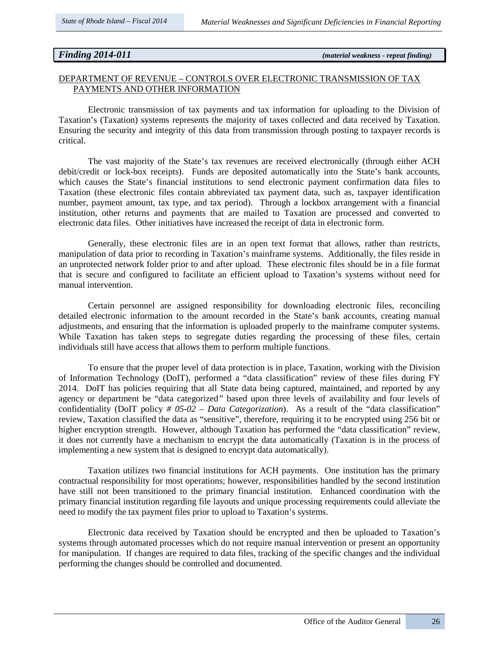# *Finding 2014-011 (material weakness - repeat finding)*

### DEPARTMENT OF REVENUE – CONTROLS OVER ELECTRONIC TRANSMISSION OF TAX PAYMENTS AND OTHER INFORMATION

Electronic transmission of tax payments and tax information for uploading to the Division of Taxation's (Taxation) systems represents the majority of taxes collected and data received by Taxation. Ensuring the security and integrity of this data from transmission through posting to taxpayer records is critical.

The vast majority of the State's tax revenues are received electronically (through either ACH debit/credit or lock-box receipts). Funds are deposited automatically into the State's bank accounts, which causes the State's financial institutions to send electronic payment confirmation data files to Taxation (these electronic files contain abbreviated tax payment data, such as, taxpayer identification number, payment amount, tax type, and tax period). Through a lockbox arrangement with a financial institution, other returns and payments that are mailed to Taxation are processed and converted to electronic data files. Other initiatives have increased the receipt of data in electronic form.

Generally, these electronic files are in an open text format that allows, rather than restricts, manipulation of data prior to recording in Taxation's mainframe systems. Additionally, the files reside in an unprotected network folder prior to and after upload. These electronic files should be in a file format that is secure and configured to facilitate an efficient upload to Taxation's systems without need for manual intervention.

Certain personnel are assigned responsibility for downloading electronic files, reconciling detailed electronic information to the amount recorded in the State's bank accounts, creating manual adjustments, and ensuring that the information is uploaded properly to the mainframe computer systems. While Taxation has taken steps to segregate duties regarding the processing of these files, certain individuals still have access that allows them to perform multiple functions.

To ensure that the proper level of data protection is in place, Taxation, working with the Division of Information Technology (DoIT), performed a "data classification" review of these files during FY 2014. DoIT has policies requiring that all State data being captured, maintained, and reported by any agency or department be "data categorized*"* based upon three levels of availability and four levels of confidentiality (DoIT policy *# 05-02 – Data Categorization*). As a result of the "data classification" review, Taxation classified the data as "sensitive", therefore, requiring it to be encrypted using 256 bit or higher encryption strength. However, although Taxation has performed the "data classification" review, it does not currently have a mechanism to encrypt the data automatically (Taxation is in the process of implementing a new system that is designed to encrypt data automatically).

Taxation utilizes two financial institutions for ACH payments. One institution has the primary contractual responsibility for most operations; however, responsibilities handled by the second institution have still not been transitioned to the primary financial institution. Enhanced coordination with the primary financial institution regarding file layouts and unique processing requirements could alleviate the need to modify the tax payment files prior to upload to Taxation's systems.

Electronic data received by Taxation should be encrypted and then be uploaded to Taxation's systems through automated processes which do not require manual intervention or present an opportunity for manipulation. If changes are required to data files, tracking of the specific changes and the individual performing the changes should be controlled and documented.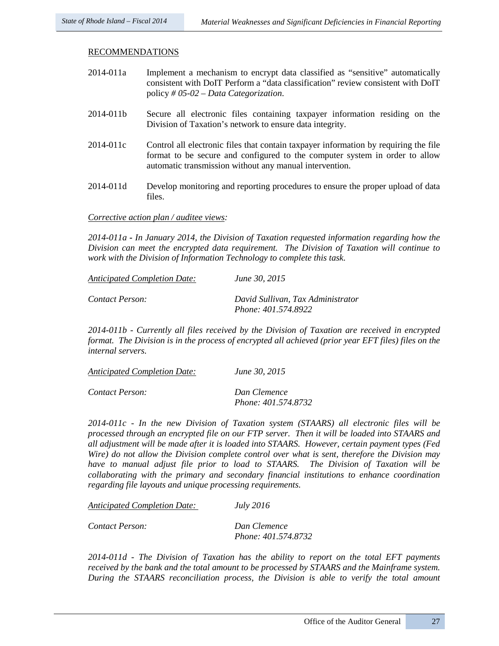### RECOMMENDATIONS

| 2014-011a | Implement a mechanism to encrypt data classified as "sensitive" automatically    |
|-----------|----------------------------------------------------------------------------------|
|           | consistent with DoIT Perform a "data classification" review consistent with DoIT |
|           | policy # 05-02 – Data Categorization.                                            |

- 2014-011b Secure all electronic files containing taxpayer information residing on the Division of Taxation's network to ensure data integrity.
- 2014-011c Control all electronic files that contain taxpayer information by requiring the file format to be secure and configured to the computer system in order to allow automatic transmission without any manual intervention.
- 2014-011d Develop monitoring and reporting procedures to ensure the proper upload of data files.

*Corrective action plan / auditee views:* 

*2014-011a - In January 2014, the Division of Taxation requested information regarding how the Division can meet the encrypted data requirement. The Division of Taxation will continue to work with the Division of Information Technology to complete this task.*

| <b>Anticipated Completion Date:</b> | June 30, 2015                                            |
|-------------------------------------|----------------------------------------------------------|
| Contact Person:                     | David Sullivan, Tax Administrator<br>Phone: 401.574.8922 |

*2014-011b - Currently all files received by the Division of Taxation are received in encrypted format. The Division is in the process of encrypted all achieved (prior year EFT files) files on the internal servers.* 

| <b>Anticipated Completion Date:</b> | June 30, 2015       |
|-------------------------------------|---------------------|
| Contact Person:                     | Dan Clemence        |
|                                     | Phone: 401.574.8732 |

*2014-011c - In the new Division of Taxation system (STAARS) all electronic files will be processed through an encrypted file on our FTP server. Then it will be loaded into STAARS and all adjustment will be made after it is loaded into STAARS. However, certain payment types (Fed Wire) do not allow the Division complete control over what is sent, therefore the Division may have to manual adjust file prior to load to STAARS. The Division of Taxation will be collaborating with the primary and secondary financial institutions to enhance coordination regarding file layouts and unique processing requirements.*

*Anticipated Completion Date: July 2016*

*Contact Person: Dan Clemence* 

 *Phone: 401.574.8732*

*2014-011d - The Division of Taxation has the ability to report on the total EFT payments received by the bank and the total amount to be processed by STAARS and the Mainframe system. During the STAARS reconciliation process, the Division is able to verify the total amount*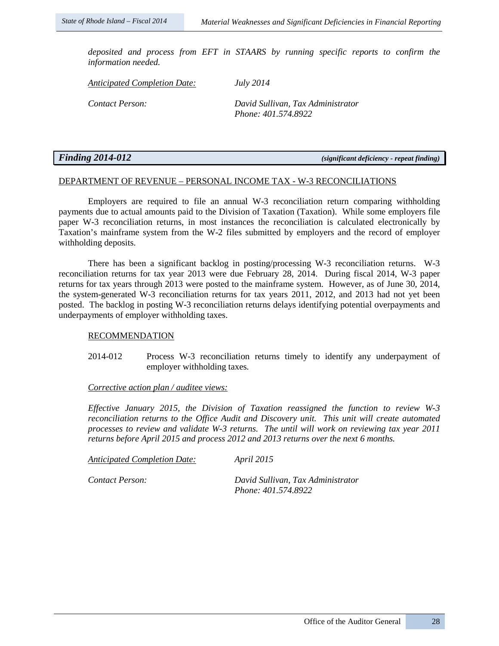*deposited and process from EFT in STAARS by running specific reports to confirm the information needed.* 

*Anticipated Completion Date: July 2014*

*Contact Person: David Sullivan, Tax Administrator Phone: 401.574.8922*

*Finding 2014-012 (significant deficiency - repeat finding)*

## DEPARTMENT OF REVENUE – PERSONAL INCOME TAX - W-3 RECONCILIATIONS

Employers are required to file an annual W-3 reconciliation return comparing withholding payments due to actual amounts paid to the Division of Taxation (Taxation). While some employers file paper W-3 reconciliation returns, in most instances the reconciliation is calculated electronically by Taxation's mainframe system from the W-2 files submitted by employers and the record of employer withholding deposits.

There has been a significant backlog in posting/processing W-3 reconciliation returns. W-3 reconciliation returns for tax year 2013 were due February 28, 2014. During fiscal 2014, W-3 paper returns for tax years through 2013 were posted to the mainframe system. However, as of June 30, 2014, the system-generated W-3 reconciliation returns for tax years 2011, 2012, and 2013 had not yet been posted. The backlog in posting W-3 reconciliation returns delays identifying potential overpayments and underpayments of employer withholding taxes.

### RECOMMENDATION

2014-012 Process W-3 reconciliation returns timely to identify any underpayment of employer withholding taxes.

# *Corrective action plan / auditee views:*

*Effective January 2015, the Division of Taxation reassigned the function to review W-3 reconciliation returns to the Office Audit and Discovery unit. This unit will create automated processes to review and validate W-3 returns. The until will work on reviewing tax year 2011 returns before April 2015 and process 2012 and 2013 returns over the next 6 months.*

*Anticipated Completion Date: April 2015*

*Contact Person: David Sullivan, Tax Administrator Phone: 401.574.8922*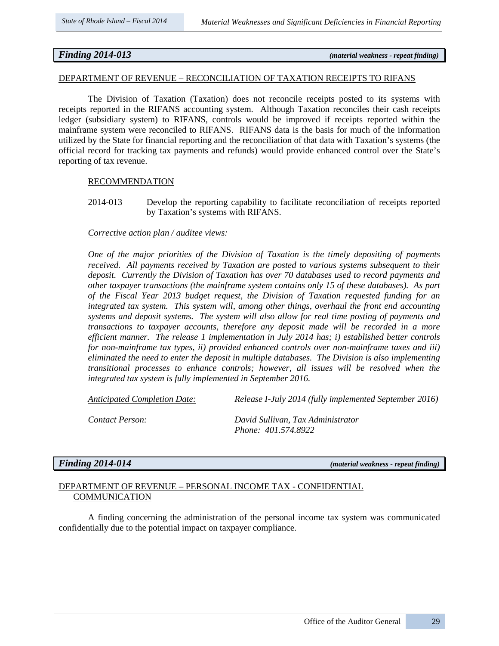*Finding 2014-013 (material weakness - repeat finding)*

### DEPARTMENT OF REVENUE – RECONCILIATION OF TAXATION RECEIPTS TO RIFANS

The Division of Taxation (Taxation) does not reconcile receipts posted to its systems with receipts reported in the RIFANS accounting system. Although Taxation reconciles their cash receipts ledger (subsidiary system) to RIFANS, controls would be improved if receipts reported within the mainframe system were reconciled to RIFANS. RIFANS data is the basis for much of the information utilized by the State for financial reporting and the reconciliation of that data with Taxation's systems (the official record for tracking tax payments and refunds) would provide enhanced control over the State's reporting of tax revenue.

### RECOMMENDATION

2014-013 Develop the reporting capability to facilitate reconciliation of receipts reported by Taxation's systems with RIFANS.

# *Corrective action plan / auditee views:*

*One of the major priorities of the Division of Taxation is the timely depositing of payments received. All payments received by Taxation are posted to various systems subsequent to their deposit. Currently the Division of Taxation has over 70 databases used to record payments and other taxpayer transactions (the mainframe system contains only 15 of these databases). As part of the Fiscal Year 2013 budget request, the Division of Taxation requested funding for an integrated tax system. This system will, among other things, overhaul the front end accounting systems and deposit systems. The system will also allow for real time posting of payments and transactions to taxpayer accounts, therefore any deposit made will be recorded in a more efficient manner. The release 1 implementation in July 2014 has; i) established better controls for non-mainframe tax types, ii) provided enhanced controls over non-mainframe taxes and iii) eliminated the need to enter the deposit in multiple databases. The Division is also implementing transitional processes to enhance controls; however, all issues will be resolved when the integrated tax system is fully implemented in September 2016.*

*Anticipated Completion Date: Release I-July 2014 (fully implemented September 2016)* 

*Contact Person: David Sullivan, Tax Administrator Phone: 401.574.8922*

*Finding 2014-014 (material weakness - repeat finding)*

# DEPARTMENT OF REVENUE – PERSONAL INCOME TAX - CONFIDENTIAL **COMMUNICATION**

A finding concerning the administration of the personal income tax system was communicated confidentially due to the potential impact on taxpayer compliance.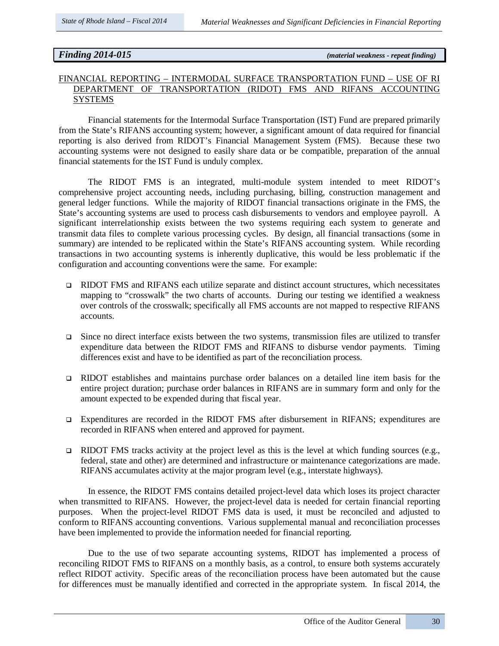*Finding 2014-015 (material weakness - repeat finding)*

# FINANCIAL REPORTING – INTERMODAL SURFACE TRANSPORTATION FUND – USE OF RI DEPARTMENT OF TRANSPORTATION (RIDOT) FMS AND RIFANS ACCOUNTING SYSTEMS

Financial statements for the Intermodal Surface Transportation (IST) Fund are prepared primarily from the State's RIFANS accounting system; however, a significant amount of data required for financial reporting is also derived from RIDOT's Financial Management System (FMS). Because these two accounting systems were not designed to easily share data or be compatible, preparation of the annual financial statements for the IST Fund is unduly complex.

The RIDOT FMS is an integrated, multi-module system intended to meet RIDOT's comprehensive project accounting needs, including purchasing, billing, construction management and general ledger functions. While the majority of RIDOT financial transactions originate in the FMS, the State's accounting systems are used to process cash disbursements to vendors and employee payroll. A significant interrelationship exists between the two systems requiring each system to generate and transmit data files to complete various processing cycles. By design, all financial transactions (some in summary) are intended to be replicated within the State's RIFANS accounting system. While recording transactions in two accounting systems is inherently duplicative, this would be less problematic if the configuration and accounting conventions were the same. For example:

- RIDOT FMS and RIFANS each utilize separate and distinct account structures, which necessitates mapping to "crosswalk" the two charts of accounts. During our testing we identified a weakness over controls of the crosswalk; specifically all FMS accounts are not mapped to respective RIFANS accounts.
- $\Box$  Since no direct interface exists between the two systems, transmission files are utilized to transfer expenditure data between the RIDOT FMS and RIFANS to disburse vendor payments. Timing differences exist and have to be identified as part of the reconciliation process.
- RIDOT establishes and maintains purchase order balances on a detailed line item basis for the entire project duration; purchase order balances in RIFANS are in summary form and only for the amount expected to be expended during that fiscal year.
- Expenditures are recorded in the RIDOT FMS after disbursement in RIFANS; expenditures are recorded in RIFANS when entered and approved for payment.
- **EXIDOT FMS** tracks activity at the project level as this is the level at which funding sources (e.g., federal, state and other) are determined and infrastructure or maintenance categorizations are made. RIFANS accumulates activity at the major program level (e.g., interstate highways).

In essence, the RIDOT FMS contains detailed project-level data which loses its project character when transmitted to RIFANS. However, the project-level data is needed for certain financial reporting purposes. When the project-level RIDOT FMS data is used, it must be reconciled and adjusted to conform to RIFANS accounting conventions. Various supplemental manual and reconciliation processes have been implemented to provide the information needed for financial reporting.

Due to the use of two separate accounting systems, RIDOT has implemented a process of reconciling RIDOT FMS to RIFANS on a monthly basis, as a control, to ensure both systems accurately reflect RIDOT activity. Specific areas of the reconciliation process have been automated but the cause for differences must be manually identified and corrected in the appropriate system. In fiscal 2014, the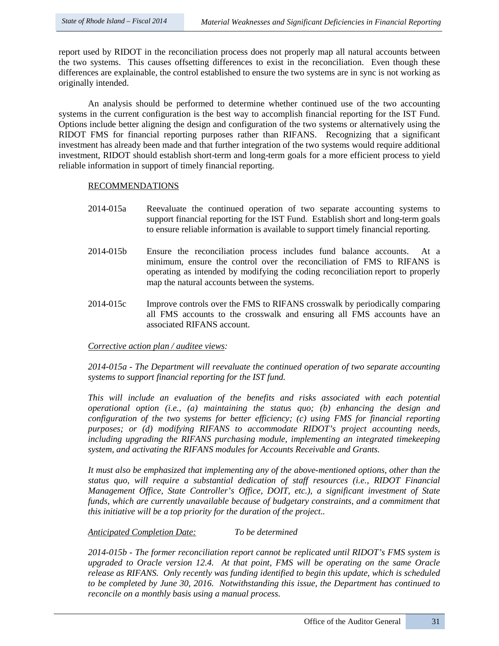report used by RIDOT in the reconciliation process does not properly map all natural accounts between the two systems. This causes offsetting differences to exist in the reconciliation. Even though these differences are explainable, the control established to ensure the two systems are in sync is not working as originally intended.

An analysis should be performed to determine whether continued use of the two accounting systems in the current configuration is the best way to accomplish financial reporting for the IST Fund. Options include better aligning the design and configuration of the two systems or alternatively using the RIDOT FMS for financial reporting purposes rather than RIFANS. Recognizing that a significant investment has already been made and that further integration of the two systems would require additional investment, RIDOT should establish short-term and long-term goals for a more efficient process to yield reliable information in support of timely financial reporting.

### RECOMMENDATIONS

- 2014-015a Reevaluate the continued operation of two separate accounting systems to support financial reporting for the IST Fund. Establish short and long-term goals to ensure reliable information is available to support timely financial reporting.
- 2014-015b Ensure the reconciliation process includes fund balance accounts. At a minimum, ensure the control over the reconciliation of FMS to RIFANS is operating as intended by modifying the coding reconciliation report to properly map the natural accounts between the systems.
- 2014-015c Improve controls over the FMS to RIFANS crosswalk by periodically comparing all FMS accounts to the crosswalk and ensuring all FMS accounts have an associated RIFANS account.

# *Corrective action plan / auditee views:*

*2014-015a - The Department will reevaluate the continued operation of two separate accounting systems to support financial reporting for the IST fund.* 

*This will include an evaluation of the benefits and risks associated with each potential operational option (i.e., (a) maintaining the status quo; (b) enhancing the design and configuration of the two systems for better efficiency; (c) using FMS for financial reporting purposes; or (d) modifying RIFANS to accommodate RIDOT's project accounting needs, including upgrading the RIFANS purchasing module, implementing an integrated timekeeping system, and activating the RIFANS modules for Accounts Receivable and Grants.*

*It must also be emphasized that implementing any of the above-mentioned options, other than the status quo, will require a substantial dedication of staff resources (i.e., RIDOT Financial Management Office, State Controller's Office, DOIT, etc.), a significant investment of State funds, which are currently unavailable because of budgetary constraints, and a commitment that this initiative will be a top priority for the duration of the project..* 

# *Anticipated Completion Date: To be determined*

*2014-015b - The former reconciliation report cannot be replicated until RIDOT's FMS system is upgraded to Oracle version 12.4. At that point, FMS will be operating on the same Oracle release as RIFANS. Only recently was funding identified to begin this update, which is scheduled to be completed by June 30, 2016. Notwithstanding this issue, the Department has continued to reconcile on a monthly basis using a manual process.*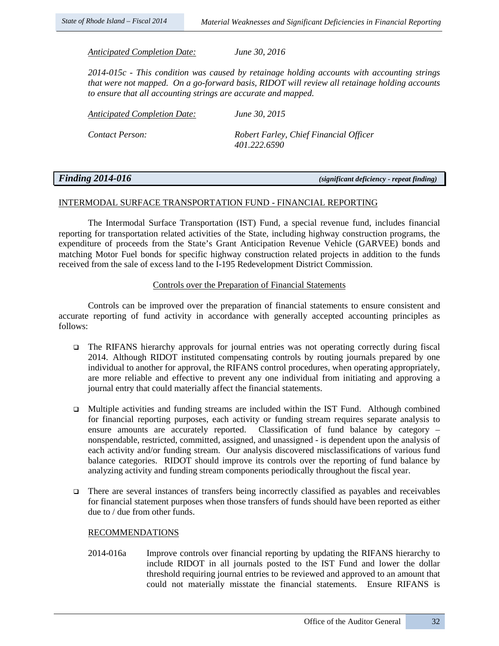*Anticipated Completion Date: June 30, 2016*

*2014-015c - This condition was caused by retainage holding accounts with accounting strings that were not mapped. On a go-forward basis, RIDOT will review all retainage holding accounts to ensure that all accounting strings are accurate and mapped.*

| Anticipated Completion Date: | June 30, 2015 |
|------------------------------|---------------|
|                              |               |

*Contact Person: Robert Farley, Chief Financial Officer 401.222.6590*

*Finding 2014-016 (significant deficiency - repeat finding)*

# INTERMODAL SURFACE TRANSPORTATION FUND - FINANCIAL REPORTING

The Intermodal Surface Transportation (IST) Fund, a special revenue fund, includes financial reporting for transportation related activities of the State, including highway construction programs, the expenditure of proceeds from the State's Grant Anticipation Revenue Vehicle (GARVEE) bonds and matching Motor Fuel bonds for specific highway construction related projects in addition to the funds received from the sale of excess land to the I-195 Redevelopment District Commission.

## Controls over the Preparation of Financial Statements

Controls can be improved over the preparation of financial statements to ensure consistent and accurate reporting of fund activity in accordance with generally accepted accounting principles as follows:

- $\Box$  The RIFANS hierarchy approvals for journal entries was not operating correctly during fiscal 2014. Although RIDOT instituted compensating controls by routing journals prepared by one individual to another for approval, the RIFANS control procedures, when operating appropriately, are more reliable and effective to prevent any one individual from initiating and approving a journal entry that could materially affect the financial statements.
- Multiple activities and funding streams are included within the IST Fund. Although combined for financial reporting purposes, each activity or funding stream requires separate analysis to ensure amounts are accurately reported. Classification of fund balance by category – nonspendable, restricted, committed, assigned, and unassigned - is dependent upon the analysis of each activity and/or funding stream. Our analysis discovered misclassifications of various fund balance categories. RIDOT should improve its controls over the reporting of fund balance by analyzing activity and funding stream components periodically throughout the fiscal year.
- There are several instances of transfers being incorrectly classified as payables and receivables  $\Box$ for financial statement purposes when those transfers of funds should have been reported as either due to / due from other funds.

# RECOMMENDATIONS

2014-016a Improve controls over financial reporting by updating the RIFANS hierarchy to include RIDOT in all journals posted to the IST Fund and lower the dollar threshold requiring journal entries to be reviewed and approved to an amount that could not materially misstate the financial statements. Ensure RIFANS is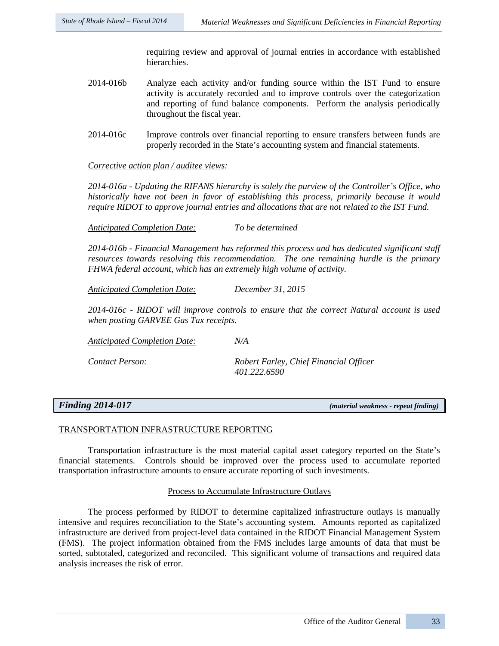requiring review and approval of journal entries in accordance with established hierarchies.

- 2014-016b Analyze each activity and/or funding source within the IST Fund to ensure activity is accurately recorded and to improve controls over the categorization and reporting of fund balance components. Perform the analysis periodically throughout the fiscal year.
- 2014-016c Improve controls over financial reporting to ensure transfers between funds are properly recorded in the State's accounting system and financial statements.

## *Corrective action plan / auditee views:*

*2014-016a - Updating the RIFANS hierarchy is solely the purview of the Controller's Office, who historically have not been in favor of establishing this process, primarily because it would require RIDOT to approve journal entries and allocations that are not related to the IST Fund.* 

*Anticipated Completion Date: To be determined*

*2014-016b - Financial Management has reformed this process and has dedicated significant staff resources towards resolving this recommendation. The one remaining hurdle is the primary FHWA federal account, which has an extremely high volume of activity.* 

*Anticipated Completion Date: December 31, 2015*

*2014-016c - RIDOT will improve controls to ensure that the correct Natural account is used when posting GARVEE Gas Tax receipts.* 

*Anticipated Completion Date: N/A*

*Contact Person: Robert Farley, Chief Financial Officer 401.222.6590*

*Finding 2014-017 (material weakness - repeat finding)*

### TRANSPORTATION INFRASTRUCTURE REPORTING

Transportation infrastructure is the most material capital asset category reported on the State's financial statements. Controls should be improved over the process used to accumulate reported transportation infrastructure amounts to ensure accurate reporting of such investments.

### Process to Accumulate Infrastructure Outlays

The process performed by RIDOT to determine capitalized infrastructure outlays is manually intensive and requires reconciliation to the State's accounting system. Amounts reported as capitalized infrastructure are derived from project-level data contained in the RIDOT Financial Management System (FMS). The project information obtained from the FMS includes large amounts of data that must be sorted, subtotaled, categorized and reconciled. This significant volume of transactions and required data analysis increases the risk of error.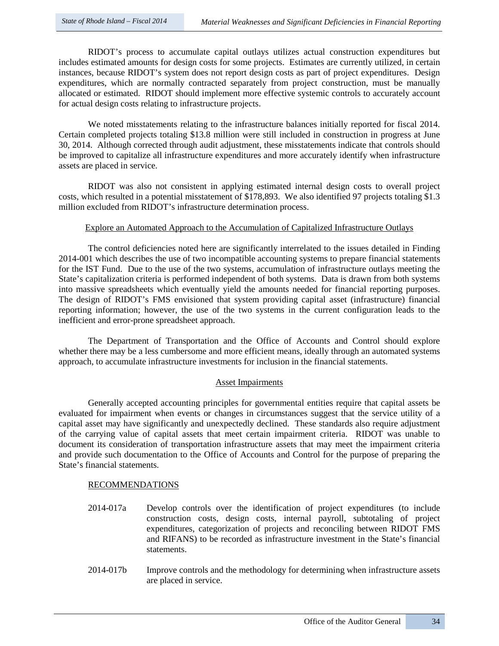RIDOT's process to accumulate capital outlays utilizes actual construction expenditures but includes estimated amounts for design costs for some projects. Estimates are currently utilized, in certain instances, because RIDOT's system does not report design costs as part of project expenditures. Design expenditures, which are normally contracted separately from project construction, must be manually allocated or estimated. RIDOT should implement more effective systemic controls to accurately account for actual design costs relating to infrastructure projects.

We noted misstatements relating to the infrastructure balances initially reported for fiscal 2014. Certain completed projects totaling \$13.8 million were still included in construction in progress at June 30, 2014. Although corrected through audit adjustment, these misstatements indicate that controls should be improved to capitalize all infrastructure expenditures and more accurately identify when infrastructure assets are placed in service.

RIDOT was also not consistent in applying estimated internal design costs to overall project costs, which resulted in a potential misstatement of \$178,893. We also identified 97 projects totaling \$1.3 million excluded from RIDOT's infrastructure determination process.

# Explore an Automated Approach to the Accumulation of Capitalized Infrastructure Outlays

The control deficiencies noted here are significantly interrelated to the issues detailed in Finding 2014-001 which describes the use of two incompatible accounting systems to prepare financial statements for the IST Fund. Due to the use of the two systems, accumulation of infrastructure outlays meeting the State's capitalization criteria is performed independent of both systems. Data is drawn from both systems into massive spreadsheets which eventually yield the amounts needed for financial reporting purposes. The design of RIDOT's FMS envisioned that system providing capital asset (infrastructure) financial reporting information; however, the use of the two systems in the current configuration leads to the inefficient and error-prone spreadsheet approach.

The Department of Transportation and the Office of Accounts and Control should explore whether there may be a less cumbersome and more efficient means, ideally through an automated systems approach, to accumulate infrastructure investments for inclusion in the financial statements.

#### Asset Impairments

Generally accepted accounting principles for governmental entities require that capital assets be evaluated for impairment when events or changes in circumstances suggest that the service utility of a capital asset may have significantly and unexpectedly declined. These standards also require adjustment of the carrying value of capital assets that meet certain impairment criteria. RIDOT was unable to document its consideration of transportation infrastructure assets that may meet the impairment criteria and provide such documentation to the Office of Accounts and Control for the purpose of preparing the State's financial statements.

#### RECOMMENDATIONS

- 2014-017a Develop controls over the identification of project expenditures (to include construction costs, design costs, internal payroll, subtotaling of project expenditures, categorization of projects and reconciling between RIDOT FMS and RIFANS) to be recorded as infrastructure investment in the State's financial statements.
- 2014-017b Improve controls and the methodology for determining when infrastructure assets are placed in service.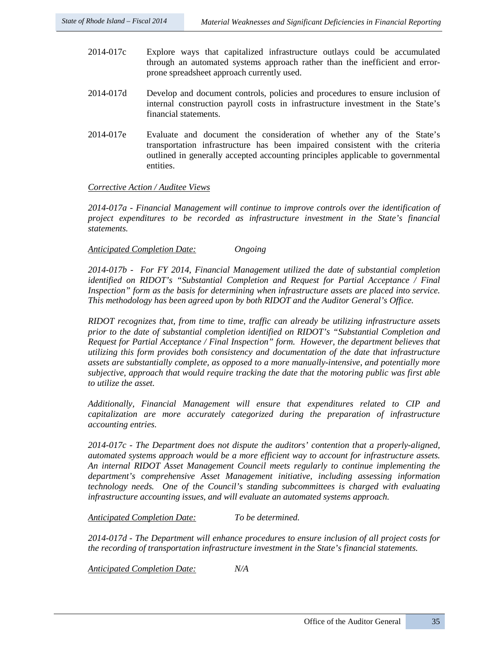- 2014-017c Explore ways that capitalized infrastructure outlays could be accumulated through an automated systems approach rather than the inefficient and errorprone spreadsheet approach currently used.
- 2014-017d Develop and document controls, policies and procedures to ensure inclusion of internal construction payroll costs in infrastructure investment in the State's financial statements.
- 2014-017e Evaluate and document the consideration of whether any of the State's transportation infrastructure has been impaired consistent with the criteria outlined in generally accepted accounting principles applicable to governmental entities.

#### *Corrective Action / Auditee Views*

*2014-017a - Financial Management will continue to improve controls over the identification of project expenditures to be recorded as infrastructure investment in the State's financial statements.*

#### *Anticipated Completion Date: Ongoing*

*2014-017b - For FY 2014, Financial Management utilized the date of substantial completion identified on RIDOT's "Substantial Completion and Request for Partial Acceptance / Final Inspection" form as the basis for determining when infrastructure assets are placed into service. This methodology has been agreed upon by both RIDOT and the Auditor General's Office.* 

*RIDOT recognizes that, from time to time, traffic can already be utilizing infrastructure assets prior to the date of substantial completion identified on RIDOT's "Substantial Completion and Request for Partial Acceptance / Final Inspection" form. However, the department believes that utilizing this form provides both consistency and documentation of the date that infrastructure assets are substantially complete, as opposed to a more manually-intensive, and potentially more subjective, approach that would require tracking the date that the motoring public was first able to utilize the asset.*

*Additionally, Financial Management will ensure that expenditures related to CIP and capitalization are more accurately categorized during the preparation of infrastructure accounting entries.* 

*2014-017c - The Department does not dispute the auditors' contention that a properly-aligned, automated systems approach would be a more efficient way to account for infrastructure assets. An internal RIDOT Asset Management Council meets regularly to continue implementing the department's comprehensive Asset Management initiative, including assessing information technology needs. One of the Council's standing subcommittees is charged with evaluating infrastructure accounting issues, and will evaluate an automated systems approach.*

*Anticipated Completion Date: To be determined.*

*2014-017d - The Department will enhance procedures to ensure inclusion of all project costs for the recording of transportation infrastructure investment in the State's financial statements.*

*Anticipated Completion Date: N/A*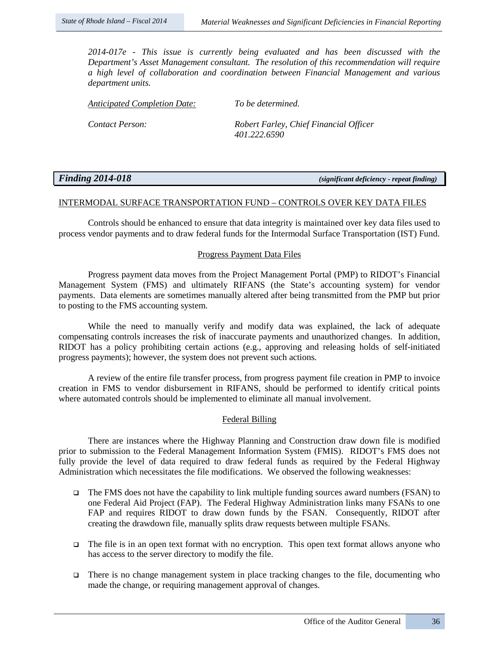*2014-017e - This issue is currently being evaluated and has been discussed with the Department's Asset Management consultant. The resolution of this recommendation will require a high level of collaboration and coordination between Financial Management and various department units.* 

*Anticipated Completion Date: To be determined.*

*Contact Person: Robert Farley, Chief Financial Officer 401.222.6590*

| <b>Finding 2014-018</b> |  |
|-------------------------|--|
|                         |  |

*Finding 2014-018 (significant deficiency - repeat finding)*

#### INTERMODAL SURFACE TRANSPORTATION FUND – CONTROLS OVER KEY DATA FILES

Controls should be enhanced to ensure that data integrity is maintained over key data files used to process vendor payments and to draw federal funds for the Intermodal Surface Transportation (IST) Fund.

#### Progress Payment Data Files

Progress payment data moves from the Project Management Portal (PMP) to RIDOT's Financial Management System (FMS) and ultimately RIFANS (the State's accounting system) for vendor payments. Data elements are sometimes manually altered after being transmitted from the PMP but prior to posting to the FMS accounting system.

While the need to manually verify and modify data was explained, the lack of adequate compensating controls increases the risk of inaccurate payments and unauthorized changes. In addition, RIDOT has a policy prohibiting certain actions (e.g., approving and releasing holds of self-initiated progress payments); however, the system does not prevent such actions.

A review of the entire file transfer process, from progress payment file creation in PMP to invoice creation in FMS to vendor disbursement in RIFANS, should be performed to identify critical points where automated controls should be implemented to eliminate all manual involvement.

#### Federal Billing

There are instances where the Highway Planning and Construction draw down file is modified prior to submission to the Federal Management Information System (FMIS). RIDOT's FMS does not fully provide the level of data required to draw federal funds as required by the Federal Highway Administration which necessitates the file modifications. We observed the following weaknesses:

- $\Box$  The FMS does not have the capability to link multiple funding sources award numbers (FSAN) to one Federal Aid Project (FAP). The Federal Highway Administration links many FSANs to one FAP and requires RIDOT to draw down funds by the FSAN. Consequently, RIDOT after creating the drawdown file, manually splits draw requests between multiple FSANs.
- $\Box$  The file is in an open text format with no encryption. This open text format allows anyone who has access to the server directory to modify the file.
- There is no change management system in place tracking changes to the file, documenting who made the change, or requiring management approval of changes.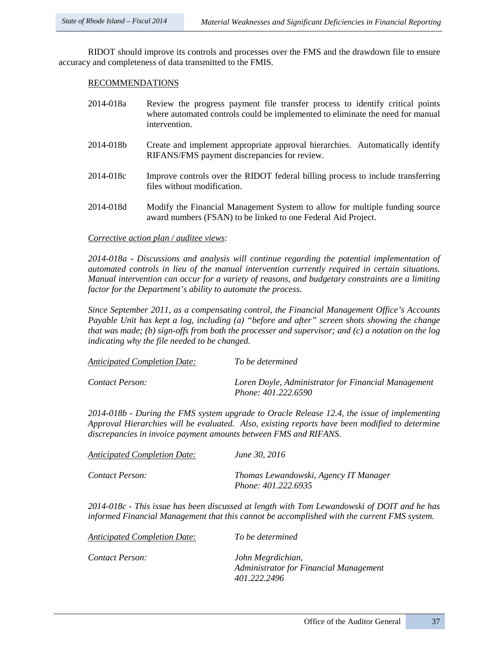RIDOT should improve its controls and processes over the FMS and the drawdown file to ensure accuracy and completeness of data transmitted to the FMIS.

#### RECOMMENDATIONS

| 2014-018a | Review the progress payment file transfer process to identify critical points<br>where automated controls could be implemented to eliminate the need for manual<br>intervention. |
|-----------|----------------------------------------------------------------------------------------------------------------------------------------------------------------------------------|
| 2014-018b | Create and implement appropriate approval hierarchies. Automatically identify<br>RIFANS/FMS payment discrepancies for review.                                                    |
| 2014-018c | Improve controls over the RIDOT federal billing process to include transferring<br>files without modification.                                                                   |
| 2014-018d | Modify the Financial Management System to allow for multiple funding source<br>award numbers (FSAN) to be linked to one Federal Aid Project.                                     |

#### *Corrective action plan / auditee views:*

*2014-018a - Discussions and analysis will continue regarding the potential implementation of automated controls in lieu of the manual intervention currently required in certain situations. Manual intervention can occur for a variety of reasons, and budgetary constraints are a limiting factor for the Department's ability to automate the process.* 

*Since September 2011, as a compensating control, the Financial Management Office's Accounts Payable Unit has kept a log, including (a) "before and after" screen shots showing the change that was made; (b) sign-offs from both the processer and supervisor; and (c) a notation on the log indicating why the file needed to be changed.* 

| <b>Anticipated Completion Date:</b> | To be determined                                                                  |
|-------------------------------------|-----------------------------------------------------------------------------------|
| Contact Person:                     | Loren Doyle, Administrator for Financial Management<br><i>Phone: 401.222.6590</i> |

*2014-018b - During the FMS system upgrade to Oracle Release 12.4, the issue of implementing Approval Hierarchies will be evaluated. Also, existing reports have been modified to determine discrepancies in invoice payment amounts between FMS and RIFANS.* 

| Anticipated Completion Date: | June 30, 2016                                                |
|------------------------------|--------------------------------------------------------------|
| Contact Person:              | Thomas Lewandowski, Agency IT Manager<br>Phone: 401.222.6935 |

*2014-018c - This issue has been discussed at length with Tom Lewandowski of DOIT and he has informed Financial Management that this cannot be accomplished with the current FMS system.* 

| Contact Person: | John Megrdichian,                      |
|-----------------|----------------------------------------|
|                 | Administrator for Financial Management |
|                 | 401.222.2496                           |

*Anticipated Completion Date: To be determined*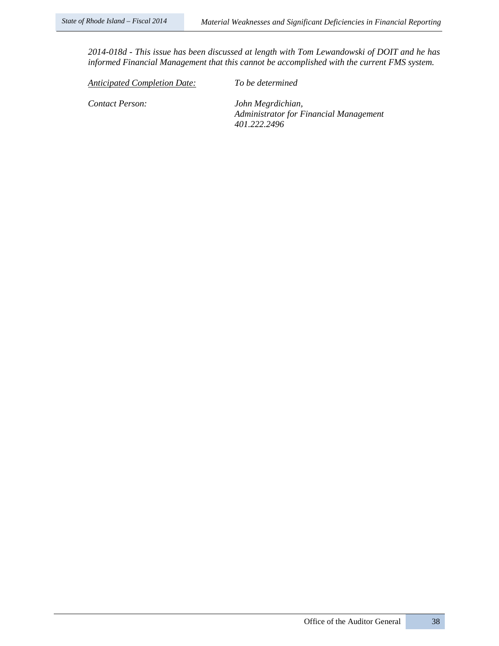*2014-018d - This issue has been discussed at length with Tom Lewandowski of DOIT and he has informed Financial Management that this cannot be accomplished with the current FMS system.* 

*Anticipated Completion Date: To be determined*

*Contact Person: John Megrdichian, Administrator for Financial Management 401.222.2496*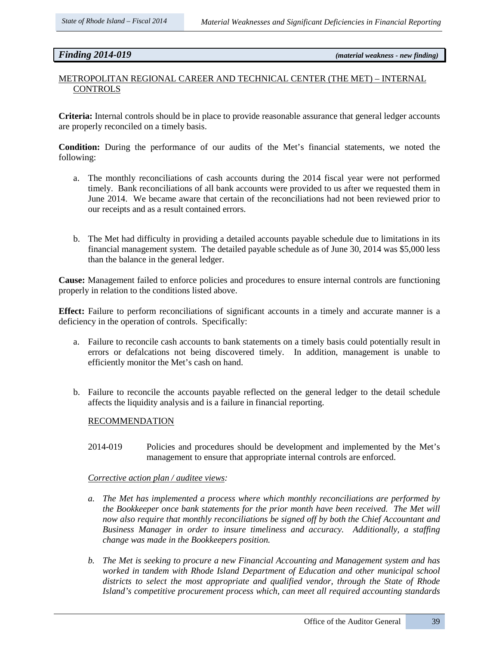*Finding 2014-019 (material weakness - new finding)*

# METROPOLITAN REGIONAL CAREER AND TECHNICAL CENTER (THE MET) – INTERNAL **CONTROLS**

**Criteria:** Internal controls should be in place to provide reasonable assurance that general ledger accounts are properly reconciled on a timely basis.

**Condition:** During the performance of our audits of the Met's financial statements, we noted the following:

- a. The monthly reconciliations of cash accounts during the 2014 fiscal year were not performed timely. Bank reconciliations of all bank accounts were provided to us after we requested them in June 2014. We became aware that certain of the reconciliations had not been reviewed prior to our receipts and as a result contained errors.
- b. The Met had difficulty in providing a detailed accounts payable schedule due to limitations in its financial management system. The detailed payable schedule as of June 30, 2014 was \$5,000 less than the balance in the general ledger.

**Cause:** Management failed to enforce policies and procedures to ensure internal controls are functioning properly in relation to the conditions listed above.

**Effect:** Failure to perform reconciliations of significant accounts in a timely and accurate manner is a deficiency in the operation of controls. Specifically:

- a. Failure to reconcile cash accounts to bank statements on a timely basis could potentially result in errors or defalcations not being discovered timely. In addition, management is unable to efficiently monitor the Met's cash on hand.
- b. Failure to reconcile the accounts payable reflected on the general ledger to the detail schedule affects the liquidity analysis and is a failure in financial reporting.

### RECOMMENDATION

2014-019 Policies and procedures should be development and implemented by the Met's management to ensure that appropriate internal controls are enforced.

#### *Corrective action plan / auditee views:*

- *a. The Met has implemented a process where which monthly reconciliations are performed by the Bookkeeper once bank statements for the prior month have been received. The Met will now also require that monthly reconciliations be signed off by both the Chief Accountant and Business Manager in order to insure timeliness and accuracy. Additionally, a staffing change was made in the Bookkeepers position.*
- *b. The Met is seeking to procure a new Financial Accounting and Management system and has worked in tandem with Rhode Island Department of Education and other municipal school districts to select the most appropriate and qualified vendor, through the State of Rhode Island's competitive procurement process which, can meet all required accounting standards*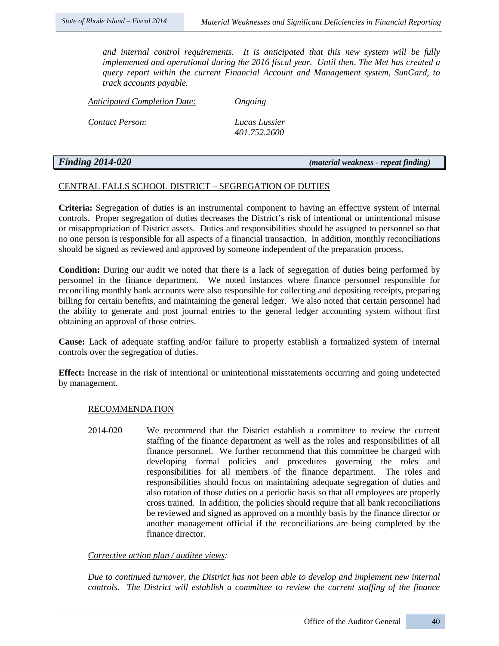*and internal control requirements. It is anticipated that this new system will be fully implemented and operational during the 2016 fiscal year. Until then, The Met has created a query report within the current Financial Account and Management system, SunGard, to track accounts payable.*

*Anticipated Completion Date: Ongoing*

*Contact Person: Lucas Lussier* 

*401.752.2600*

## *Finding 2014-020 (material weakness - repeat finding)*

# CENTRAL FALLS SCHOOL DISTRICT – SEGREGATION OF DUTIES

**Criteria:** Segregation of duties is an instrumental component to having an effective system of internal controls. Proper segregation of duties decreases the District's risk of intentional or unintentional misuse or misappropriation of District assets. Duties and responsibilities should be assigned to personnel so that no one person is responsible for all aspects of a financial transaction. In addition, monthly reconciliations should be signed as reviewed and approved by someone independent of the preparation process.

**Condition:** During our audit we noted that there is a lack of segregation of duties being performed by personnel in the finance department. We noted instances where finance personnel responsible for reconciling monthly bank accounts were also responsible for collecting and depositing receipts, preparing billing for certain benefits, and maintaining the general ledger. We also noted that certain personnel had the ability to generate and post journal entries to the general ledger accounting system without first obtaining an approval of those entries.

**Cause:** Lack of adequate staffing and/or failure to properly establish a formalized system of internal controls over the segregation of duties.

**Effect:** Increase in the risk of intentional or unintentional misstatements occurring and going undetected by management.

#### RECOMMENDATION

2014-020 We recommend that the District establish a committee to review the current staffing of the finance department as well as the roles and responsibilities of all finance personnel. We further recommend that this committee be charged with developing formal policies and procedures governing the roles and responsibilities for all members of the finance department. The roles and responsibilities should focus on maintaining adequate segregation of duties and also rotation of those duties on a periodic basis so that all employees are properly cross trained. In addition, the policies should require that all bank reconciliations be reviewed and signed as approved on a monthly basis by the finance director or another management official if the reconciliations are being completed by the finance director.

#### *Corrective action plan / auditee views:*

*Due to continued turnover, the District has not been able to develop and implement new internal controls. The District will establish a committee to review the current staffing of the finance*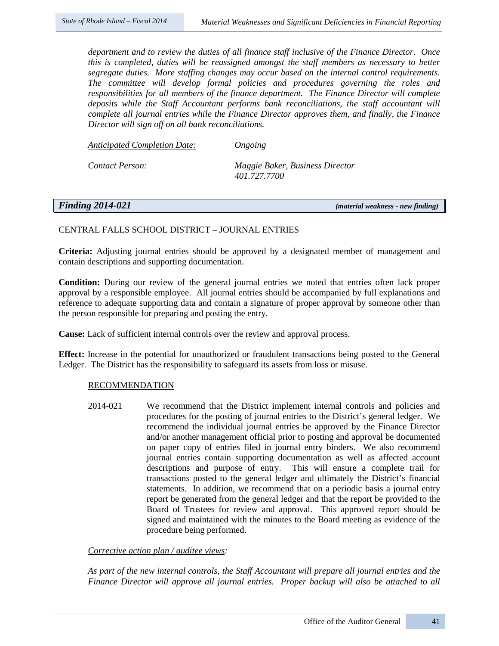*department and to review the duties of all finance staff inclusive of the Finance Director. Once this is completed, duties will be reassigned amongst the staff members as necessary to better segregate duties. More staffing changes may occur based on the internal control requirements. The committee will develop formal policies and procedures governing the roles and responsibilities for all members of the finance department. The Finance Director will complete deposits while the Staff Accountant performs bank reconciliations, the staff accountant will complete all journal entries while the Finance Director approves them, and finally, the Finance Director will sign off on all bank reconciliations.*

*Anticipated Completion Date: Ongoing* 

*Contact Person: Maggie Baker, Business Director 401.727.7700*

*Finding 2014-021 (material weakness - new finding)*

#### CENTRAL FALLS SCHOOL DISTRICT – JOURNAL ENTRIES

**Criteria:** Adjusting journal entries should be approved by a designated member of management and contain descriptions and supporting documentation.

**Condition:** During our review of the general journal entries we noted that entries often lack proper approval by a responsible employee. All journal entries should be accompanied by full explanations and reference to adequate supporting data and contain a signature of proper approval by someone other than the person responsible for preparing and posting the entry.

**Cause:** Lack of sufficient internal controls over the review and approval process.

**Effect:** Increase in the potential for unauthorized or fraudulent transactions being posted to the General Ledger. The District has the responsibility to safeguard its assets from loss or misuse.

#### RECOMMENDATION

2014-021 We recommend that the District implement internal controls and policies and procedures for the posting of journal entries to the District's general ledger. We recommend the individual journal entries be approved by the Finance Director and/or another management official prior to posting and approval be documented on paper copy of entries filed in journal entry binders. We also recommend journal entries contain supporting documentation as well as affected account descriptions and purpose of entry. This will ensure a complete trail for transactions posted to the general ledger and ultimately the District's financial statements. In addition, we recommend that on a periodic basis a journal entry report be generated from the general ledger and that the report be provided to the Board of Trustees for review and approval. This approved report should be signed and maintained with the minutes to the Board meeting as evidence of the procedure being performed.

### *Corrective action plan / auditee views:*

*As part of the new internal controls, the Staff Accountant will prepare all journal entries and the Finance Director will approve all journal entries. Proper backup will also be attached to all*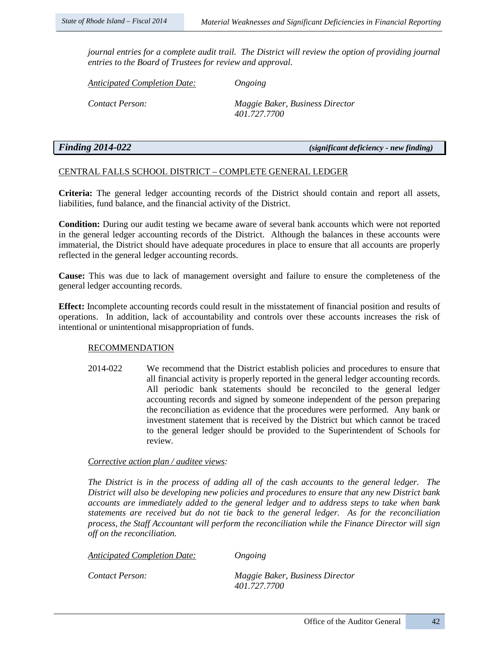*journal entries for a complete audit trail. The District will review the option of providing journal entries to the Board of Trustees for review and approval.*

*Anticipated Completion Date: Ongoing* 

*Contact Person: Maggie Baker, Business Director 401.727.7700*

*Finding 2014-022 (significant deficiency - new finding)*

# CENTRAL FALLS SCHOOL DISTRICT – COMPLETE GENERAL LEDGER

**Criteria:** The general ledger accounting records of the District should contain and report all assets, liabilities, fund balance, and the financial activity of the District.

**Condition:** During our audit testing we became aware of several bank accounts which were not reported in the general ledger accounting records of the District. Although the balances in these accounts were immaterial, the District should have adequate procedures in place to ensure that all accounts are properly reflected in the general ledger accounting records.

**Cause:** This was due to lack of management oversight and failure to ensure the completeness of the general ledger accounting records.

**Effect:** Incomplete accounting records could result in the misstatement of financial position and results of operations. In addition, lack of accountability and controls over these accounts increases the risk of intentional or unintentional misappropriation of funds.

#### RECOMMENDATION

2014-022 We recommend that the District establish policies and procedures to ensure that all financial activity is properly reported in the general ledger accounting records. All periodic bank statements should be reconciled to the general ledger accounting records and signed by someone independent of the person preparing the reconciliation as evidence that the procedures were performed. Any bank or investment statement that is received by the District but which cannot be traced to the general ledger should be provided to the Superintendent of Schools for review.

#### *Corrective action plan / auditee views:*

*The District is in the process of adding all of the cash accounts to the general ledger. The District will also be developing new policies and procedures to ensure that any new District bank accounts are immediately added to the general ledger and to address steps to take when bank statements are received but do not tie back to the general ledger. As for the reconciliation process, the Staff Accountant will perform the reconciliation while the Finance Director will sign off on the reconciliation.*

*Anticipated Completion Date: Ongoing* 

*Contact Person: Maggie Baker, Business Director 401.727.7700*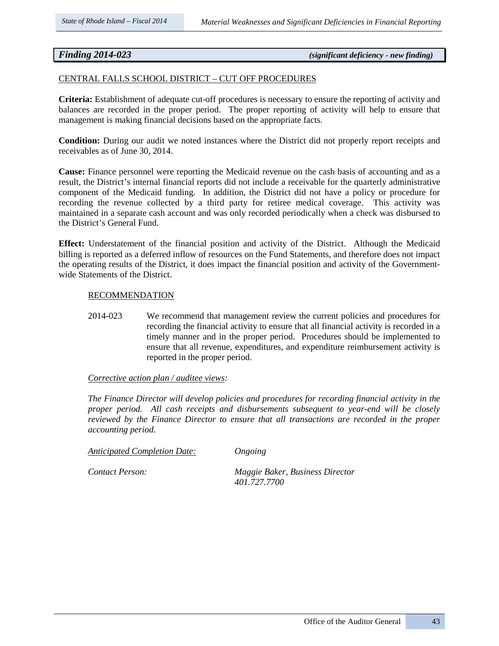# *Finding 2014-023 (significant deficiency - new finding)*

### CENTRAL FALLS SCHOOL DISTRICT – CUT OFF PROCEDURES

**Criteria:** Establishment of adequate cut-off procedures is necessary to ensure the reporting of activity and balances are recorded in the proper period. The proper reporting of activity will help to ensure that management is making financial decisions based on the appropriate facts.

**Condition:** During our audit we noted instances where the District did not properly report receipts and receivables as of June 30, 2014.

**Cause:** Finance personnel were reporting the Medicaid revenue on the cash basis of accounting and as a result, the District's internal financial reports did not include a receivable for the quarterly administrative component of the Medicaid funding. In addition, the District did not have a policy or procedure for recording the revenue collected by a third party for retiree medical coverage. This activity was maintained in a separate cash account and was only recorded periodically when a check was disbursed to the District's General Fund.

**Effect:** Understatement of the financial position and activity of the District. Although the Medicaid billing is reported as a deferred inflow of resources on the Fund Statements, and therefore does not impact the operating results of the District, it does impact the financial position and activity of the Governmentwide Statements of the District.

# **RECOMMENDATION**

2014-023 We recommend that management review the current policies and procedures for recording the financial activity to ensure that all financial activity is recorded in a timely manner and in the proper period. Procedures should be implemented to ensure that all revenue, expenditures, and expenditure reimbursement activity is reported in the proper period.

#### *Corrective action plan / auditee views:*

*The Finance Director will develop policies and procedures for recording financial activity in the proper period. All cash receipts and disbursements subsequent to year-end will be closely reviewed by the Finance Director to ensure that all transactions are recorded in the proper accounting period.*

*Anticipated Completion Date: Ongoing* 

*Contact Person: Maggie Baker, Business Director 401.727.7700*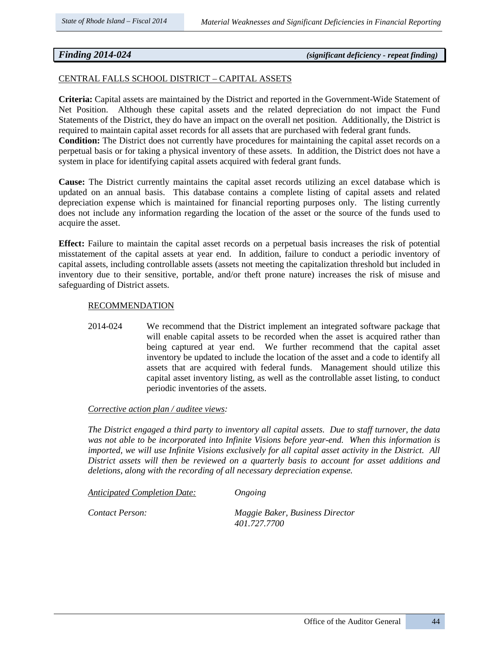# *Finding 2014-024 (significant deficiency - repeat finding)*

### CENTRAL FALLS SCHOOL DISTRICT – CAPITAL ASSETS

**Criteria:** Capital assets are maintained by the District and reported in the Government-Wide Statement of Net Position. Although these capital assets and the related depreciation do not impact the Fund Statements of the District, they do have an impact on the overall net position. Additionally, the District is required to maintain capital asset records for all assets that are purchased with federal grant funds.

**Condition:** The District does not currently have procedures for maintaining the capital asset records on a perpetual basis or for taking a physical inventory of these assets. In addition, the District does not have a system in place for identifying capital assets acquired with federal grant funds.

**Cause:** The District currently maintains the capital asset records utilizing an excel database which is updated on an annual basis. This database contains a complete listing of capital assets and related depreciation expense which is maintained for financial reporting purposes only. The listing currently does not include any information regarding the location of the asset or the source of the funds used to acquire the asset.

**Effect:** Failure to maintain the capital asset records on a perpetual basis increases the risk of potential misstatement of the capital assets at year end. In addition, failure to conduct a periodic inventory of capital assets, including controllable assets (assets not meeting the capitalization threshold but included in inventory due to their sensitive, portable, and/or theft prone nature) increases the risk of misuse and safeguarding of District assets.

#### RECOMMENDATION

2014-024 We recommend that the District implement an integrated software package that will enable capital assets to be recorded when the asset is acquired rather than being captured at year end. We further recommend that the capital asset inventory be updated to include the location of the asset and a code to identify all assets that are acquired with federal funds. Management should utilize this capital asset inventory listing, as well as the controllable asset listing, to conduct periodic inventories of the assets.

#### *Corrective action plan / auditee views:*

*The District engaged a third party to inventory all capital assets. Due to staff turnover, the data was not able to be incorporated into Infinite Visions before year-end. When this information is imported, we will use Infinite Visions exclusively for all capital asset activity in the District. All District assets will then be reviewed on a quarterly basis to account for asset additions and deletions, along with the recording of all necessary depreciation expense.*

*Anticipated Completion Date: Ongoing* 

*Contact Person: Maggie Baker, Business Director 401.727.7700*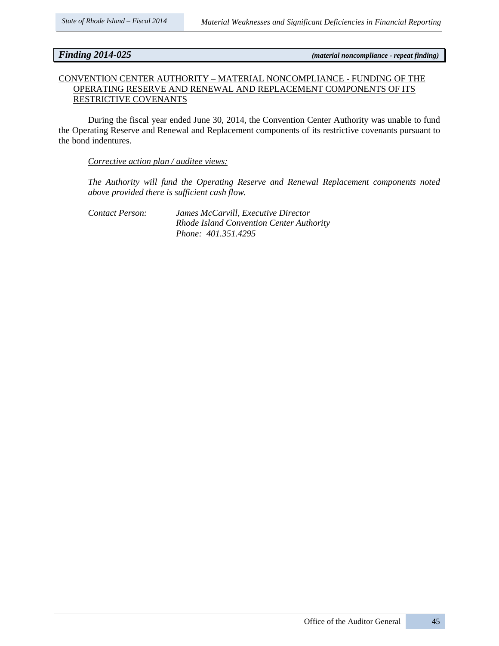*Finding 2014-025 (material noncompliance - repeat finding)*

# CONVENTION CENTER AUTHORITY – MATERIAL NONCOMPLIANCE - FUNDING OF THE OPERATING RESERVE AND RENEWAL AND REPLACEMENT COMPONENTS OF ITS RESTRICTIVE COVENANTS

During the fiscal year ended June 30, 2014, the Convention Center Authority was unable to fund the Operating Reserve and Renewal and Replacement components of its restrictive covenants pursuant to the bond indentures.

### *Corrective action plan / auditee views:*

*The Authority will fund the Operating Reserve and Renewal Replacement components noted above provided there is sufficient cash flow.* 

*Contact Person: James McCarvill, Executive Director Rhode Island Convention Center Authority Phone: 401.351.4295*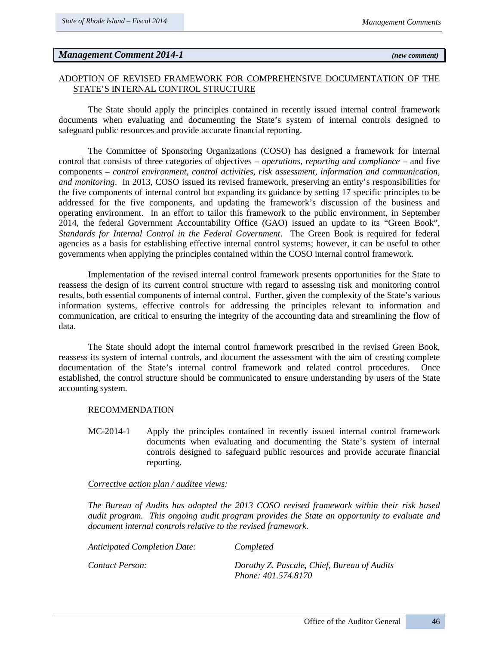# *Management Comment 2014-1 (new comment)*

# ADOPTION OF REVISED FRAMEWORK FOR COMPREHENSIVE DOCUMENTATION OF THE STATE'S INTERNAL CONTROL STRUCTURE

The State should apply the principles contained in recently issued internal control framework documents when evaluating and documenting the State's system of internal controls designed to safeguard public resources and provide accurate financial reporting.

The Committee of Sponsoring Organizations (COSO) has designed a framework for internal control that consists of three categories of objectives – *operations, reporting and compliance* – and five components – *control environment, control activities, risk assessment, information and communication, and monitoring*. In 2013, COSO issued its revised framework, preserving an entity's responsibilities for the five components of internal control but expanding its guidance by setting 17 specific principles to be addressed for the five components, and updating the framework's discussion of the business and operating environment. In an effort to tailor this framework to the public environment, in September 2014, the federal Government Accountability Office (GAO) issued an update to its "Green Book", *Standards for Internal Control in the Federal Government*. The Green Book is required for federal agencies as a basis for establishing effective internal control systems; however, it can be useful to other governments when applying the principles contained within the COSO internal control framework.

Implementation of the revised internal control framework presents opportunities for the State to reassess the design of its current control structure with regard to assessing risk and monitoring control results, both essential components of internal control. Further, given the complexity of the State's various information systems, effective controls for addressing the principles relevant to information and communication, are critical to ensuring the integrity of the accounting data and streamlining the flow of data.

The State should adopt the internal control framework prescribed in the revised Green Book, reassess its system of internal controls, and document the assessment with the aim of creating complete documentation of the State's internal control framework and related control procedures. Once established, the control structure should be communicated to ensure understanding by users of the State accounting system.

#### RECOMMENDATION

MC-2014-1 Apply the principles contained in recently issued internal control framework documents when evaluating and documenting the State's system of internal controls designed to safeguard public resources and provide accurate financial reporting.

#### *Corrective action plan / auditee views:*

*The Bureau of Audits has adopted the 2013 COSO revised framework within their risk based audit program. This ongoing audit program provides the State an opportunity to evaluate and document internal controls relative to the revised framework.* 

| Anticipated Completion Date: | Completed                                                          |
|------------------------------|--------------------------------------------------------------------|
| Contact Person:              | Dorothy Z. Pascale, Chief, Bureau of Audits<br>Phone: 401.574.8170 |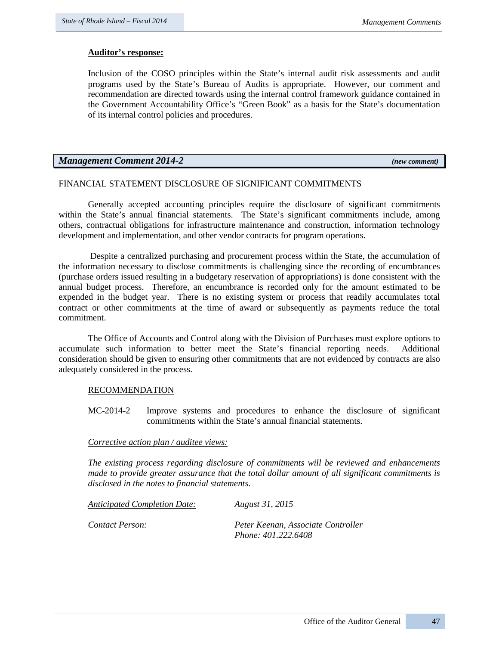## **Auditor's response:**

Inclusion of the COSO principles within the State's internal audit risk assessments and audit programs used by the State's Bureau of Audits is appropriate. However, our comment and recommendation are directed towards using the internal control framework guidance contained in the Government Accountability Office's "Green Book" as a basis for the State's documentation of its internal control policies and procedures.

# *Management Comment 2014-2 (new comment)*

# FINANCIAL STATEMENT DISCLOSURE OF SIGNIFICANT COMMITMENTS

Generally accepted accounting principles require the disclosure of significant commitments within the State's annual financial statements. The State's significant commitments include, among others, contractual obligations for infrastructure maintenance and construction, information technology development and implementation, and other vendor contracts for program operations.

Despite a centralized purchasing and procurement process within the State, the accumulation of the information necessary to disclose commitments is challenging since the recording of encumbrances (purchase orders issued resulting in a budgetary reservation of appropriations) is done consistent with the annual budget process. Therefore, an encumbrance is recorded only for the amount estimated to be expended in the budget year. There is no existing system or process that readily accumulates total contract or other commitments at the time of award or subsequently as payments reduce the total commitment.

The Office of Accounts and Control along with the Division of Purchases must explore options to accumulate such information to better meet the State's financial reporting needs. Additional consideration should be given to ensuring other commitments that are not evidenced by contracts are also adequately considered in the process.

#### RECOMMENDATION

MC-2014-2 Improve systems and procedures to enhance the disclosure of significant commitments within the State's annual financial statements.

#### *Corrective action plan / auditee views:*

*The existing process regarding disclosure of commitments will be reviewed and enhancements made to provide greater assurance that the total dollar amount of all significant commitments is disclosed in the notes to financial statements.*

| Anticipated Completion Date: | August 31, 2015                                           |
|------------------------------|-----------------------------------------------------------|
| Contact Person:              | Peter Keenan, Associate Controller<br>Phone: 401.222.6408 |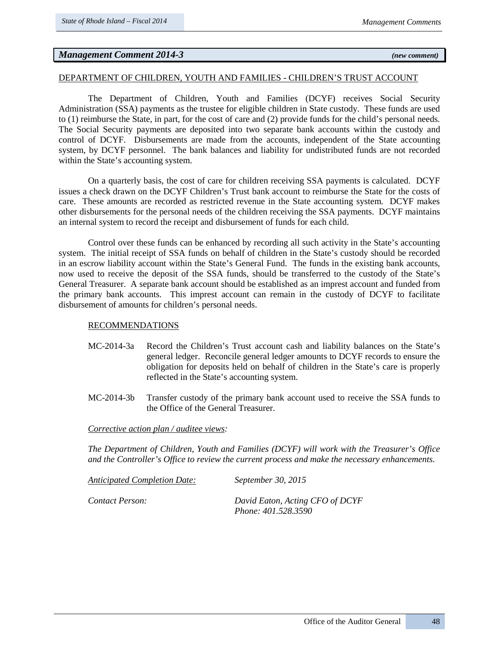# *Management Comment 2014-3 (new comment)*

## DEPARTMENT OF CHILDREN, YOUTH AND FAMILIES - CHILDREN'S TRUST ACCOUNT

The Department of Children, Youth and Families (DCYF) receives Social Security Administration (SSA) payments as the trustee for eligible children in State custody. These funds are used to (1) reimburse the State, in part, for the cost of care and (2) provide funds for the child's personal needs. The Social Security payments are deposited into two separate bank accounts within the custody and control of DCYF. Disbursements are made from the accounts, independent of the State accounting system, by DCYF personnel. The bank balances and liability for undistributed funds are not recorded within the State's accounting system.

On a quarterly basis, the cost of care for children receiving SSA payments is calculated. DCYF issues a check drawn on the DCYF Children's Trust bank account to reimburse the State for the costs of care. These amounts are recorded as restricted revenue in the State accounting system. DCYF makes other disbursements for the personal needs of the children receiving the SSA payments. DCYF maintains an internal system to record the receipt and disbursement of funds for each child.

Control over these funds can be enhanced by recording all such activity in the State's accounting system. The initial receipt of SSA funds on behalf of children in the State's custody should be recorded in an escrow liability account within the State's General Fund. The funds in the existing bank accounts, now used to receive the deposit of the SSA funds, should be transferred to the custody of the State's General Treasurer. A separate bank account should be established as an imprest account and funded from the primary bank accounts. This imprest account can remain in the custody of DCYF to facilitate disbursement of amounts for children's personal needs.

#### RECOMMENDATIONS

- MC-2014-3a Record the Children's Trust account cash and liability balances on the State's general ledger. Reconcile general ledger amounts to DCYF records to ensure the obligation for deposits held on behalf of children in the State's care is properly reflected in the State's accounting system.
- MC-2014-3b Transfer custody of the primary bank account used to receive the SSA funds to the Office of the General Treasurer.

#### *Corrective action plan / auditee views:*

*The Department of Children, Youth and Families (DCYF) will work with the Treasurer's Office and the Controller's Office to review the current process and make the necessary enhancements.* 

| <b>Anticipated Completion Date:</b> | <i>September 30, 2015</i>                              |
|-------------------------------------|--------------------------------------------------------|
| Contact Person:                     | David Eaton, Acting CFO of DCYF<br>Phone: 401.528.3590 |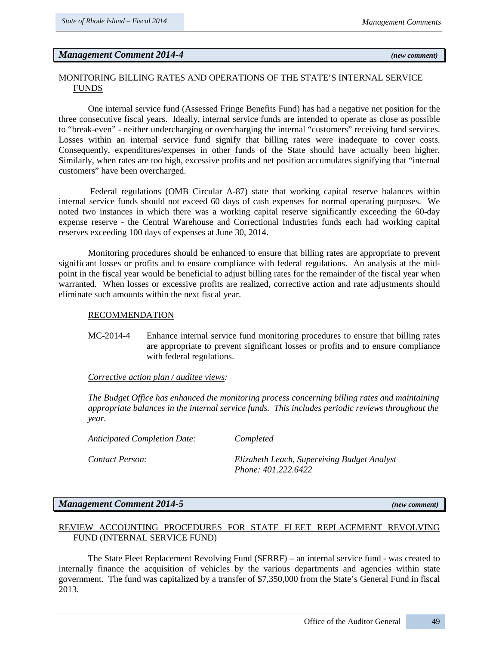# *Management Comment 2014-4* (new comment) *Internal and Security Comment* (new comment)

### MONITORING BILLING RATES AND OPERATIONS OF THE STATE'S INTERNAL SERVICE FUNDS

One internal service fund (Assessed Fringe Benefits Fund) has had a negative net position for the three consecutive fiscal years. Ideally, internal service funds are intended to operate as close as possible to "break-even" - neither undercharging or overcharging the internal "customers" receiving fund services. Losses within an internal service fund signify that billing rates were inadequate to cover costs. Consequently, expenditures/expenses in other funds of the State should have actually been higher. Similarly, when rates are too high, excessive profits and net position accumulates signifying that "internal customers" have been overcharged.

Federal regulations (OMB Circular A-87) state that working capital reserve balances within internal service funds should not exceed 60 days of cash expenses for normal operating purposes. We noted two instances in which there was a working capital reserve significantly exceeding the 60-day expense reserve - the Central Warehouse and Correctional Industries funds each had working capital reserves exceeding 100 days of expenses at June 30, 2014.

Monitoring procedures should be enhanced to ensure that billing rates are appropriate to prevent significant losses or profits and to ensure compliance with federal regulations. An analysis at the midpoint in the fiscal year would be beneficial to adjust billing rates for the remainder of the fiscal year when warranted. When losses or excessive profits are realized, corrective action and rate adjustments should eliminate such amounts within the next fiscal year.

#### RECOMMENDATION

MC-2014-4 Enhance internal service fund monitoring procedures to ensure that billing rates are appropriate to prevent significant losses or profits and to ensure compliance with federal regulations.

#### *Corrective action plan / auditee views:*

*The Budget Office has enhanced the monitoring process concerning billing rates and maintaining appropriate balances in the internal service funds. This includes periodic reviews throughout the year.* 

*Anticipated Completion Date: Completed*

*Contact Person: Elizabeth Leach, Supervising Budget Analyst Phone: 401.222.6422*

# *Management Comment 2014-5 (new comment)*

# REVIEW ACCOUNTING PROCEDURES FOR STATE FLEET REPLACEMENT REVOLVING FUND (INTERNAL SERVICE FUND)

The State Fleet Replacement Revolving Fund (SFRRF) – an internal service fund - was created to internally finance the acquisition of vehicles by the various departments and agencies within state government. The fund was capitalized by a transfer of \$7,350,000 from the State's General Fund in fiscal 2013.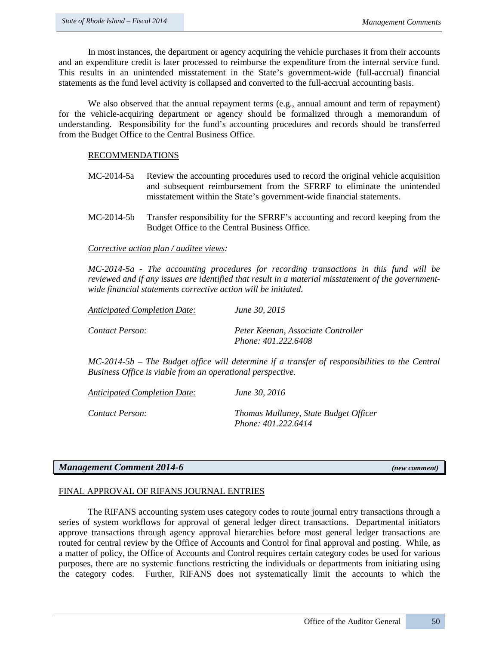In most instances, the department or agency acquiring the vehicle purchases it from their accounts and an expenditure credit is later processed to reimburse the expenditure from the internal service fund. This results in an unintended misstatement in the State's government-wide (full-accrual) financial statements as the fund level activity is collapsed and converted to the full-accrual accounting basis.

We also observed that the annual repayment terms (e.g., annual amount and term of repayment) for the vehicle-acquiring department or agency should be formalized through a memorandum of understanding. Responsibility for the fund's accounting procedures and records should be transferred from the Budget Office to the Central Business Office.

#### RECOMMENDATIONS

- MC-2014-5a Review the accounting procedures used to record the original vehicle acquisition and subsequent reimbursement from the SFRRF to eliminate the unintended misstatement within the State's government-wide financial statements.
- MC-2014-5b Transfer responsibility for the SFRRF's accounting and record keeping from the Budget Office to the Central Business Office.

*Corrective action plan / auditee views:*

*MC-2014-5a - The accounting procedures for recording transactions in this fund will be reviewed and if any issues are identified that result in a material misstatement of the governmentwide financial statements corrective action will be initiated.*

| <b>Anticipated Completion Date:</b> | June 30, 2015                                             |
|-------------------------------------|-----------------------------------------------------------|
| Contact Person:                     | Peter Keenan, Associate Controller<br>Phone: 401.222.6408 |

*MC-2014-5b – The Budget office will determine if a transfer of responsibilities to the Central Business Office is viable from an operational perspective.* 

| <b>Anticipated Completion Date:</b> | June 30, 2016                                                |
|-------------------------------------|--------------------------------------------------------------|
| Contact Person:                     | Thomas Mullaney, State Budget Officer<br>Phone: 401.222.6414 |

# *Management Comment 2014-6 (new comment)*

#### FINAL APPROVAL OF RIFANS JOURNAL ENTRIES

The RIFANS accounting system uses category codes to route journal entry transactions through a series of system workflows for approval of general ledger direct transactions. Departmental initiators approve transactions through agency approval hierarchies before most general ledger transactions are routed for central review by the Office of Accounts and Control for final approval and posting. While, as a matter of policy, the Office of Accounts and Control requires certain category codes be used for various purposes, there are no systemic functions restricting the individuals or departments from initiating using the category codes. Further, RIFANS does not systematically limit the accounts to which the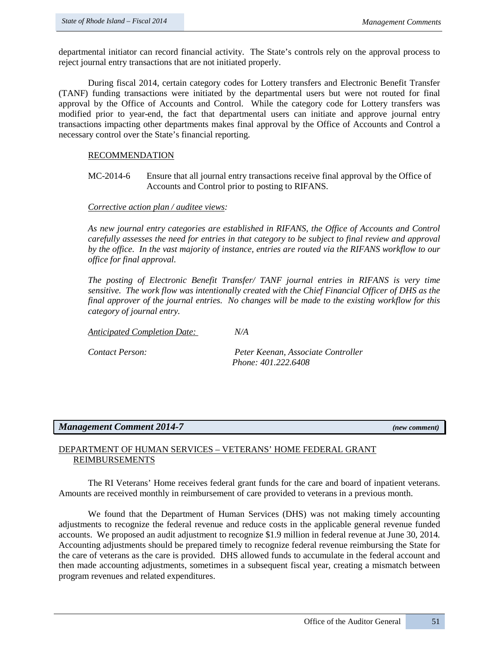departmental initiator can record financial activity. The State's controls rely on the approval process to reject journal entry transactions that are not initiated properly.

During fiscal 2014, certain category codes for Lottery transfers and Electronic Benefit Transfer (TANF) funding transactions were initiated by the departmental users but were not routed for final approval by the Office of Accounts and Control. While the category code for Lottery transfers was modified prior to year-end, the fact that departmental users can initiate and approve journal entry transactions impacting other departments makes final approval by the Office of Accounts and Control a necessary control over the State's financial reporting.

# RECOMMENDATION

MC-2014-6 Ensure that all journal entry transactions receive final approval by the Office of Accounts and Control prior to posting to RIFANS.

#### *Corrective action plan / auditee views:*

*As new journal entry categories are established in RIFANS, the Office of Accounts and Control carefully assesses the need for entries in that category to be subject to final review and approval by the office. In the vast majority of instance, entries are routed via the RIFANS workflow to our office for final approval.*

*The posting of Electronic Benefit Transfer/ TANF journal entries in RIFANS is very time sensitive. The work flow was intentionally created with the Chief Financial Officer of DHS as the final approver of the journal entries. No changes will be made to the existing workflow for this category of journal entry.*

*Anticipated Completion Date: N/A*

*Contact Person: Peter Keenan, Associate Controller Phone: 401.222.6408*

# *Management Comment 2014-7 (new comment)*

# DEPARTMENT OF HUMAN SERVICES – VETERANS' HOME FEDERAL GRANT REIMBURSEMENTS

The RI Veterans' Home receives federal grant funds for the care and board of inpatient veterans. Amounts are received monthly in reimbursement of care provided to veterans in a previous month.

We found that the Department of Human Services (DHS) was not making timely accounting adjustments to recognize the federal revenue and reduce costs in the applicable general revenue funded accounts. We proposed an audit adjustment to recognize \$1.9 million in federal revenue at June 30, 2014. Accounting adjustments should be prepared timely to recognize federal revenue reimbursing the State for the care of veterans as the care is provided. DHS allowed funds to accumulate in the federal account and then made accounting adjustments, sometimes in a subsequent fiscal year, creating a mismatch between program revenues and related expenditures.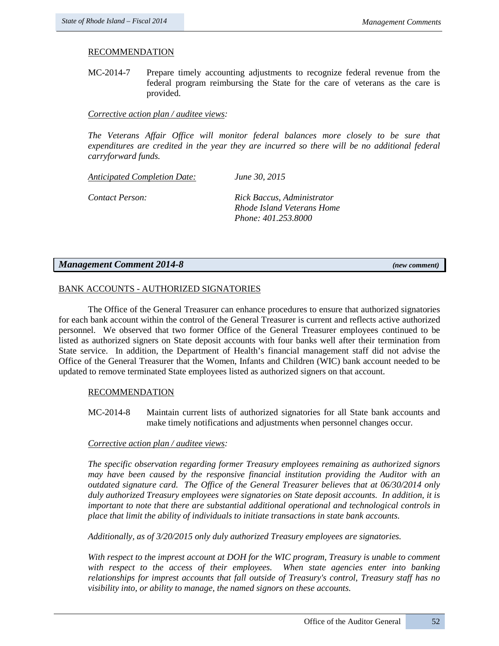# RECOMMENDATION

MC-2014-7 Prepare timely accounting adjustments to recognize federal revenue from the federal program reimbursing the State for the care of veterans as the care is provided.

# *Corrective action plan / auditee views:*

*The Veterans Affair Office will monitor federal balances more closely to be sure that expenditures are credited in the year they are incurred so there will be no additional federal carryforward funds.*

*Anticipated Completion Date: June 30, 2015* 

*Contact Person: Rick Baccus, Administrator Rhode Island Veterans Home Phone: 401.253.8000*

# *Management Comment 2014-8 (new comment)*

# BANK ACCOUNTS - AUTHORIZED SIGNATORIES

The Office of the General Treasurer can enhance procedures to ensure that authorized signatories for each bank account within the control of the General Treasurer is current and reflects active authorized personnel. We observed that two former Office of the General Treasurer employees continued to be listed as authorized signers on State deposit accounts with four banks well after their termination from State service. In addition, the Department of Health's financial management staff did not advise the Office of the General Treasurer that the Women, Infants and Children (WIC) bank account needed to be updated to remove terminated State employees listed as authorized signers on that account.

# RECOMMENDATION

MC-2014-8 Maintain current lists of authorized signatories for all State bank accounts and make timely notifications and adjustments when personnel changes occur.

# *Corrective action plan / auditee views:*

*The specific observation regarding former Treasury employees remaining as authorized signors may have been caused by the responsive financial institution providing the Auditor with an outdated signature card. The Office of the General Treasurer believes that at 06/30/2014 only duly authorized Treasury employees were signatories on State deposit accounts. In addition, it is important to note that there are substantial additional operational and technological controls in place that limit the ability of individuals to initiate transactions in state bank accounts.*

*Additionally, as of 3/20/2015 only duly authorized Treasury employees are signatories.* 

*With respect to the imprest account at DOH for the WIC program, Treasury is unable to comment with respect to the access of their employees. When state agencies enter into banking relationships for imprest accounts that fall outside of Treasury's control, Treasury staff has no visibility into, or ability to manage, the named signors on these accounts.*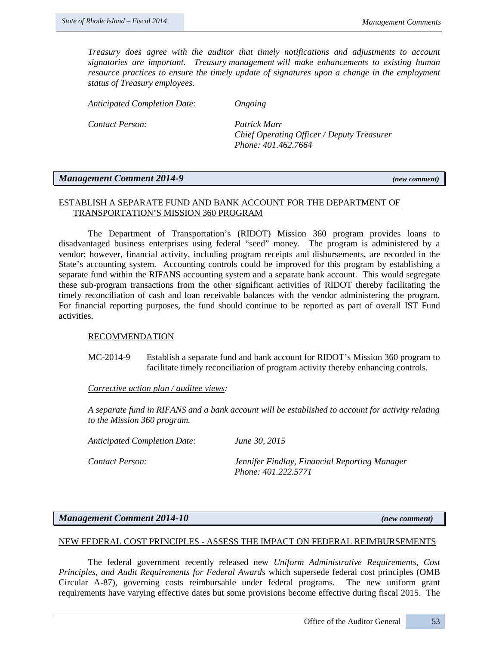*Treasury does agree with the auditor that timely notifications and adjustments to account signatories are important. Treasury management will make enhancements to existing human resource practices to ensure the timely update of signatures upon a change in the employment status of Treasury employees.*

*Anticipated Completion Date: Ongoing*

*Contact Person: Patrick Marr* 

*Chief Operating Officer / Deputy Treasurer Phone: 401.462.7664* 

# *Management Comment 2014-9 (new comment)*

## ESTABLISH A SEPARATE FUND AND BANK ACCOUNT FOR THE DEPARTMENT OF TRANSPORTATION'S MISSION 360 PROGRAM

The Department of Transportation's (RIDOT) Mission 360 program provides loans to disadvantaged business enterprises using federal "seed" money. The program is administered by a vendor; however, financial activity, including program receipts and disbursements, are recorded in the State's accounting system. Accounting controls could be improved for this program by establishing a separate fund within the RIFANS accounting system and a separate bank account. This would segregate these sub-program transactions from the other significant activities of RIDOT thereby facilitating the timely reconciliation of cash and loan receivable balances with the vendor administering the program. For financial reporting purposes, the fund should continue to be reported as part of overall IST Fund activities.

#### RECOMMENDATION

MC-2014-9 Establish a separate fund and bank account for RIDOT's Mission 360 program to facilitate timely reconciliation of program activity thereby enhancing controls.

# *Corrective action plan / auditee views:*

*A separate fund in RIFANS and a bank account will be established to account for activity relating to the Mission 360 program.*

*Anticipated Completion Date: June 30, 2015*

*Contact Person: Jennifer Findlay, Financial Reporting Manager Phone: 401.222.5771*

#### *Management Comment 2014-10 (new comment)*

#### NEW FEDERAL COST PRINCIPLES - ASSESS THE IMPACT ON FEDERAL REIMBURSEMENTS

The federal government recently released new *Uniform Administrative Requirements, Cost Principles, and Audit Requirements for Federal Awards* which supersede federal cost principles (OMB Circular A-87), governing costs reimbursable under federal programs. The new uniform grant requirements have varying effective dates but some provisions become effective during fiscal 2015. The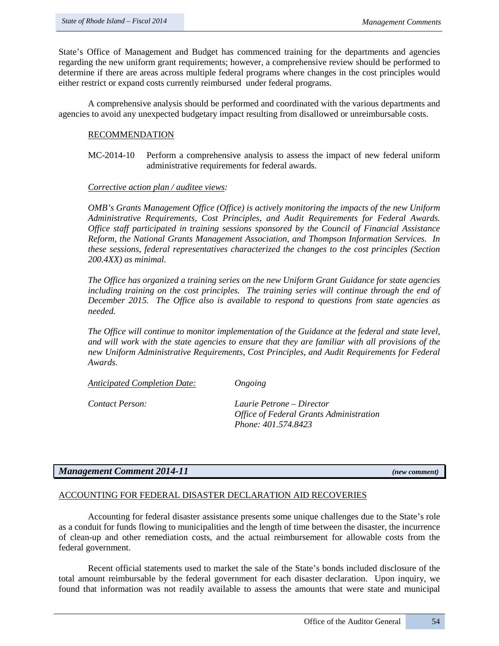State's Office of Management and Budget has commenced training for the departments and agencies regarding the new uniform grant requirements; however, a comprehensive review should be performed to determine if there are areas across multiple federal programs where changes in the cost principles would either restrict or expand costs currently reimbursed under federal programs.

A comprehensive analysis should be performed and coordinated with the various departments and agencies to avoid any unexpected budgetary impact resulting from disallowed or unreimbursable costs.

# RECOMMENDATION

MC-2014-10 Perform a comprehensive analysis to assess the impact of new federal uniform administrative requirements for federal awards.

#### *Corrective action plan / auditee views:*

*OMB's Grants Management Office (Office) is actively monitoring the impacts of the new Uniform Administrative Requirements, Cost Principles, and Audit Requirements for Federal Awards. Office staff participated in training sessions sponsored by the Council of Financial Assistance Reform, the National Grants Management Association, and Thompson Information Services. In these sessions, federal representatives characterized the changes to the cost principles (Section 200.4XX) as minimal.* 

*The Office has organized a training series on the new Uniform Grant Guidance for state agencies*  including training on the cost principles. The training series will continue through the end of *December 2015. The Office also is available to respond to questions from state agencies as needed.*

*The Office will continue to monitor implementation of the Guidance at the federal and state level, and will work with the state agencies to ensure that they are familiar with all provisions of the new Uniform Administrative Requirements, Cost Principles, and Audit Requirements for Federal Awards.*

*Anticipated Completion Date: Ongoing* 

*Contact Person: Laurie Petrone – Director Office of Federal Grants Administration Phone: 401.574.8423*

# *Management Comment 2014-11 (new comment)*

# ACCOUNTING FOR FEDERAL DISASTER DECLARATION AID RECOVERIES

Accounting for federal disaster assistance presents some unique challenges due to the State's role as a conduit for funds flowing to municipalities and the length of time between the disaster, the incurrence of clean-up and other remediation costs, and the actual reimbursement for allowable costs from the federal government.

Recent official statements used to market the sale of the State's bonds included disclosure of the total amount reimbursable by the federal government for each disaster declaration. Upon inquiry, we found that information was not readily available to assess the amounts that were state and municipal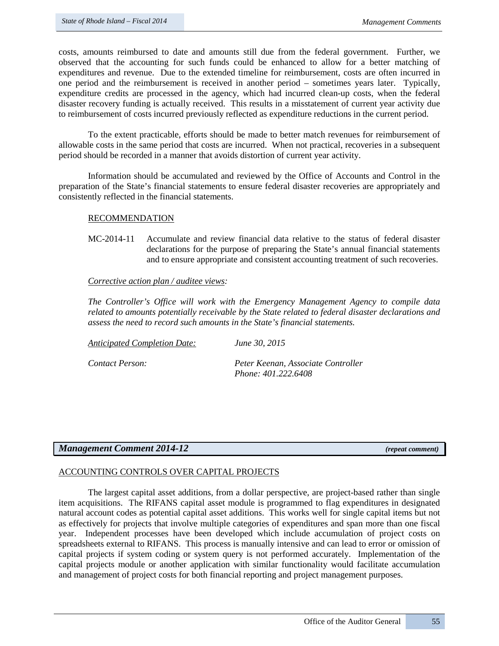costs, amounts reimbursed to date and amounts still due from the federal government. Further, we observed that the accounting for such funds could be enhanced to allow for a better matching of expenditures and revenue. Due to the extended timeline for reimbursement, costs are often incurred in one period and the reimbursement is received in another period – sometimes years later. Typically, expenditure credits are processed in the agency, which had incurred clean-up costs, when the federal disaster recovery funding is actually received. This results in a misstatement of current year activity due to reimbursement of costs incurred previously reflected as expenditure reductions in the current period.

To the extent practicable, efforts should be made to better match revenues for reimbursement of allowable costs in the same period that costs are incurred. When not practical, recoveries in a subsequent period should be recorded in a manner that avoids distortion of current year activity.

Information should be accumulated and reviewed by the Office of Accounts and Control in the preparation of the State's financial statements to ensure federal disaster recoveries are appropriately and consistently reflected in the financial statements.

# RECOMMENDATION

MC-2014-11 Accumulate and review financial data relative to the status of federal disaster declarations for the purpose of preparing the State's annual financial statements and to ensure appropriate and consistent accounting treatment of such recoveries.

# *Corrective action plan / auditee views:*

*The Controller's Office will work with the Emergency Management Agency to compile data related to amounts potentially receivable by the State related to federal disaster declarations and assess the need to record such amounts in the State's financial statements.* 

 *Phone: 401.222.6408*

| Anticipated Completion Date: | June 30, 2015                      |
|------------------------------|------------------------------------|
| Contact Person:              | Peter Keenan, Associate Controller |

*Management Comment 2014-12 (repeat comment)*

# ACCOUNTING CONTROLS OVER CAPITAL PROJECTS

The largest capital asset additions, from a dollar perspective, are project-based rather than single item acquisitions. The RIFANS capital asset module is programmed to flag expenditures in designated natural account codes as potential capital asset additions. This works well for single capital items but not as effectively for projects that involve multiple categories of expenditures and span more than one fiscal year. Independent processes have been developed which include accumulation of project costs on spreadsheets external to RIFANS. This process is manually intensive and can lead to error or omission of capital projects if system coding or system query is not performed accurately. Implementation of the capital projects module or another application with similar functionality would facilitate accumulation and management of project costs for both financial reporting and project management purposes.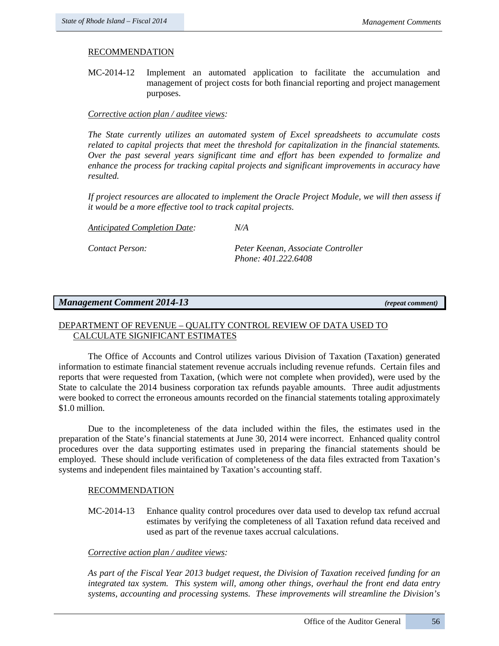# RECOMMENDATION

MC-2014-12 Implement an automated application to facilitate the accumulation and management of project costs for both financial reporting and project management purposes.

# *Corrective action plan / auditee views:*

*The State currently utilizes an automated system of Excel spreadsheets to accumulate costs related to capital projects that meet the threshold for capitalization in the financial statements. Over the past several years significant time and effort has been expended to formalize and enhance the process for tracking capital projects and significant improvements in accuracy have resulted.*

*If project resources are allocated to implement the Oracle Project Module, we will then assess if it would be a more effective tool to track capital projects.*

*Anticipated Completion Date: N/A* 

*Contact Person: Peter Keenan, Associate Controller Phone: 401.222.6408*

# *Management Comment 2014-13 (repeat comment)*

# DEPARTMENT OF REVENUE – QUALITY CONTROL REVIEW OF DATA USED TO CALCULATE SIGNIFICANT ESTIMATES

The Office of Accounts and Control utilizes various Division of Taxation (Taxation) generated information to estimate financial statement revenue accruals including revenue refunds. Certain files and reports that were requested from Taxation, (which were not complete when provided), were used by the State to calculate the 2014 business corporation tax refunds payable amounts. Three audit adjustments were booked to correct the erroneous amounts recorded on the financial statements totaling approximately \$1.0 million.

Due to the incompleteness of the data included within the files, the estimates used in the preparation of the State's financial statements at June 30, 2014 were incorrect. Enhanced quality control procedures over the data supporting estimates used in preparing the financial statements should be employed. These should include verification of completeness of the data files extracted from Taxation's systems and independent files maintained by Taxation's accounting staff.

#### RECOMMENDATION

MC-2014-13 Enhance quality control procedures over data used to develop tax refund accrual estimates by verifying the completeness of all Taxation refund data received and used as part of the revenue taxes accrual calculations.

### *Corrective action plan / auditee views:*

*As part of the Fiscal Year 2013 budget request, the Division of Taxation received funding for an integrated tax system. This system will, among other things, overhaul the front end data entry systems, accounting and processing systems. These improvements will streamline the Division's*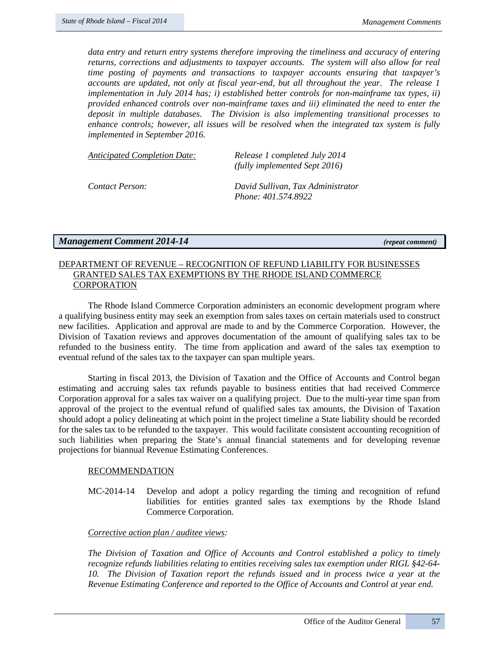*data entry and return entry systems therefore improving the timeliness and accuracy of entering returns, corrections and adjustments to taxpayer accounts. The system will also allow for real time posting of payments and transactions to taxpayer accounts ensuring that taxpayer's accounts are updated, not only at fiscal year-end, but all throughout the year. The release 1 implementation in July 2014 has; i) established better controls for non-mainframe tax types, ii) provided enhanced controls over non-mainframe taxes and iii) eliminated the need to enter the deposit in multiple databases. The Division is also implementing transitional processes to enhance controls; however, all issues will be resolved when the integrated tax system is fully implemented in September 2016.*

| <b>Anticipated Completion Date:</b> | Release 1 completed July 2014<br>(fully implemented Sept 2016) |
|-------------------------------------|----------------------------------------------------------------|
| Contact Person:                     | David Sullivan, Tax Administrator<br>Phone: 401.574.8922       |

*Management Comment 2014-14 (repeat comment)*

# DEPARTMENT OF REVENUE – RECOGNITION OF REFUND LIABILITY FOR BUSINESSES GRANTED SALES TAX EXEMPTIONS BY THE RHODE ISLAND COMMERCE CORPORATION

The Rhode Island Commerce Corporation administers an economic development program where a qualifying business entity may seek an exemption from sales taxes on certain materials used to construct new facilities. Application and approval are made to and by the Commerce Corporation. However, the Division of Taxation reviews and approves documentation of the amount of qualifying sales tax to be refunded to the business entity. The time from application and award of the sales tax exemption to eventual refund of the sales tax to the taxpayer can span multiple years.

Starting in fiscal 2013, the Division of Taxation and the Office of Accounts and Control began estimating and accruing sales tax refunds payable to business entities that had received Commerce Corporation approval for a sales tax waiver on a qualifying project. Due to the multi-year time span from approval of the project to the eventual refund of qualified sales tax amounts, the Division of Taxation should adopt a policy delineating at which point in the project timeline a State liability should be recorded for the sales tax to be refunded to the taxpayer. This would facilitate consistent accounting recognition of such liabilities when preparing the State's annual financial statements and for developing revenue projections for biannual Revenue Estimating Conferences.

#### RECOMMENDATION

MC-2014-14 Develop and adopt a policy regarding the timing and recognition of refund liabilities for entities granted sales tax exemptions by the Rhode Island Commerce Corporation.

#### *Corrective action plan / auditee views:*

*The Division of Taxation and Office of Accounts and Control established a policy to timely recognize refunds liabilities relating to entities receiving sales tax exemption under RIGL §42-64- 10. The Division of Taxation report the refunds issued and in process twice a year at the Revenue Estimating Conference and reported to the Office of Accounts and Control at year end.*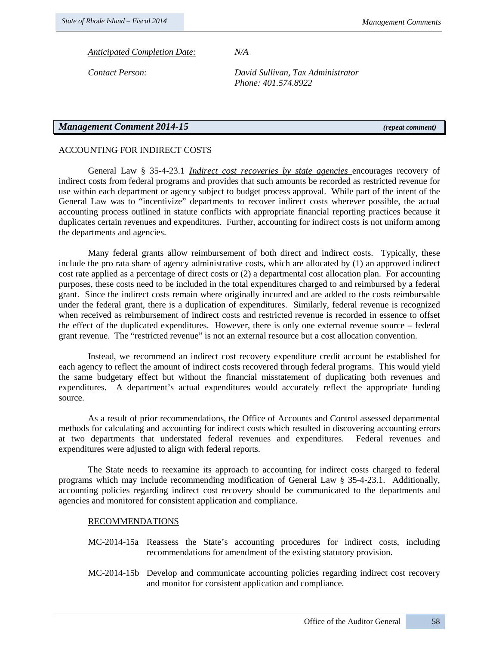*Anticipated Completion Date: N/A*

*Contact Person: David Sullivan, Tax Administrator Phone: 401.574.8922*

# *Management Comment 2014-15 (repeat comment)*

# ACCOUNTING FOR INDIRECT COSTS

General Law § 35-4-23.1 *Indirect cost recoveries by state agencies* encourages recovery of indirect costs from federal programs and provides that such amounts be recorded as restricted revenue for use within each department or agency subject to budget process approval. While part of the intent of the General Law was to "incentivize" departments to recover indirect costs wherever possible, the actual accounting process outlined in statute conflicts with appropriate financial reporting practices because it duplicates certain revenues and expenditures. Further, accounting for indirect costs is not uniform among the departments and agencies.

Many federal grants allow reimbursement of both direct and indirect costs. Typically, these include the pro rata share of agency administrative costs, which are allocated by (1) an approved indirect cost rate applied as a percentage of direct costs or (2) a departmental cost allocation plan. For accounting purposes, these costs need to be included in the total expenditures charged to and reimbursed by a federal grant. Since the indirect costs remain where originally incurred and are added to the costs reimbursable under the federal grant, there is a duplication of expenditures. Similarly, federal revenue is recognized when received as reimbursement of indirect costs and restricted revenue is recorded in essence to offset the effect of the duplicated expenditures. However, there is only one external revenue source – federal grant revenue. The "restricted revenue" is not an external resource but a cost allocation convention.

Instead, we recommend an indirect cost recovery expenditure credit account be established for each agency to reflect the amount of indirect costs recovered through federal programs. This would yield the same budgetary effect but without the financial misstatement of duplicating both revenues and expenditures. A department's actual expenditures would accurately reflect the appropriate funding source.

As a result of prior recommendations, the Office of Accounts and Control assessed departmental methods for calculating and accounting for indirect costs which resulted in discovering accounting errors at two departments that understated federal revenues and expenditures. Federal revenues and expenditures were adjusted to align with federal reports.

The State needs to reexamine its approach to accounting for indirect costs charged to federal programs which may include recommending modification of General Law § 35-4-23.1. Additionally, accounting policies regarding indirect cost recovery should be communicated to the departments and agencies and monitored for consistent application and compliance.

### RECOMMENDATIONS

- MC-2014-15a Reassess the State's accounting procedures for indirect costs, including recommendations for amendment of the existing statutory provision.
- MC-2014-15b Develop and communicate accounting policies regarding indirect cost recovery and monitor for consistent application and compliance.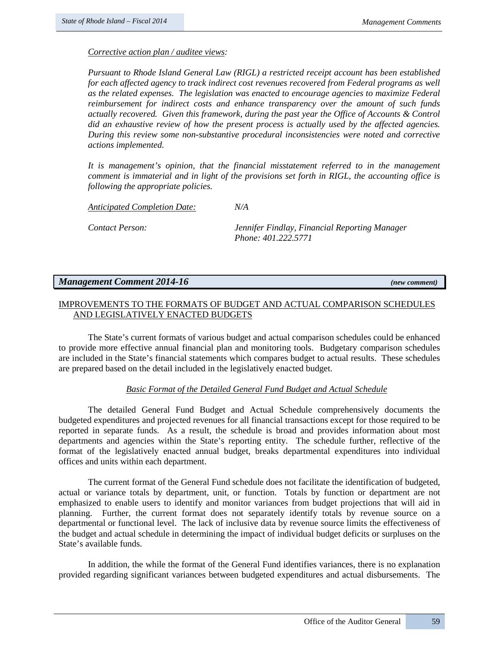*Pursuant to Rhode Island General Law (RIGL) a restricted receipt account has been established for each affected agency to track indirect cost revenues recovered from Federal programs as well as the related expenses. The legislation was enacted to encourage agencies to maximize Federal reimbursement for indirect costs and enhance transparency over the amount of such funds actually recovered. Given this framework, during the past year the Office of Accounts & Control did an exhaustive review of how the present process is actually used by the affected agencies. During this review some non-substantive procedural inconsistencies were noted and corrective actions implemented.* 

*It is management's opinion, that the financial misstatement referred to in the management comment is immaterial and in light of the provisions set forth in RIGL, the accounting office is following the appropriate policies.* 

*Anticipated Completion Date: N/A* 

*Contact Person: Jennifer Findlay, Financial Reporting Manager Phone: 401.222.5771*

# *Management Comment 2014-16 (new comment)*

# IMPROVEMENTS TO THE FORMATS OF BUDGET AND ACTUAL COMPARISON SCHEDULES AND LEGISLATIVELY ENACTED BUDGETS

The State's current formats of various budget and actual comparison schedules could be enhanced to provide more effective annual financial plan and monitoring tools. Budgetary comparison schedules are included in the State's financial statements which compares budget to actual results. These schedules are prepared based on the detail included in the legislatively enacted budget.

# *Basic Format of the Detailed General Fund Budget and Actual Schedule*

The detailed General Fund Budget and Actual Schedule comprehensively documents the budgeted expenditures and projected revenues for all financial transactions except for those required to be reported in separate funds. As a result, the schedule is broad and provides information about most departments and agencies within the State's reporting entity. The schedule further, reflective of the format of the legislatively enacted annual budget, breaks departmental expenditures into individual offices and units within each department.

The current format of the General Fund schedule does not facilitate the identification of budgeted, actual or variance totals by department, unit, or function. Totals by function or department are not emphasized to enable users to identify and monitor variances from budget projections that will aid in planning. Further, the current format does not separately identify totals by revenue source on a departmental or functional level. The lack of inclusive data by revenue source limits the effectiveness of the budget and actual schedule in determining the impact of individual budget deficits or surpluses on the State's available funds.

In addition, the while the format of the General Fund identifies variances, there is no explanation provided regarding significant variances between budgeted expenditures and actual disbursements. The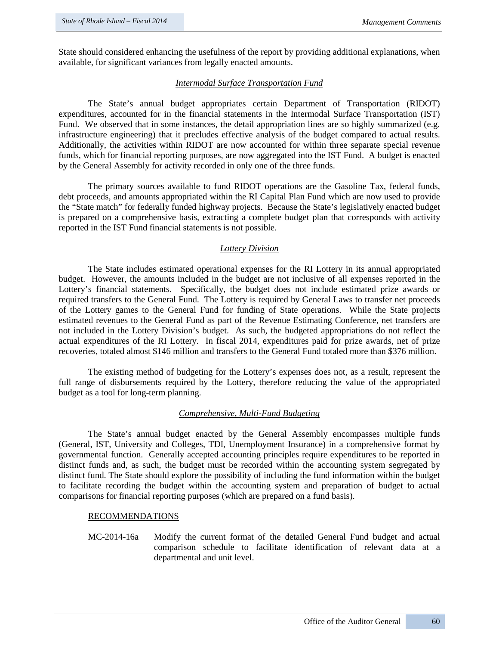State should considered enhancing the usefulness of the report by providing additional explanations, when available, for significant variances from legally enacted amounts.

## *Intermodal Surface Transportation Fund*

The State's annual budget appropriates certain Department of Transportation (RIDOT) expenditures, accounted for in the financial statements in the Intermodal Surface Transportation (IST) Fund. We observed that in some instances, the detail appropriation lines are so highly summarized (e.g. infrastructure engineering) that it precludes effective analysis of the budget compared to actual results. Additionally, the activities within RIDOT are now accounted for within three separate special revenue funds, which for financial reporting purposes, are now aggregated into the IST Fund. A budget is enacted by the General Assembly for activity recorded in only one of the three funds.

The primary sources available to fund RIDOT operations are the Gasoline Tax, federal funds, debt proceeds, and amounts appropriated within the RI Capital Plan Fund which are now used to provide the "State match" for federally funded highway projects. Because the State's legislatively enacted budget is prepared on a comprehensive basis, extracting a complete budget plan that corresponds with activity reported in the IST Fund financial statements is not possible.

# *Lottery Division*

The State includes estimated operational expenses for the RI Lottery in its annual appropriated budget. However, the amounts included in the budget are not inclusive of all expenses reported in the Lottery's financial statements. Specifically, the budget does not include estimated prize awards or required transfers to the General Fund. The Lottery is required by General Laws to transfer net proceeds of the Lottery games to the General Fund for funding of State operations. While the State projects estimated revenues to the General Fund as part of the Revenue Estimating Conference, net transfers are not included in the Lottery Division's budget. As such, the budgeted appropriations do not reflect the actual expenditures of the RI Lottery. In fiscal 2014, expenditures paid for prize awards, net of prize recoveries, totaled almost \$146 million and transfers to the General Fund totaled more than \$376 million.

The existing method of budgeting for the Lottery's expenses does not, as a result, represent the full range of disbursements required by the Lottery, therefore reducing the value of the appropriated budget as a tool for long-term planning.

# *Comprehensive, Multi-Fund Budgeting*

The State's annual budget enacted by the General Assembly encompasses multiple funds (General, IST, University and Colleges, TDI, Unemployment Insurance) in a comprehensive format by governmental function. Generally accepted accounting principles require expenditures to be reported in distinct funds and, as such, the budget must be recorded within the accounting system segregated by distinct fund. The State should explore the possibility of including the fund information within the budget to facilitate recording the budget within the accounting system and preparation of budget to actual comparisons for financial reporting purposes (which are prepared on a fund basis).

#### RECOMMENDATIONS

MC-2014-16a Modify the current format of the detailed General Fund budget and actual comparison schedule to facilitate identification of relevant data at a departmental and unit level.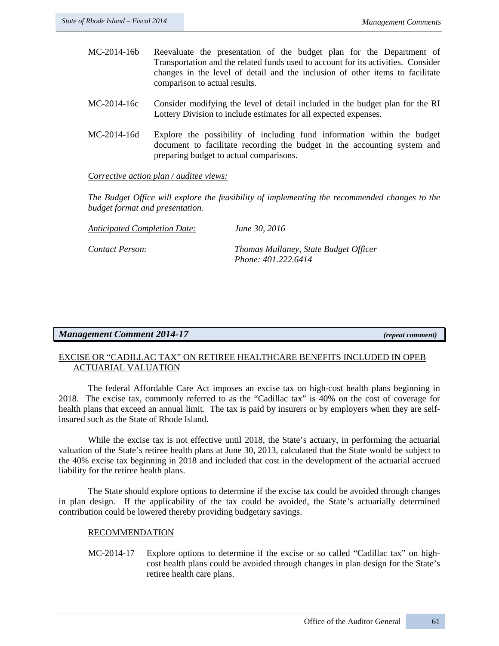- MC-2014-16b Reevaluate the presentation of the budget plan for the Department of Transportation and the related funds used to account for its activities. Consider changes in the level of detail and the inclusion of other items to facilitate comparison to actual results.
- MC-2014-16c Consider modifying the level of detail included in the budget plan for the RI Lottery Division to include estimates for all expected expenses.
- MC-2014-16d Explore the possibility of including fund information within the budget document to facilitate recording the budget in the accounting system and preparing budget to actual comparisons.

*The Budget Office will explore the feasibility of implementing the recommended changes to the budget format and presentation.*

*Anticipated Completion Date: June 30, 2016*

*Contact Person: Thomas Mullaney, State Budget Officer Phone: 401.222.6414*

# *Management Comment 2014-17 (repeat comment)*

# EXCISE OR "CADILLAC TAX" ON RETIREE HEALTHCARE BENEFITS INCLUDED IN OPEB ACTUARIAL VALUATION

The federal Affordable Care Act imposes an excise tax on high-cost health plans beginning in 2018. The excise tax, commonly referred to as the "Cadillac tax" is 40% on the cost of coverage for health plans that exceed an annual limit. The tax is paid by insurers or by employers when they are selfinsured such as the State of Rhode Island.

While the excise tax is not effective until 2018, the State's actuary, in performing the actuarial valuation of the State's retiree health plans at June 30, 2013, calculated that the State would be subject to the 40% excise tax beginning in 2018 and included that cost in the development of the actuarial accrued liability for the retiree health plans.

The State should explore options to determine if the excise tax could be avoided through changes in plan design. If the applicability of the tax could be avoided, the State's actuarially determined contribution could be lowered thereby providing budgetary savings.

# RECOMMENDATION

MC-2014-17 Explore options to determine if the excise or so called "Cadillac tax" on highcost health plans could be avoided through changes in plan design for the State's retiree health care plans.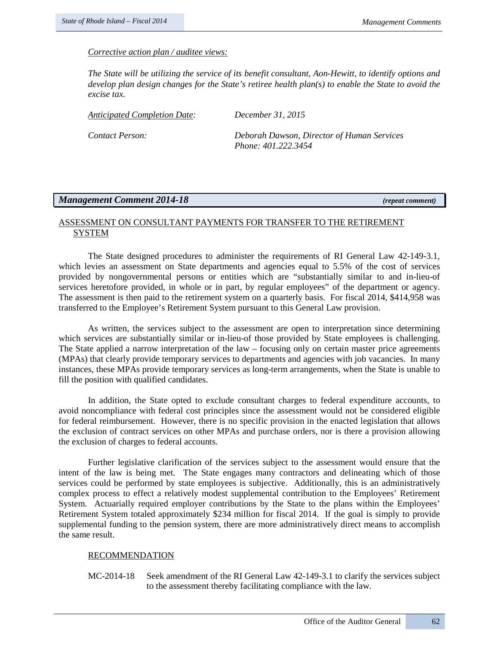*The State will be utilizing the service of its benefit consultant, Aon-Hewitt, to identify options and develop plan design changes for the State's retiree health plan(s) to enable the State to avoid the excise tax.* 

| Anticipated Completion Date: | December 31, 2015                          |
|------------------------------|--------------------------------------------|
| Contact Person:              | Deborah Dawson, Director of Human Services |

*Phone: 401.222.3454*

# *Management Comment 2014-18 (repeat comment)*

# ASSESSMENT ON CONSULTANT PAYMENTS FOR TRANSFER TO THE RETIREMENT SYSTEM

The State designed procedures to administer the requirements of RI General Law 42-149-3.1, which levies an assessment on State departments and agencies equal to 5.5% of the cost of services provided by nongovernmental persons or entities which are "substantially similar to and in-lieu-of services heretofore provided, in whole or in part, by regular employees" of the department or agency. The assessment is then paid to the retirement system on a quarterly basis. For fiscal 2014, \$414,958 was transferred to the Employee's Retirement System pursuant to this General Law provision.

As written, the services subject to the assessment are open to interpretation since determining which services are substantially similar or in-lieu-of those provided by State employees is challenging. The State applied a narrow interpretation of the law – focusing only on certain master price agreements (MPAs) that clearly provide temporary services to departments and agencies with job vacancies. In many instances, these MPAs provide temporary services as long-term arrangements, when the State is unable to fill the position with qualified candidates.

In addition, the State opted to exclude consultant charges to federal expenditure accounts, to avoid noncompliance with federal cost principles since the assessment would not be considered eligible for federal reimbursement. However, there is no specific provision in the enacted legislation that allows the exclusion of contract services on other MPAs and purchase orders, nor is there a provision allowing the exclusion of charges to federal accounts.

Further legislative clarification of the services subject to the assessment would ensure that the intent of the law is being met. The State engages many contractors and delineating which of those services could be performed by state employees is subjective. Additionally, this is an administratively complex process to effect a relatively modest supplemental contribution to the Employees' Retirement System. Actuarially required employer contributions by the State to the plans within the Employees' Retirement System totaled approximately \$234 million for fiscal 2014. If the goal is simply to provide supplemental funding to the pension system, there are more administratively direct means to accomplish the same result.

# RECOMMENDATION

MC-2014-18 Seek amendment of the RI General Law 42-149-3.1 to clarify the services subject to the assessment thereby facilitating compliance with the law.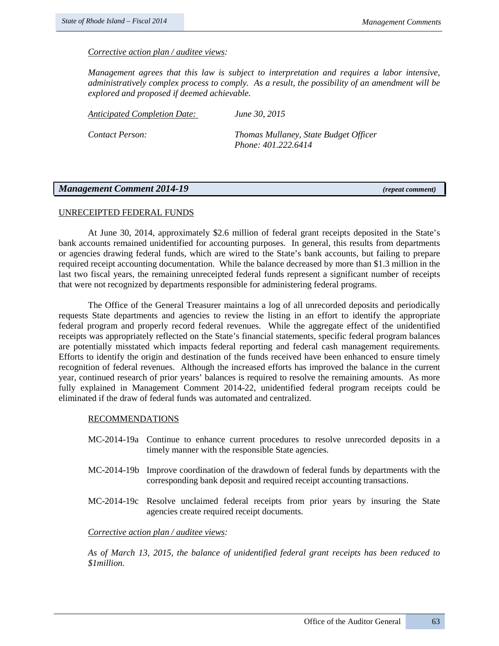*Management agrees that this law is subject to interpretation and requires a labor intensive, administratively complex process to comply. As a result, the possibility of an amendment will be explored and proposed if deemed achievable.* 

*Anticipated Completion Date: June 30, 2015*

*Contact Person: Thomas Mullaney, State Budget Officer Phone: 401.222.6414*

### *Management Comment 2014-19 (repeat comment)*

#### UNRECEIPTED FEDERAL FUNDS

At June 30, 2014, approximately \$2.6 million of federal grant receipts deposited in the State's bank accounts remained unidentified for accounting purposes. In general, this results from departments or agencies drawing federal funds, which are wired to the State's bank accounts, but failing to prepare required receipt accounting documentation. While the balance decreased by more than \$1.3 million in the last two fiscal years, the remaining unreceipted federal funds represent a significant number of receipts that were not recognized by departments responsible for administering federal programs.

The Office of the General Treasurer maintains a log of all unrecorded deposits and periodically requests State departments and agencies to review the listing in an effort to identify the appropriate federal program and properly record federal revenues. While the aggregate effect of the unidentified receipts was appropriately reflected on the State's financial statements, specific federal program balances are potentially misstated which impacts federal reporting and federal cash management requirements. Efforts to identify the origin and destination of the funds received have been enhanced to ensure timely recognition of federal revenues. Although the increased efforts has improved the balance in the current year, continued research of prior years' balances is required to resolve the remaining amounts. As more fully explained in Management Comment 2014-22, unidentified federal program receipts could be eliminated if the draw of federal funds was automated and centralized.

#### RECOMMENDATIONS

- MC-2014-19a Continue to enhance current procedures to resolve unrecorded deposits in a timely manner with the responsible State agencies.
- MC-2014-19b Improve coordination of the drawdown of federal funds by departments with the corresponding bank deposit and required receipt accounting transactions.
- MC-2014-19c Resolve unclaimed federal receipts from prior years by insuring the State agencies create required receipt documents.

#### *Corrective action plan / auditee views:*

*As of March 13, 2015, the balance of unidentified federal grant receipts has been reduced to \$1million.*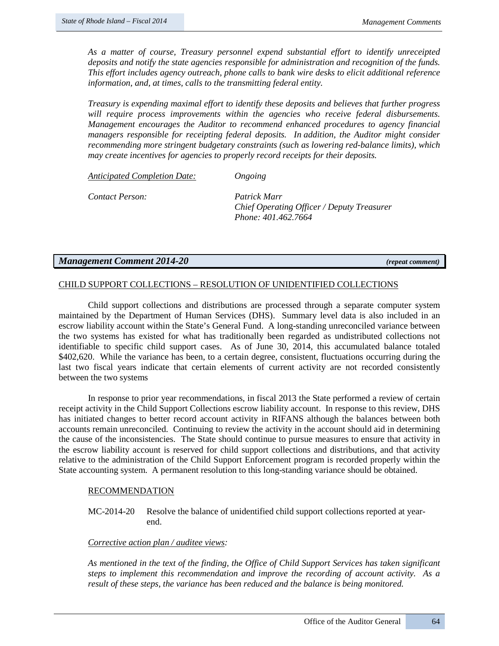*As a matter of course, Treasury personnel expend substantial effort to identify unreceipted deposits and notify the state agencies responsible for administration and recognition of the funds. This effort includes agency outreach, phone calls to bank wire desks to elicit additional reference information, and, at times, calls to the transmitting federal entity.*

*Treasury is expending maximal effort to identify these deposits and believes that further progress will require process improvements within the agencies who receive federal disbursements. Management encourages the Auditor to recommend enhanced procedures to agency financial managers responsible for receipting federal deposits. In addition, the Auditor might consider recommending more stringent budgetary constraints (such as lowering red-balance limits), which may create incentives for agencies to properly record receipts for their deposits.*

*Anticipated Completion Date: Ongoing*

*Contact Person: Patrick Marr* 

*Chief Operating Officer / Deputy Treasurer Phone: 401.462.7664* 

# *Management Comment 2014-20 (repeat comment)*

# CHILD SUPPORT COLLECTIONS – RESOLUTION OF UNIDENTIFIED COLLECTIONS

Child support collections and distributions are processed through a separate computer system maintained by the Department of Human Services (DHS). Summary level data is also included in an escrow liability account within the State's General Fund. A long-standing unreconciled variance between the two systems has existed for what has traditionally been regarded as undistributed collections not identifiable to specific child support cases. As of June 30, 2014, this accumulated balance totaled \$402,620. While the variance has been, to a certain degree, consistent, fluctuations occurring during the last two fiscal years indicate that certain elements of current activity are not recorded consistently between the two systems

In response to prior year recommendations, in fiscal 2013 the State performed a review of certain receipt activity in the Child Support Collections escrow liability account. In response to this review, DHS has initiated changes to better record account activity in RIFANS although the balances between both accounts remain unreconciled. Continuing to review the activity in the account should aid in determining the cause of the inconsistencies. The State should continue to pursue measures to ensure that activity in the escrow liability account is reserved for child support collections and distributions, and that activity relative to the administration of the Child Support Enforcement program is recorded properly within the State accounting system. A permanent resolution to this long-standing variance should be obtained.

#### RECOMMENDATION

MC-2014-20 Resolve the balance of unidentified child support collections reported at yearend.

### *Corrective action plan / auditee views:*

*As mentioned in the text of the finding, the Office of Child Support Services has taken significant steps to implement this recommendation and improve the recording of account activity. As a result of these steps, the variance has been reduced and the balance is being monitored.*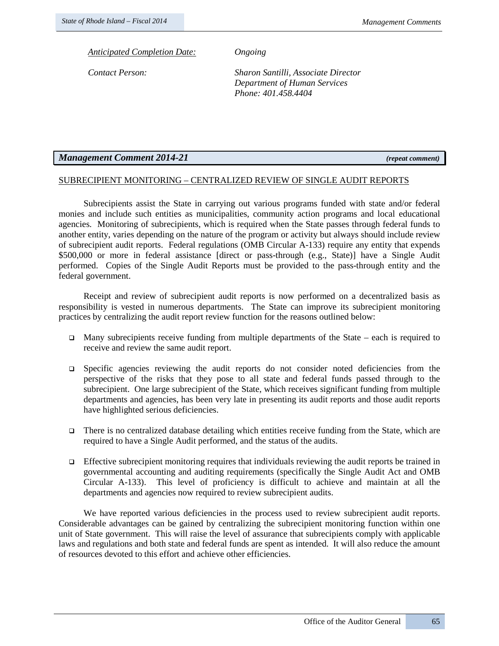*Anticipated Completion Date: Ongoing*

*Contact Person: Sharon Santilli, Associate Director Department of Human Services Phone: 401.458.4404*

# *Management Comment 2014-21 (repeat comment)*

# SUBRECIPIENT MONITORING – CENTRALIZED REVIEW OF SINGLE AUDIT REPORTS

Subrecipients assist the State in carrying out various programs funded with state and/or federal monies and include such entities as municipalities, community action programs and local educational agencies. Monitoring of subrecipients, which is required when the State passes through federal funds to another entity, varies depending on the nature of the program or activity but always should include review of subrecipient audit reports. Federal regulations (OMB Circular A-133) require any entity that expends \$500,000 or more in federal assistance [direct or pass-through (e.g., State)] have a Single Audit performed. Copies of the Single Audit Reports must be provided to the pass-through entity and the federal government.

Receipt and review of subrecipient audit reports is now performed on a decentralized basis as responsibility is vested in numerous departments. The State can improve its subrecipient monitoring practices by centralizing the audit report review function for the reasons outlined below:

- Many subrecipients receive funding from multiple departments of the State each is required to receive and review the same audit report.
- $\Box$  Specific agencies reviewing the audit reports do not consider noted deficiencies from the perspective of the risks that they pose to all state and federal funds passed through to the subrecipient. One large subrecipient of the State, which receives significant funding from multiple departments and agencies, has been very late in presenting its audit reports and those audit reports have highlighted serious deficiencies.
- There is no centralized database detailing which entities receive funding from the State, which are required to have a Single Audit performed, and the status of the audits.
- Effective subrecipient monitoring requires that individuals reviewing the audit reports be trained in governmental accounting and auditing requirements (specifically the Single Audit Act and OMB Circular A-133). This level of proficiency is difficult to achieve and maintain at all the departments and agencies now required to review subrecipient audits.

We have reported various deficiencies in the process used to review subrecipient audit reports. Considerable advantages can be gained by centralizing the subrecipient monitoring function within one unit of State government. This will raise the level of assurance that subrecipients comply with applicable laws and regulations and both state and federal funds are spent as intended. It will also reduce the amount of resources devoted to this effort and achieve other efficiencies.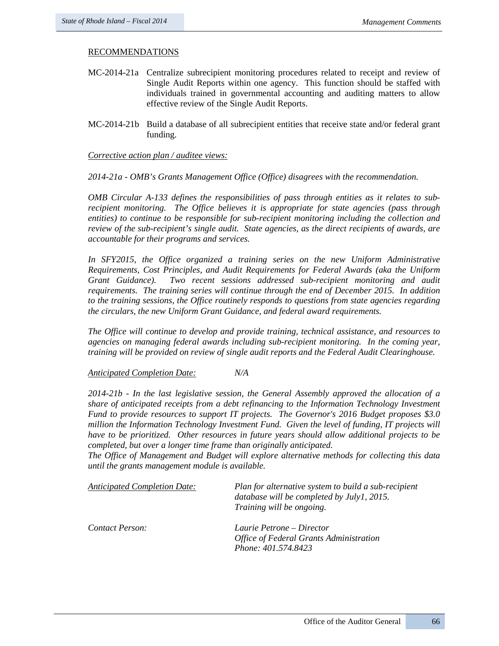## RECOMMENDATIONS

- MC-2014-21a Centralize subrecipient monitoring procedures related to receipt and review of Single Audit Reports within one agency. This function should be staffed with individuals trained in governmental accounting and auditing matters to allow effective review of the Single Audit Reports.
- MC-2014-21b Build a database of all subrecipient entities that receive state and/or federal grant funding.

*Corrective action plan / auditee views:*

*2014-21a - OMB's Grants Management Office (Office) disagrees with the recommendation.* 

*OMB Circular A-133 defines the responsibilities of pass through entities as it relates to subrecipient monitoring. The Office believes it is appropriate for state agencies (pass through entities) to continue to be responsible for sub-recipient monitoring including the collection and review of the sub-recipient's single audit. State agencies, as the direct recipients of awards, are accountable for their programs and services.* 

In SFY2015, the Office organized a training series on the new Uniform Administrative *Requirements, Cost Principles, and Audit Requirements for Federal Awards (aka the Uniform Grant Guidance). Two recent sessions addressed sub-recipient monitoring and audit requirements. The training series will continue through the end of December 2015. In addition to the training sessions, the Office routinely responds to questions from state agencies regarding the circulars, the new Uniform Grant Guidance, and federal award requirements.*

*The Office will continue to develop and provide training, technical assistance, and resources to agencies on managing federal awards including sub-recipient monitoring. In the coming year, training will be provided on review of single audit reports and the Federal Audit Clearinghouse.* 

*Anticipated Completion Date: N/A* 

*2014-21b - In the last legislative session, the General Assembly approved the allocation of a share of anticipated receipts from a debt refinancing to the Information Technology Investment Fund to provide resources to support IT projects. The Governor's 2016 Budget proposes \$3.0 million the Information Technology Investment Fund. Given the level of funding, IT projects will have to be prioritized. Other resources in future years should allow additional projects to be completed, but over a longer time frame than originally anticipated.* 

*The Office of Management and Budget will explore alternative methods for collecting this data until the grants management module is available.* 

| <b>Anticipated Completion Date:</b> | Plan for alternative system to build a sub-recipient<br>database will be completed by July1, 2015.<br>Training will be ongoing. |
|-------------------------------------|---------------------------------------------------------------------------------------------------------------------------------|
| Contact Person:                     | Laurie Petrone – Director<br><b>Office of Federal Grants Administration</b><br>Phone: 401.574.8423                              |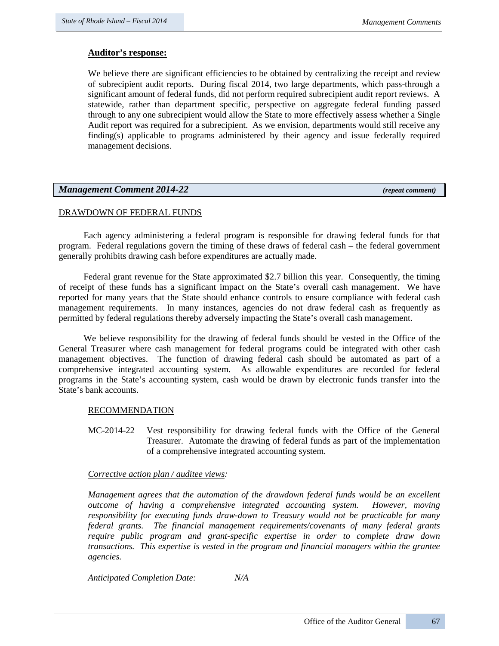# **Auditor's response:**

We believe there are significant efficiencies to be obtained by centralizing the receipt and review of subrecipient audit reports. During fiscal 2014, two large departments, which pass-through a significant amount of federal funds, did not perform required subrecipient audit report reviews. A statewide, rather than department specific, perspective on aggregate federal funding passed through to any one subrecipient would allow the State to more effectively assess whether a Single Audit report was required for a subrecipient. As we envision, departments would still receive any finding(s) applicable to programs administered by their agency and issue federally required management decisions.

# *Management Comment 2014-22 (repeat comment)*

# DRAWDOWN OF FEDERAL FUNDS

Each agency administering a federal program is responsible for drawing federal funds for that program. Federal regulations govern the timing of these draws of federal cash – the federal government generally prohibits drawing cash before expenditures are actually made.

Federal grant revenue for the State approximated \$2.7 billion this year. Consequently, the timing of receipt of these funds has a significant impact on the State's overall cash management. We have reported for many years that the State should enhance controls to ensure compliance with federal cash management requirements. In many instances, agencies do not draw federal cash as frequently as permitted by federal regulations thereby adversely impacting the State's overall cash management.

We believe responsibility for the drawing of federal funds should be vested in the Office of the General Treasurer where cash management for federal programs could be integrated with other cash management objectives. The function of drawing federal cash should be automated as part of a comprehensive integrated accounting system. As allowable expenditures are recorded for federal programs in the State's accounting system, cash would be drawn by electronic funds transfer into the State's bank accounts.

# RECOMMENDATION

MC-2014-22 Vest responsibility for drawing federal funds with the Office of the General Treasurer. Automate the drawing of federal funds as part of the implementation of a comprehensive integrated accounting system.

# *Corrective action plan / auditee views:*

*Management agrees that the automation of the drawdown federal funds would be an excellent outcome of having a comprehensive integrated accounting system. However, moving responsibility for executing funds draw-down to Treasury would not be practicable for many federal grants. The financial management requirements/covenants of many federal grants require public program and grant-specific expertise in order to complete draw down transactions. This expertise is vested in the program and financial managers within the grantee agencies.*

# *Anticipated Completion Date: N/A*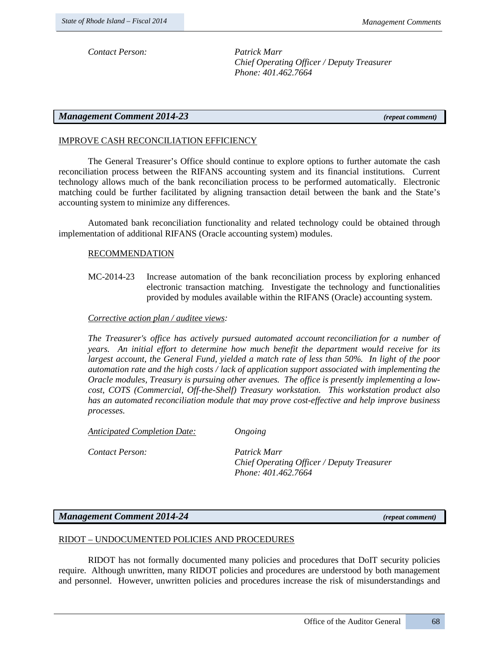*Contact Person: Patrick Marr* 

*Chief Operating Officer / Deputy Treasurer Phone: 401.462.7664* 

# *Management Comment 2014-23 (repeat comment)*

# IMPROVE CASH RECONCILIATION EFFICIENCY

The General Treasurer's Office should continue to explore options to further automate the cash reconciliation process between the RIFANS accounting system and its financial institutions. Current technology allows much of the bank reconciliation process to be performed automatically. Electronic matching could be further facilitated by aligning transaction detail between the bank and the State's accounting system to minimize any differences.

Automated bank reconciliation functionality and related technology could be obtained through implementation of additional RIFANS (Oracle accounting system) modules.

#### RECOMMENDATION

MC-2014-23 Increase automation of the bank reconciliation process by exploring enhanced electronic transaction matching. Investigate the technology and functionalities provided by modules available within the RIFANS (Oracle) accounting system.

# *Corrective action plan / auditee views:*

*The Treasurer's office has actively pursued automated account reconciliation for a number of years. An initial effort to determine how much benefit the department would receive for its largest account, the General Fund, yielded a match rate of less than 50%. In light of the poor automation rate and the high costs / lack of application support associated with implementing the Oracle modules, Treasury is pursuing other avenues. The office is presently implementing a lowcost, COTS (Commercial, Off-the-Shelf) Treasury workstation. This workstation product also has an automated reconciliation module that may prove cost-effective and help improve business processes.*

*Anticipated Completion Date: Ongoing*

*Contact Person: Patrick Marr* 

*Chief Operating Officer / Deputy Treasurer Phone: 401.462.7664* 

#### *Management Comment 2014-24 (repeat comment)*

#### RIDOT – UNDOCUMENTED POLICIES AND PROCEDURES

RIDOT has not formally documented many policies and procedures that DoIT security policies require. Although unwritten, many RIDOT policies and procedures are understood by both management and personnel. However, unwritten policies and procedures increase the risk of misunderstandings and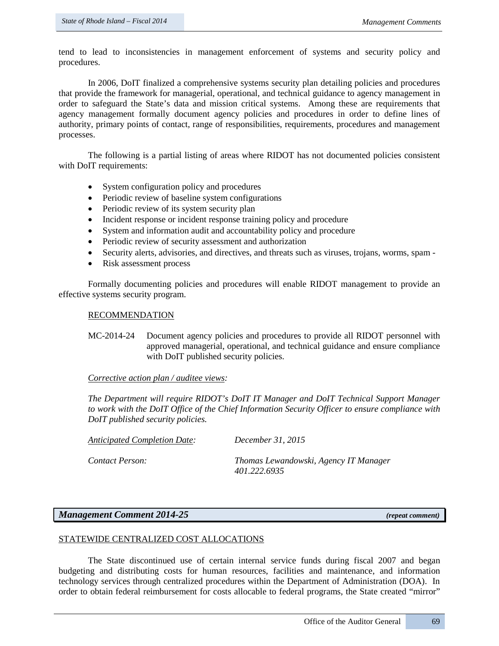tend to lead to inconsistencies in management enforcement of systems and security policy and procedures.

In 2006, DoIT finalized a comprehensive systems security plan detailing policies and procedures that provide the framework for managerial, operational, and technical guidance to agency management in order to safeguard the State's data and mission critical systems. Among these are requirements that agency management formally document agency policies and procedures in order to define lines of authority, primary points of contact, range of responsibilities, requirements, procedures and management processes.

The following is a partial listing of areas where RIDOT has not documented policies consistent with DoIT requirements:

- System configuration policy and procedures
- Periodic review of baseline system configurations
- Periodic review of its system security plan
- Incident response or incident response training policy and procedure
- System and information audit and accountability policy and procedure
- Periodic review of security assessment and authorization
- Security alerts, advisories, and directives, and threats such as viruses, trojans, worms, spam -
- Risk assessment process

Formally documenting policies and procedures will enable RIDOT management to provide an effective systems security program.

#### RECOMMENDATION

MC-2014-24 Document agency policies and procedures to provide all RIDOT personnel with approved managerial, operational, and technical guidance and ensure compliance with DoIT published security policies.

#### *Corrective action plan / auditee views:*

*The Department will require RIDOT's DoIT IT Manager and DoIT Technical Support Manager to work with the DoIT Office of the Chief Information Security Officer to ensure compliance with DoIT published security policies.* 

*Anticipated Completion Date: December 31, 2015*

*Contact Person: Thomas Lewandowski, Agency IT Manager 401.222.6935*

# *Management Comment 2014-25 (repeat comment)*

#### STATEWIDE CENTRALIZED COST ALLOCATIONS

The State discontinued use of certain internal service funds during fiscal 2007 and began budgeting and distributing costs for human resources, facilities and maintenance, and information technology services through centralized procedures within the Department of Administration (DOA). In order to obtain federal reimbursement for costs allocable to federal programs, the State created "mirror"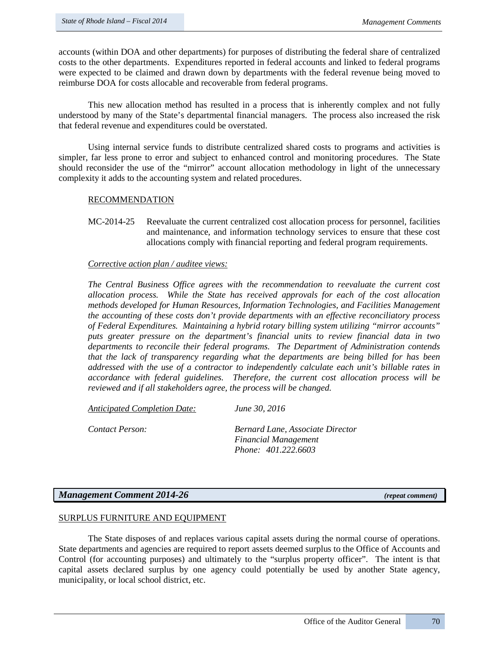accounts (within DOA and other departments) for purposes of distributing the federal share of centralized costs to the other departments. Expenditures reported in federal accounts and linked to federal programs were expected to be claimed and drawn down by departments with the federal revenue being moved to reimburse DOA for costs allocable and recoverable from federal programs.

This new allocation method has resulted in a process that is inherently complex and not fully understood by many of the State's departmental financial managers. The process also increased the risk that federal revenue and expenditures could be overstated.

Using internal service funds to distribute centralized shared costs to programs and activities is simpler, far less prone to error and subject to enhanced control and monitoring procedures. The State should reconsider the use of the "mirror" account allocation methodology in light of the unnecessary complexity it adds to the accounting system and related procedures.

### RECOMMENDATION

MC-2014-25 Reevaluate the current centralized cost allocation process for personnel, facilities and maintenance, and information technology services to ensure that these cost allocations comply with financial reporting and federal program requirements.

### *Corrective action plan / auditee views:*

*The Central Business Office agrees with the recommendation to reevaluate the current cost allocation process. While the State has received approvals for each of the cost allocation methods developed for Human Resources, Information Technologies, and Facilities Management the accounting of these costs don't provide departments with an effective reconciliatory process of Federal Expenditures. Maintaining a hybrid rotary billing system utilizing "mirror accounts" puts greater pressure on the department's financial units to review financial data in two departments to reconcile their federal programs. The Department of Administration contends that the lack of transparency regarding what the departments are being billed for has been addressed with the use of a contractor to independently calculate each unit's billable rates in accordance with federal guidelines. Therefore, the current cost allocation process will be reviewed and if all stakeholders agree, the process will be changed.* 

*Anticipated Completion Date: June 30, 2016*

*Contact Person: Bernard Lane, Associate Director Financial Management Phone: 401.222.6603*

# *Management Comment 2014-26 (repeat comment)*

# SURPLUS FURNITURE AND EQUIPMENT

The State disposes of and replaces various capital assets during the normal course of operations. State departments and agencies are required to report assets deemed surplus to the Office of Accounts and Control (for accounting purposes) and ultimately to the "surplus property officer". The intent is that capital assets declared surplus by one agency could potentially be used by another State agency, municipality, or local school district, etc.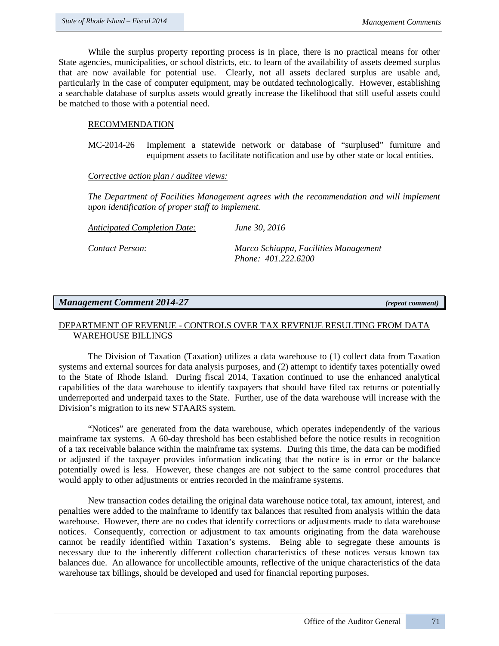While the surplus property reporting process is in place, there is no practical means for other State agencies, municipalities, or school districts, etc. to learn of the availability of assets deemed surplus that are now available for potential use. Clearly, not all assets declared surplus are usable and, particularly in the case of computer equipment, may be outdated technologically. However, establishing a searchable database of surplus assets would greatly increase the likelihood that still useful assets could be matched to those with a potential need.

### RECOMMENDATION

MC-2014-26 Implement a statewide network or database of "surplused" furniture and equipment assets to facilitate notification and use by other state or local entities.

#### *Corrective action plan / auditee views:*

*The Department of Facilities Management agrees with the recommendation and will implement upon identification of proper staff to implement.*

*Anticipated Completion Date: June 30, 2016*

*Contact Person: Marco Schiappa, Facilities Management Phone: 401.222.6200*

# *Management Comment 2014-27 (repeat comment)*

# DEPARTMENT OF REVENUE - CONTROLS OVER TAX REVENUE RESULTING FROM DATA WAREHOUSE BILLINGS

The Division of Taxation (Taxation) utilizes a data warehouse to (1) collect data from Taxation systems and external sources for data analysis purposes, and (2) attempt to identify taxes potentially owed to the State of Rhode Island. During fiscal 2014, Taxation continued to use the enhanced analytical capabilities of the data warehouse to identify taxpayers that should have filed tax returns or potentially underreported and underpaid taxes to the State. Further, use of the data warehouse will increase with the Division's migration to its new STAARS system.

"Notices" are generated from the data warehouse, which operates independently of the various mainframe tax systems. A 60-day threshold has been established before the notice results in recognition of a tax receivable balance within the mainframe tax systems. During this time, the data can be modified or adjusted if the taxpayer provides information indicating that the notice is in error or the balance potentially owed is less. However, these changes are not subject to the same control procedures that would apply to other adjustments or entries recorded in the mainframe systems.

New transaction codes detailing the original data warehouse notice total, tax amount, interest, and penalties were added to the mainframe to identify tax balances that resulted from analysis within the data warehouse. However, there are no codes that identify corrections or adjustments made to data warehouse notices. Consequently, correction or adjustment to tax amounts originating from the data warehouse cannot be readily identified within Taxation's systems. Being able to segregate these amounts is necessary due to the inherently different collection characteristics of these notices versus known tax balances due. An allowance for uncollectible amounts, reflective of the unique characteristics of the data warehouse tax billings, should be developed and used for financial reporting purposes.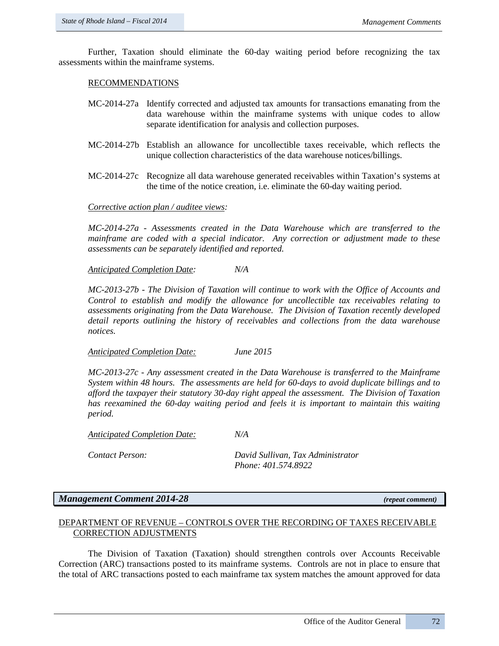Further, Taxation should eliminate the 60-day waiting period before recognizing the tax assessments within the mainframe systems.

#### RECOMMENDATIONS

- MC-2014-27a Identify corrected and adjusted tax amounts for transactions emanating from the data warehouse within the mainframe systems with unique codes to allow separate identification for analysis and collection purposes.
- MC-2014-27b Establish an allowance for uncollectible taxes receivable, which reflects the unique collection characteristics of the data warehouse notices/billings.
- MC-2014-27c Recognize all data warehouse generated receivables within Taxation's systems at the time of the notice creation, i.e. eliminate the 60-day waiting period.

#### *Corrective action plan / auditee views:*

*MC-2014-27a - Assessments created in the Data Warehouse which are transferred to the mainframe are coded with a special indicator. Any correction or adjustment made to these assessments can be separately identified and reported.* 

*Anticipated Completion Date: N/A*

*MC-2013-27b - The Division of Taxation will continue to work with the Office of Accounts and Control to establish and modify the allowance for uncollectible tax receivables relating to assessments originating from the Data Warehouse. The Division of Taxation recently developed detail reports outlining the history of receivables and collections from the data warehouse notices.*

*Anticipated Completion Date: June 2015*

*MC-2013-27c - Any assessment created in the Data Warehouse is transferred to the Mainframe System within 48 hours. The assessments are held for 60-days to avoid duplicate billings and to afford the taxpayer their statutory 30-day right appeal the assessment. The Division of Taxation has reexamined the 60-day waiting period and feels it is important to maintain this waiting period.*

*Anticipated Completion Date: N/A*

*Contact Person: David Sullivan, Tax Administrator Phone: 401.574.8922*

## *Management Comment 2014-28 (repeat comment)*

#### DEPARTMENT OF REVENUE – CONTROLS OVER THE RECORDING OF TAXES RECEIVABLE CORRECTION ADJUSTMENTS

The Division of Taxation (Taxation) should strengthen controls over Accounts Receivable Correction (ARC) transactions posted to its mainframe systems. Controls are not in place to ensure that the total of ARC transactions posted to each mainframe tax system matches the amount approved for data